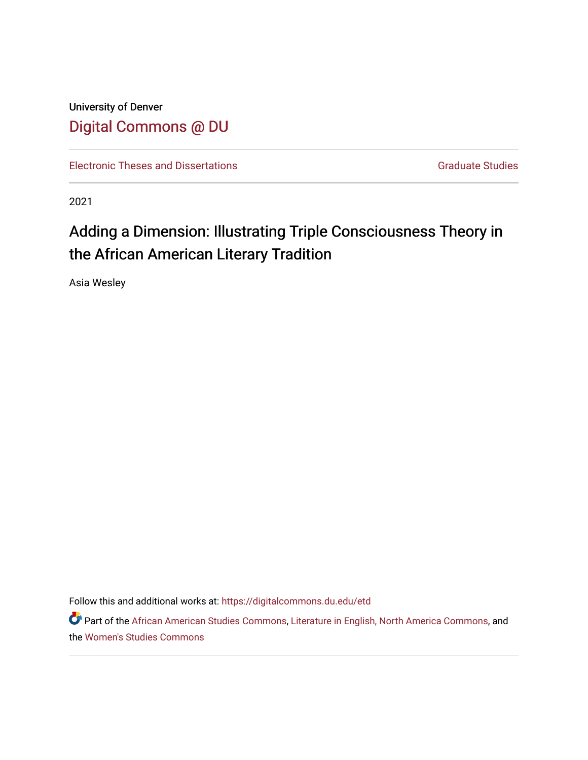University of Denver [Digital Commons @ DU](https://digitalcommons.du.edu/) 

[Electronic Theses and Dissertations](https://digitalcommons.du.edu/etd) [Graduate Studies](https://digitalcommons.du.edu/graduate) Graduate Studies

2021

# Adding a Dimension: Illustrating Triple Consciousness Theory in the African American Literary Tradition

Asia Wesley

Follow this and additional works at: [https://digitalcommons.du.edu/etd](https://digitalcommons.du.edu/etd?utm_source=digitalcommons.du.edu%2Fetd%2F2017&utm_medium=PDF&utm_campaign=PDFCoverPages) 

Part of the [African American Studies Commons,](http://network.bepress.com/hgg/discipline/567?utm_source=digitalcommons.du.edu%2Fetd%2F2017&utm_medium=PDF&utm_campaign=PDFCoverPages) [Literature in English, North America Commons](http://network.bepress.com/hgg/discipline/458?utm_source=digitalcommons.du.edu%2Fetd%2F2017&utm_medium=PDF&utm_campaign=PDFCoverPages), and the [Women's Studies Commons](http://network.bepress.com/hgg/discipline/561?utm_source=digitalcommons.du.edu%2Fetd%2F2017&utm_medium=PDF&utm_campaign=PDFCoverPages)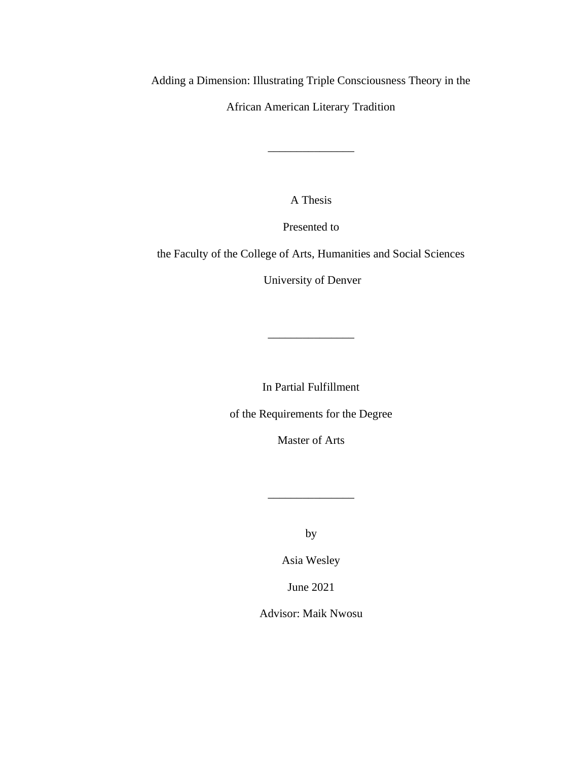Adding a Dimension: Illustrating Triple Consciousness Theory in the

African American Literary Tradition

\_\_\_\_\_\_\_\_\_\_\_\_\_\_\_

A Thesis

Presented to

the Faculty of the College of Arts, Humanities and Social Sciences

University of Denver

In Partial Fulfillment

\_\_\_\_\_\_\_\_\_\_\_\_\_\_\_

of the Requirements for the Degree

Master of Arts

by

\_\_\_\_\_\_\_\_\_\_\_\_\_\_\_

Asia Wesley

June 2021

Advisor: Maik Nwosu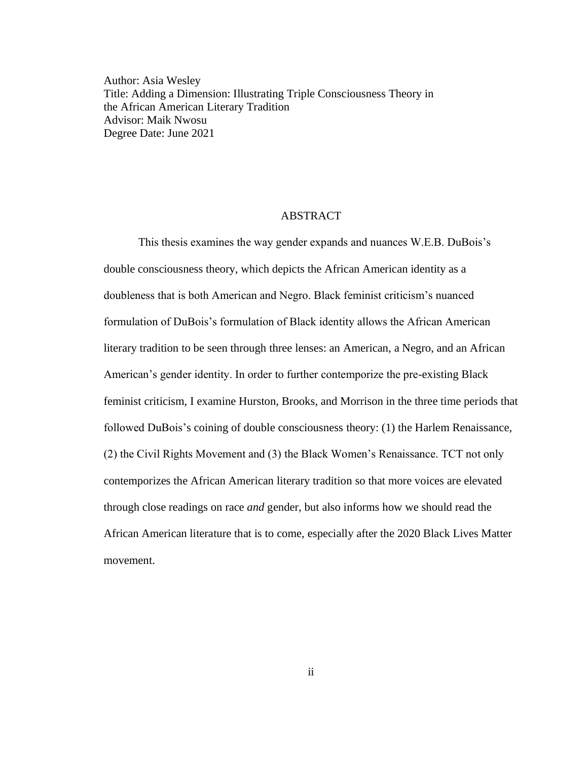Author: Asia Wesley Title: Adding a Dimension: Illustrating Triple Consciousness Theory in the African American Literary Tradition Advisor: Maik Nwosu Degree Date: June 2021

#### **ABSTRACT**

This thesis examines the way gender expands and nuances W.E.B. DuBois's double consciousness theory, which depicts the African American identity as a doubleness that is both American and Negro. Black feminist criticism's nuanced formulation of DuBois's formulation of Black identity allows the African American literary tradition to be seen through three lenses: an American, a Negro, and an African American's gender identity. In order to further contemporize the pre-existing Black feminist criticism, I examine Hurston, Brooks, and Morrison in the three time periods that followed DuBois's coining of double consciousness theory: (1) the Harlem Renaissance, (2) the Civil Rights Movement and (3) the Black Women's Renaissance. TCT not only contemporizes the African American literary tradition so that more voices are elevated through close readings on race *and* gender, but also informs how we should read the African American literature that is to come, especially after the 2020 Black Lives Matter movement.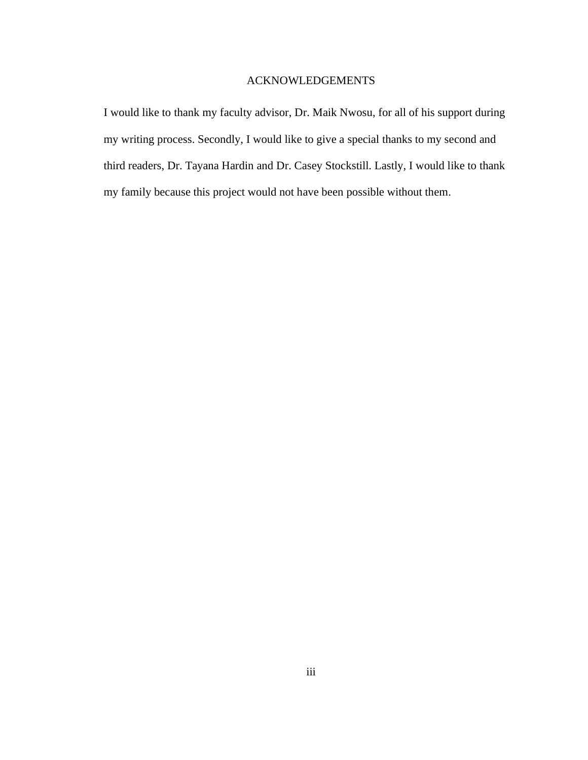## ACKNOWLEDGEMENTS

I would like to thank my faculty advisor, Dr. Maik Nwosu, for all of his support during my writing process. Secondly, I would like to give a special thanks to my second and third readers, Dr. Tayana Hardin and Dr. Casey Stockstill. Lastly, I would like to thank my family because this project would not have been possible without them.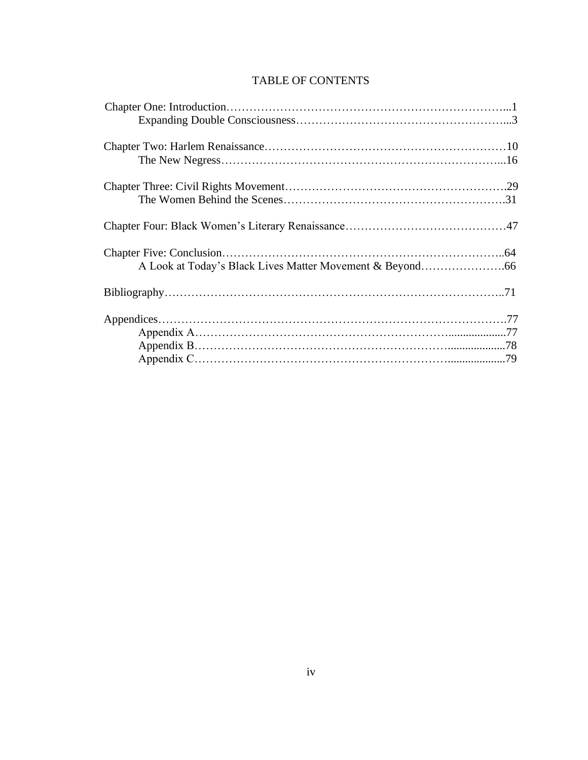# TABLE OF CONTENTS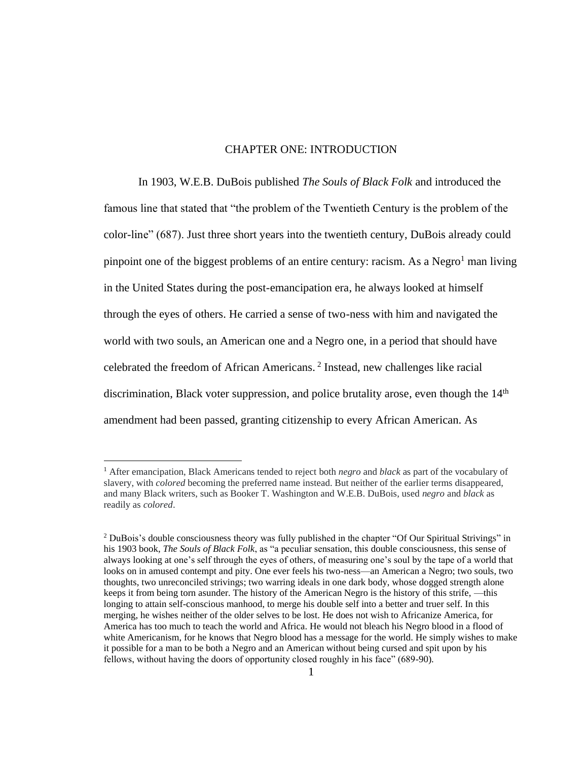### CHAPTER ONE: INTRODUCTION

In 1903, W.E.B. DuBois published *The Souls of Black Folk* and introduced the famous line that stated that "the problem of the Twentieth Century is the problem of the color-line" (687). Just three short years into the twentieth century, DuBois already could pinpoint one of the biggest problems of an entire century: racism. As a Negro<sup>1</sup> man living in the United States during the post-emancipation era, he always looked at himself through the eyes of others. He carried a sense of two-ness with him and navigated the world with two souls, an American one and a Negro one, in a period that should have celebrated the freedom of African Americans. <sup>2</sup> Instead, new challenges like racial discrimination, Black voter suppression, and police brutality arose, even though the  $14<sup>th</sup>$ amendment had been passed, granting citizenship to every African American. As

<sup>1</sup> After emancipation, Black Americans tended to reject both *negro* and *black* as part of the vocabulary of slavery, with *colored* becoming the preferred name instead. But neither of the earlier terms disappeared, and many Black writers, such as Booker T. Washington and W.E.B. DuBois, used *negro* and *black* as readily as *colored*.

<sup>&</sup>lt;sup>2</sup> DuBois's double consciousness theory was fully published in the chapter "Of Our Spiritual Strivings" in his 1903 book, *The Souls of Black Folk*, as "a peculiar sensation, this double consciousness, this sense of always looking at one's self through the eyes of others, of measuring one's soul by the tape of a world that looks on in amused contempt and pity. One ever feels his two-ness—an American a Negro; two souls, two thoughts, two unreconciled strivings; two warring ideals in one dark body, whose dogged strength alone keeps it from being torn asunder. The history of the American Negro is the history of this strife, —this longing to attain self-conscious manhood, to merge his double self into a better and truer self. In this merging, he wishes neither of the older selves to be lost. He does not wish to Africanize America, for America has too much to teach the world and Africa. He would not bleach his Negro blood in a flood of white Americanism, for he knows that Negro blood has a message for the world. He simply wishes to make it possible for a man to be both a Negro and an American without being cursed and spit upon by his fellows, without having the doors of opportunity closed roughly in his face" (689-90).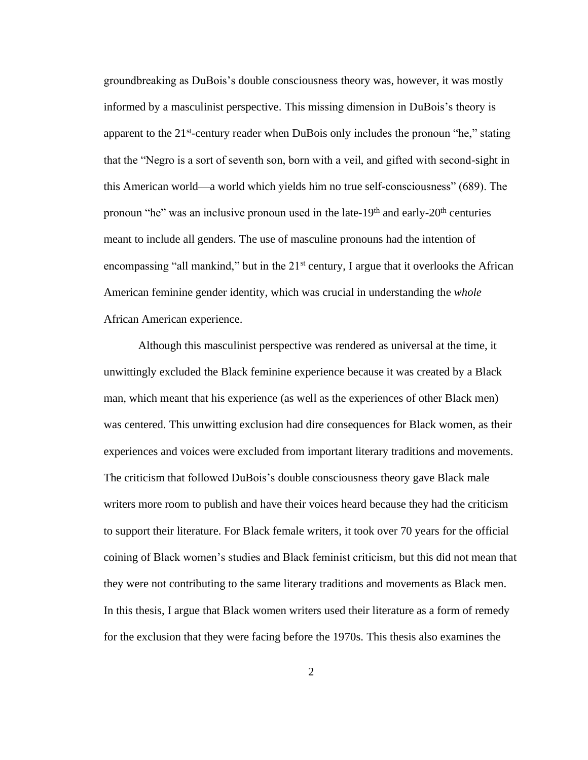groundbreaking as DuBois's double consciousness theory was, however, it was mostly informed by a masculinist perspective. This missing dimension in DuBois's theory is apparent to the 21<sup>st</sup>-century reader when DuBois only includes the pronoun "he," stating that the "Negro is a sort of seventh son, born with a veil, and gifted with second-sight in this American world—a world which yields him no true self-consciousness" (689). The pronoun "he" was an inclusive pronoun used in the late-19<sup>th</sup> and early-20<sup>th</sup> centuries meant to include all genders. The use of masculine pronouns had the intention of encompassing "all mankind," but in the  $21<sup>st</sup>$  century, I argue that it overlooks the African American feminine gender identity, which was crucial in understanding the *whole*  African American experience.

Although this masculinist perspective was rendered as universal at the time, it unwittingly excluded the Black feminine experience because it was created by a Black man, which meant that his experience (as well as the experiences of other Black men) was centered. This unwitting exclusion had dire consequences for Black women, as their experiences and voices were excluded from important literary traditions and movements. The criticism that followed DuBois's double consciousness theory gave Black male writers more room to publish and have their voices heard because they had the criticism to support their literature. For Black female writers, it took over 70 years for the official coining of Black women's studies and Black feminist criticism, but this did not mean that they were not contributing to the same literary traditions and movements as Black men. In this thesis, I argue that Black women writers used their literature as a form of remedy for the exclusion that they were facing before the 1970s. This thesis also examines the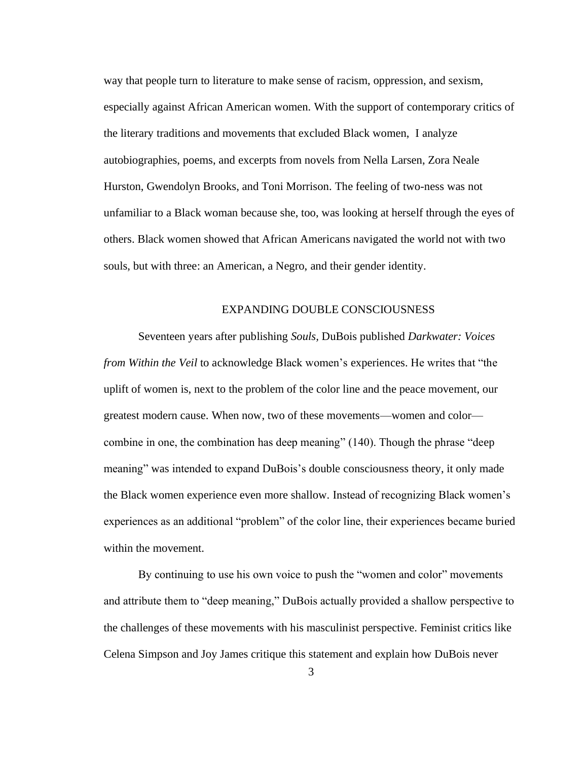way that people turn to literature to make sense of racism, oppression, and sexism, especially against African American women. With the support of contemporary critics of the literary traditions and movements that excluded Black women, I analyze autobiographies, poems, and excerpts from novels from Nella Larsen, Zora Neale Hurston, Gwendolyn Brooks, and Toni Morrison. The feeling of two-ness was not unfamiliar to a Black woman because she, too, was looking at herself through the eyes of others. Black women showed that African Americans navigated the world not with two souls, but with three: an American, a Negro, and their gender identity.

#### EXPANDING DOUBLE CONSCIOUSNESS

Seventeen years after publishing *Souls,* DuBois published *Darkwater: Voices from Within the Veil* to acknowledge Black women's experiences. He writes that "the uplift of women is, next to the problem of the color line and the peace movement, our greatest modern cause. When now, two of these movements—women and color combine in one, the combination has deep meaning" (140). Though the phrase "deep meaning" was intended to expand DuBois's double consciousness theory, it only made the Black women experience even more shallow. Instead of recognizing Black women's experiences as an additional "problem" of the color line, their experiences became buried within the movement.

By continuing to use his own voice to push the "women and color" movements and attribute them to "deep meaning," DuBois actually provided a shallow perspective to the challenges of these movements with his masculinist perspective. Feminist critics like Celena Simpson and Joy James critique this statement and explain how DuBois never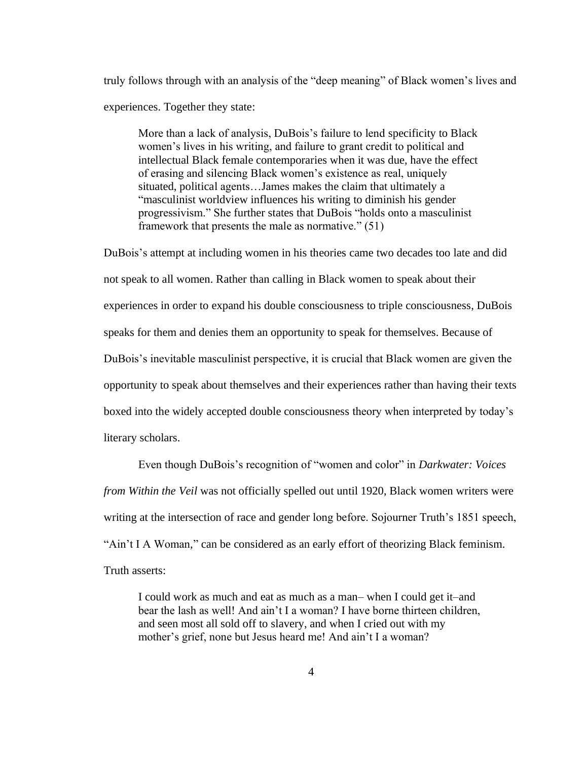truly follows through with an analysis of the "deep meaning" of Black women's lives and experiences. Together they state:

More than a lack of analysis, DuBois's failure to lend specificity to Black women's lives in his writing, and failure to grant credit to political and intellectual Black female contemporaries when it was due, have the effect of erasing and silencing Black women's existence as real, uniquely situated, political agents…James makes the claim that ultimately a "masculinist worldview influences his writing to diminish his gender progressivism." She further states that DuBois "holds onto a masculinist framework that presents the male as normative." (51)

DuBois's attempt at including women in his theories came two decades too late and did not speak to all women. Rather than calling in Black women to speak about their experiences in order to expand his double consciousness to triple consciousness, DuBois speaks for them and denies them an opportunity to speak for themselves. Because of DuBois's inevitable masculinist perspective, it is crucial that Black women are given the opportunity to speak about themselves and their experiences rather than having their texts boxed into the widely accepted double consciousness theory when interpreted by today's literary scholars.

Even though DuBois's recognition of "women and color" in *Darkwater: Voices from Within the Veil* was not officially spelled out until 1920, Black women writers were writing at the intersection of race and gender long before. Sojourner Truth's 1851 speech, "Ain't I A Woman*,*" can be considered as an early effort of theorizing Black feminism. Truth asserts:

I could work as much and eat as much as a man– when I could get it–and bear the lash as well! And ain't I a woman? I have borne thirteen children, and seen most all sold off to slavery, and when I cried out with my mother's grief, none but Jesus heard me! And ain't I a woman?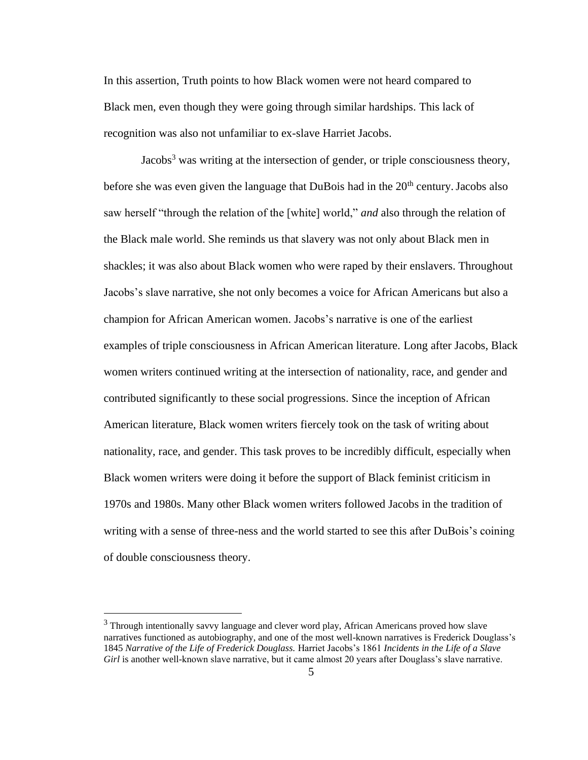In this assertion, Truth points to how Black women were not heard compared to Black men, even though they were going through similar hardships. This lack of recognition was also not unfamiliar to ex-slave Harriet Jacobs.

Jacobs<sup>3</sup> was writing at the intersection of gender, or triple consciousness theory, before she was even given the language that DuBois had in the  $20<sup>th</sup>$  century. Jacobs also saw herself "through the relation of the [white] world," *and* also through the relation of the Black male world. She reminds us that slavery was not only about Black men in shackles; it was also about Black women who were raped by their enslavers. Throughout Jacobs's slave narrative, she not only becomes a voice for African Americans but also a champion for African American women. Jacobs's narrative is one of the earliest examples of triple consciousness in African American literature. Long after Jacobs, Black women writers continued writing at the intersection of nationality, race, and gender and contributed significantly to these social progressions. Since the inception of African American literature, Black women writers fiercely took on the task of writing about nationality, race, and gender. This task proves to be incredibly difficult, especially when Black women writers were doing it before the support of Black feminist criticism in 1970s and 1980s. Many other Black women writers followed Jacobs in the tradition of writing with a sense of three-ness and the world started to see this after DuBois's coining of double consciousness theory.

<sup>&</sup>lt;sup>3</sup> Through intentionally savvy language and clever word play, African Americans proved how slave narratives functioned as autobiography, and one of the most well-known narratives is Frederick Douglass's 1845 *Narrative of the Life of Frederick Douglass.* Harriet Jacobs's 1861 *Incidents in the Life of a Slave*  Girl is another well-known slave narrative, but it came almost 20 years after Douglass's slave narrative.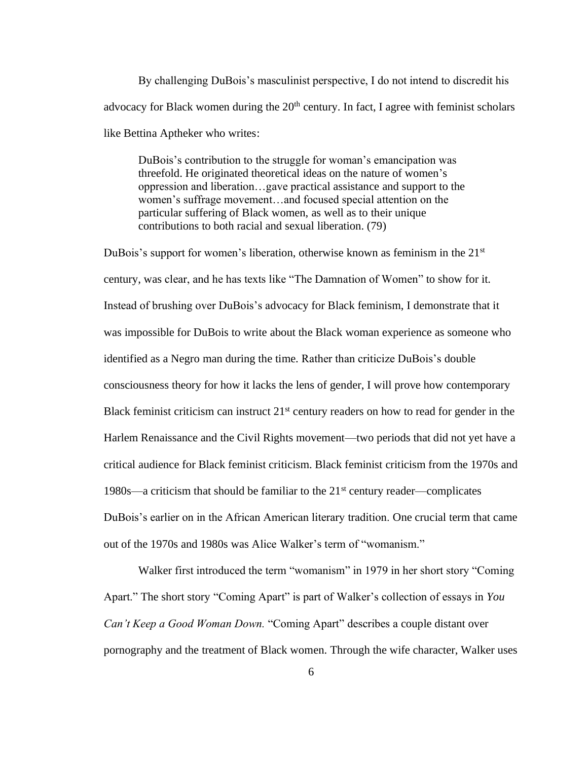By challenging DuBois's masculinist perspective, I do not intend to discredit his advocacy for Black women during the 20<sup>th</sup> century. In fact, I agree with feminist scholars like Bettina Aptheker who writes:

DuBois's contribution to the struggle for woman's emancipation was threefold. He originated theoretical ideas on the nature of women's oppression and liberation…gave practical assistance and support to the women's suffrage movement…and focused special attention on the particular suffering of Black women, as well as to their unique contributions to both racial and sexual liberation. (79)

DuBois's support for women's liberation, otherwise known as feminism in the  $21<sup>st</sup>$ century, was clear, and he has texts like "The Damnation of Women" to show for it. Instead of brushing over DuBois's advocacy for Black feminism, I demonstrate that it was impossible for DuBois to write about the Black woman experience as someone who identified as a Negro man during the time. Rather than criticize DuBois's double consciousness theory for how it lacks the lens of gender, I will prove how contemporary Black feminist criticism can instruct  $21<sup>st</sup>$  century readers on how to read for gender in the Harlem Renaissance and the Civil Rights movement—two periods that did not yet have a critical audience for Black feminist criticism. Black feminist criticism from the 1970s and 1980s—a criticism that should be familiar to the  $21<sup>st</sup>$  century reader—complicates DuBois's earlier on in the African American literary tradition. One crucial term that came out of the 1970s and 1980s was Alice Walker's term of "womanism."

Walker first introduced the term "womanism" in 1979 in her short story "Coming Apart." The short story "Coming Apart" is part of Walker's collection of essays in *You Can't Keep a Good Woman Down.* "Coming Apart" describes a couple distant over pornography and the treatment of Black women. Through the wife character, Walker uses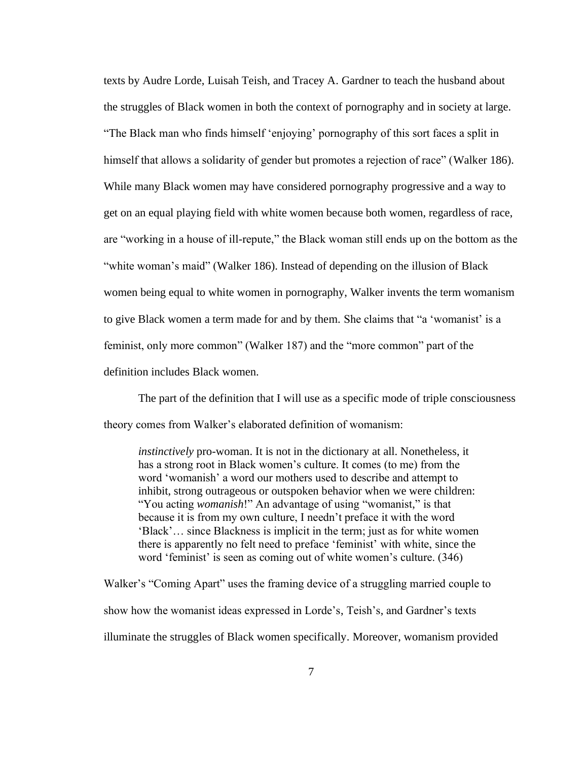texts by Audre Lorde, Luisah Teish, and Tracey A. Gardner to teach the husband about the struggles of Black women in both the context of pornography and in society at large. "The Black man who finds himself 'enjoying' pornography of this sort faces a split in himself that allows a solidarity of gender but promotes a rejection of race" (Walker 186). While many Black women may have considered pornography progressive and a way to get on an equal playing field with white women because both women, regardless of race, are "working in a house of ill-repute," the Black woman still ends up on the bottom as the "white woman's maid" (Walker 186). Instead of depending on the illusion of Black women being equal to white women in pornography, Walker invents the term womanism to give Black women a term made for and by them. She claims that "a 'womanist' is a feminist, only more common" (Walker 187) and the "more common" part of the definition includes Black women.

The part of the definition that I will use as a specific mode of triple consciousness theory comes from Walker's elaborated definition of womanism:

*instinctively* pro-woman. It is not in the dictionary at all. Nonetheless, it has a strong root in Black women's culture. It comes (to me) from the word 'womanish' a word our mothers used to describe and attempt to inhibit, strong outrageous or outspoken behavior when we were children: "You acting *womanish*!" An advantage of using "womanist," is that because it is from my own culture, I needn't preface it with the word 'Black'… since Blackness is implicit in the term; just as for white women there is apparently no felt need to preface 'feminist' with white, since the word 'feminist' is seen as coming out of white women's culture. (346)

Walker's "Coming Apart" uses the framing device of a struggling married couple to show how the womanist ideas expressed in Lorde's, Teish's, and Gardner's texts illuminate the struggles of Black women specifically. Moreover, womanism provided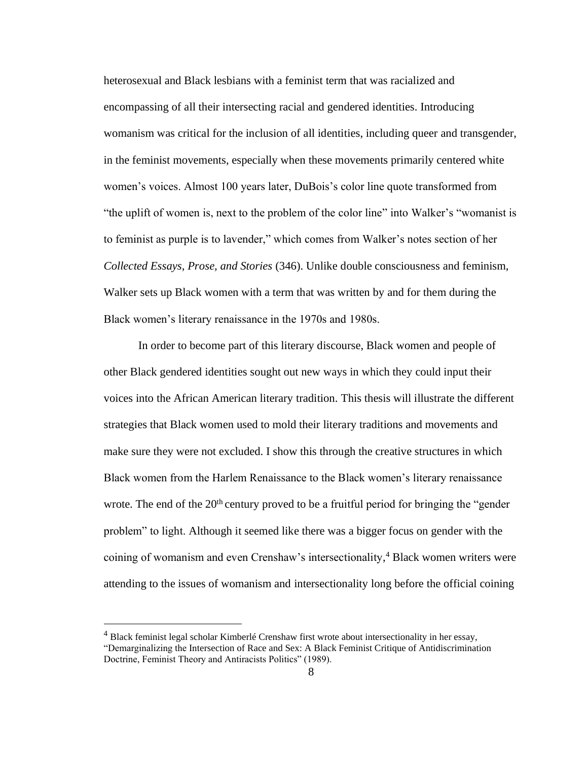heterosexual and Black lesbians with a feminist term that was racialized and encompassing of all their intersecting racial and gendered identities. Introducing womanism was critical for the inclusion of all identities, including queer and transgender, in the feminist movements, especially when these movements primarily centered white women's voices. Almost 100 years later, DuBois's color line quote transformed from "the uplift of women is, next to the problem of the color line" into Walker's "womanist is to feminist as purple is to lavender," which comes from Walker's notes section of her *Collected Essays, Prose, and Stories* (346). Unlike double consciousness and feminism, Walker sets up Black women with a term that was written by and for them during the Black women's literary renaissance in the 1970s and 1980s.

In order to become part of this literary discourse, Black women and people of other Black gendered identities sought out new ways in which they could input their voices into the African American literary tradition. This thesis will illustrate the different strategies that Black women used to mold their literary traditions and movements and make sure they were not excluded. I show this through the creative structures in which Black women from the Harlem Renaissance to the Black women's literary renaissance wrote. The end of the  $20<sup>th</sup>$  century proved to be a fruitful period for bringing the "gender" problem" to light. Although it seemed like there was a bigger focus on gender with the coining of womanism and even Crenshaw's intersectionality, <sup>4</sup> Black women writers were attending to the issues of womanism and intersectionality long before the official coining

 $<sup>4</sup>$  Black feminist legal scholar Kimberlé Crenshaw first wrote about intersectionality in her essay,</sup> "Demarginalizing the Intersection of Race and Sex: A Black Feminist Critique of Antidiscrimination Doctrine, Feminist Theory and Antiracists Politics" (1989).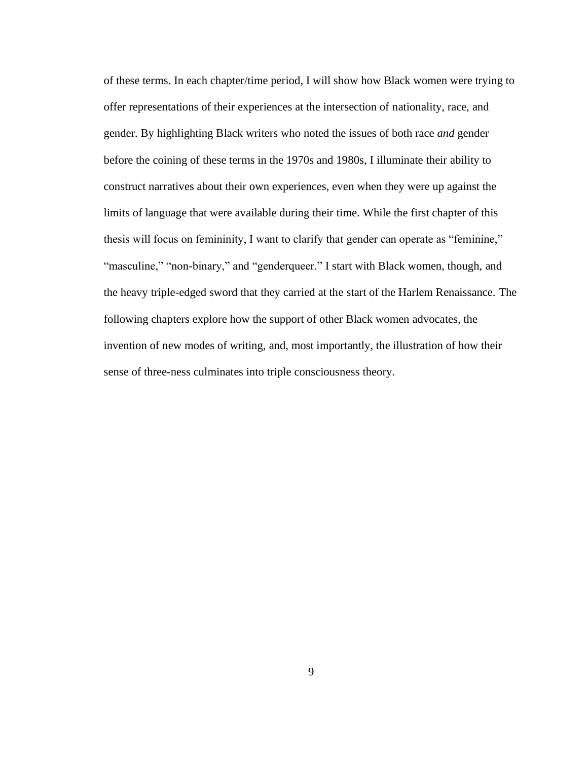of these terms. In each chapter/time period, I will show how Black women were trying to offer representations of their experiences at the intersection of nationality, race, and gender. By highlighting Black writers who noted the issues of both race *and* gender before the coining of these terms in the 1970s and 1980s, I illuminate their ability to construct narratives about their own experiences, even when they were up against the limits of language that were available during their time. While the first chapter of this thesis will focus on femininity, I want to clarify that gender can operate as "feminine," "masculine," "non-binary," and "genderqueer." I start with Black women, though, and the heavy triple-edged sword that they carried at the start of the Harlem Renaissance. The following chapters explore how the support of other Black women advocates, the invention of new modes of writing, and, most importantly, the illustration of how their sense of three-ness culminates into triple consciousness theory.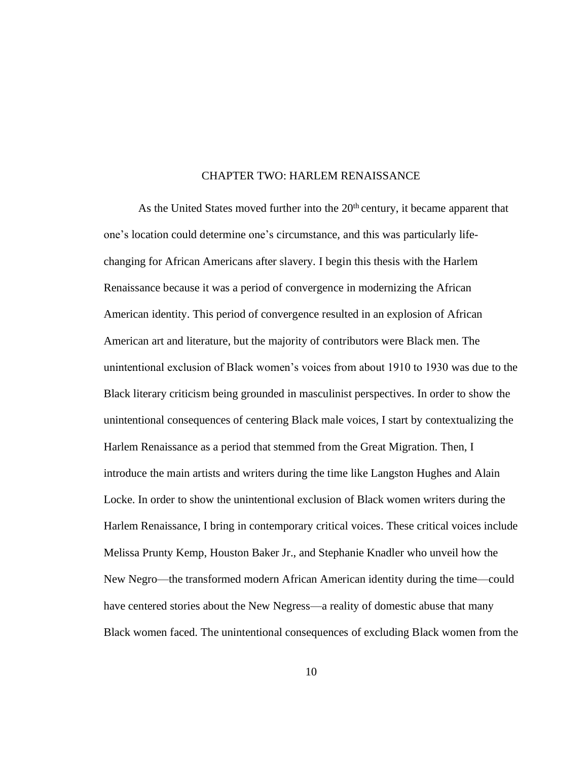#### CHAPTER TWO: HARLEM RENAISSANCE

As the United States moved further into the  $20<sup>th</sup>$  century, it became apparent that one's location could determine one's circumstance, and this was particularly lifechanging for African Americans after slavery. I begin this thesis with the Harlem Renaissance because it was a period of convergence in modernizing the African American identity. This period of convergence resulted in an explosion of African American art and literature, but the majority of contributors were Black men. The unintentional exclusion of Black women's voices from about 1910 to 1930 was due to the Black literary criticism being grounded in masculinist perspectives. In order to show the unintentional consequences of centering Black male voices, I start by contextualizing the Harlem Renaissance as a period that stemmed from the Great Migration. Then, I introduce the main artists and writers during the time like Langston Hughes and Alain Locke. In order to show the unintentional exclusion of Black women writers during the Harlem Renaissance, I bring in contemporary critical voices. These critical voices include Melissa Prunty Kemp, Houston Baker Jr., and Stephanie Knadler who unveil how the New Negro—the transformed modern African American identity during the time—could have centered stories about the New Negress—a reality of domestic abuse that many Black women faced. The unintentional consequences of excluding Black women from the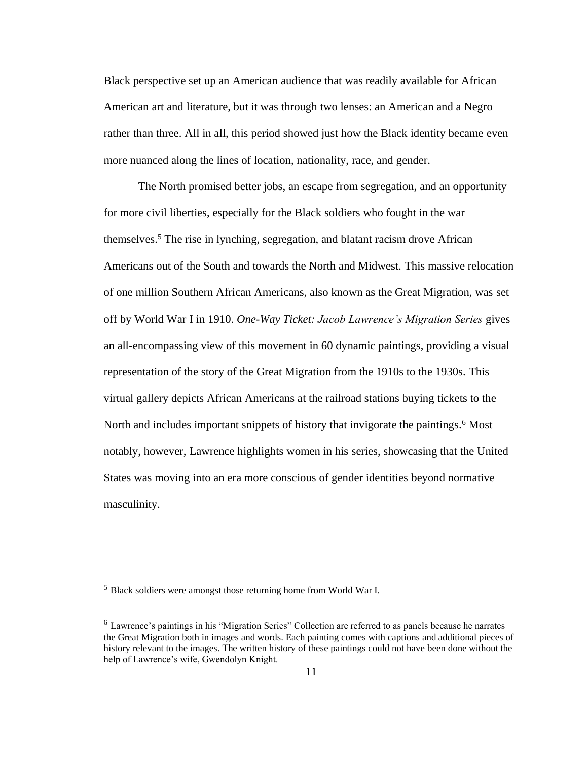Black perspective set up an American audience that was readily available for African American art and literature, but it was through two lenses: an American and a Negro rather than three. All in all, this period showed just how the Black identity became even more nuanced along the lines of location, nationality, race, and gender.

The North promised better jobs, an escape from segregation, and an opportunity for more civil liberties, especially for the Black soldiers who fought in the war themselves.<sup>5</sup> The rise in lynching, segregation, and blatant racism drove African Americans out of the South and towards the North and Midwest. This massive relocation of one million Southern African Americans, also known as the Great Migration, was set off by World War I in 1910. *One-Way Ticket: Jacob Lawrence's Migration Series* gives an all-encompassing view of this movement in 60 dynamic paintings, providing a visual representation of the story of the Great Migration from the 1910s to the 1930s. This virtual gallery depicts African Americans at the railroad stations buying tickets to the North and includes important snippets of history that invigorate the paintings.<sup>6</sup> Most notably, however, Lawrence highlights women in his series, showcasing that the United States was moving into an era more conscious of gender identities beyond normative masculinity.

<sup>5</sup> Black soldiers were amongst those returning home from World War I.

<sup>6</sup> Lawrence's paintings in his "Migration Series" Collection are referred to as panels because he narrates the Great Migration both in images and words. Each painting comes with captions and additional pieces of history relevant to the images. The written history of these paintings could not have been done without the help of Lawrence's wife, Gwendolyn Knight.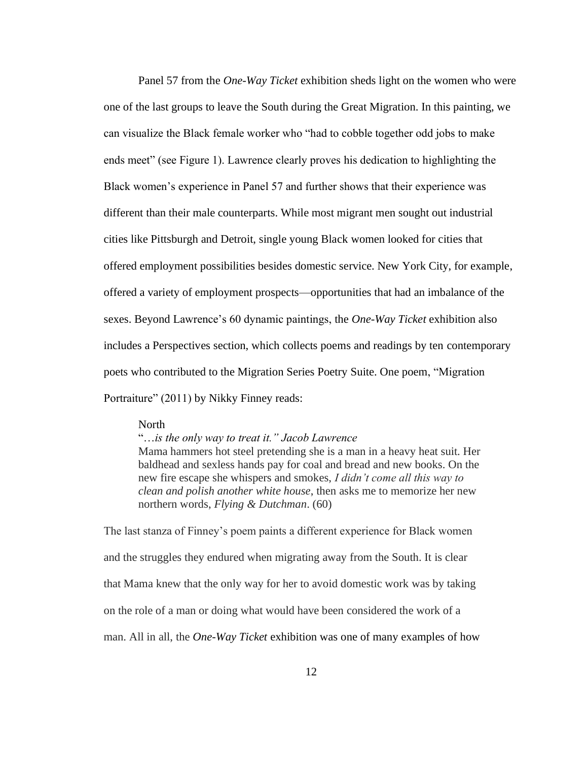Panel 57 from the *One-Way Ticket* exhibition sheds light on the women who were one of the last groups to leave the South during the Great Migration. In this painting, we can visualize the Black female worker who "had to cobble together odd jobs to make ends meet" (see Figure 1). Lawrence clearly proves his dedication to highlighting the Black women's experience in Panel 57 and further shows that their experience was different than their male counterparts. While most migrant men sought out industrial cities like Pittsburgh and Detroit, single young Black women looked for cities that offered employment possibilities besides domestic service. New York City, for example, offered a variety of employment prospects—opportunities that had an imbalance of the sexes. Beyond Lawrence's 60 dynamic paintings, the *One-Way Ticket* exhibition also includes a Perspectives section, which collects poems and readings by ten contemporary poets who contributed to the Migration Series Poetry Suite. One poem, "Migration Portraiture" (2011) by Nikky Finney reads:

#### North

"…*is the only way to treat it." Jacob Lawrence* Mama hammers hot steel pretending she is a man in a heavy heat suit. Her baldhead and sexless hands pay for coal and bread and new books. On the new fire escape she whispers and smokes, *I didn't come all this way to clean and polish another white house*, then asks me to memorize her new northern words, *Flying & Dutchman*. (60)

The last stanza of Finney's poem paints a different experience for Black women and the struggles they endured when migrating away from the South. It is clear that Mama knew that the only way for her to avoid domestic work was by taking on the role of a man or doing what would have been considered the work of a man. All in all, the *One-Way Ticket* exhibition was one of many examples of how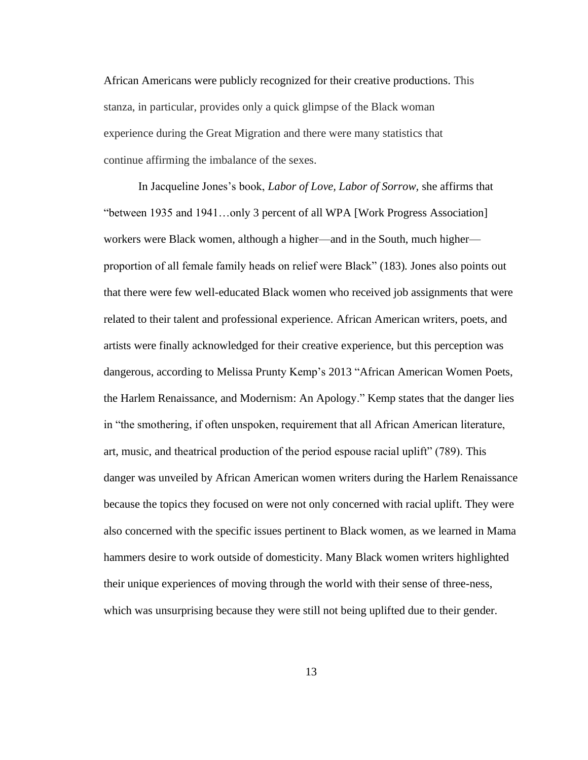African Americans were publicly recognized for their creative productions. This stanza, in particular, provides only a quick glimpse of the Black woman experience during the Great Migration and there were many statistics that continue affirming the imbalance of the sexes.

In Jacqueline Jones's book, *Labor of Love, Labor of Sorrow,* she affirms that "between 1935 and 1941…only 3 percent of all WPA [Work Progress Association] workers were Black women, although a higher—and in the South, much higher proportion of all female family heads on relief were Black" (183)*.* Jones also points out that there were few well-educated Black women who received job assignments that were related to their talent and professional experience. African American writers, poets, and artists were finally acknowledged for their creative experience, but this perception was dangerous, according to Melissa Prunty Kemp's 2013 "African American Women Poets, the Harlem Renaissance, and Modernism: An Apology." Kemp states that the danger lies in "the smothering, if often unspoken, requirement that all African American literature, art, music, and theatrical production of the period espouse racial uplift" (789). This danger was unveiled by African American women writers during the Harlem Renaissance because the topics they focused on were not only concerned with racial uplift. They were also concerned with the specific issues pertinent to Black women, as we learned in Mama hammers desire to work outside of domesticity. Many Black women writers highlighted their unique experiences of moving through the world with their sense of three-ness, which was unsurprising because they were still not being uplifted due to their gender.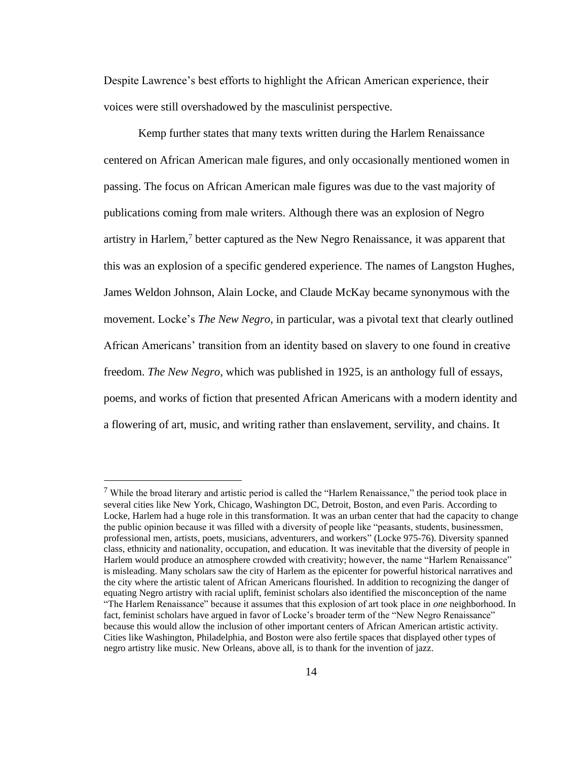Despite Lawrence's best efforts to highlight the African American experience, their voices were still overshadowed by the masculinist perspective.

Kemp further states that many texts written during the Harlem Renaissance centered on African American male figures, and only occasionally mentioned women in passing. The focus on African American male figures was due to the vast majority of publications coming from male writers. Although there was an explosion of Negro artistry in Harlem,<sup>7</sup> better captured as the New Negro Renaissance, it was apparent that this was an explosion of a specific gendered experience. The names of Langston Hughes, James Weldon Johnson, Alain Locke, and Claude McKay became synonymous with the movement. Locke's *The New Negro,* in particular, was a pivotal text that clearly outlined African Americans' transition from an identity based on slavery to one found in creative freedom. *The New Negro,* which was published in 1925, is an anthology full of essays, poems, and works of fiction that presented African Americans with a modern identity and a flowering of art, music, and writing rather than enslavement, servility, and chains. It

<sup>&</sup>lt;sup>7</sup> While the broad literary and artistic period is called the "Harlem Renaissance," the period took place in several cities like New York, Chicago, Washington DC, Detroit, Boston, and even Paris. According to Locke, Harlem had a huge role in this transformation. It was an urban center that had the capacity to change the public opinion because it was filled with a diversity of people like "peasants, students, businessmen, professional men, artists, poets, musicians, adventurers, and workers" (Locke 975-76). Diversity spanned class, ethnicity and nationality, occupation, and education. It was inevitable that the diversity of people in Harlem would produce an atmosphere crowded with creativity; however, the name "Harlem Renaissance" is misleading. Many scholars saw the city of Harlem as the epicenter for powerful historical narratives and the city where the artistic talent of African Americans flourished. In addition to recognizing the danger of equating Negro artistry with racial uplift, feminist scholars also identified the misconception of the name "The Harlem Renaissance" because it assumes that this explosion of art took place in *one* neighborhood. In fact, feminist scholars have argued in favor of Locke's broader term of the "New Negro Renaissance" because this would allow the inclusion of other important centers of African American artistic activity. Cities like Washington, Philadelphia, and Boston were also fertile spaces that displayed other types of negro artistry like music. New Orleans, above all, is to thank for the invention of jazz.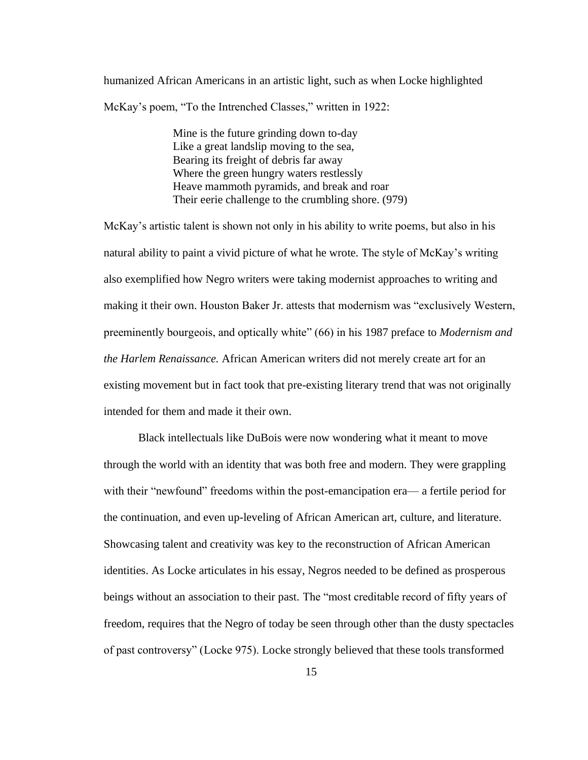humanized African Americans in an artistic light, such as when Locke highlighted McKay's poem, "To the Intrenched Classes," written in 1922:

> Mine is the future grinding down to-day Like a great landslip moving to the sea, Bearing its freight of debris far away Where the green hungry waters restlessly Heave mammoth pyramids, and break and roar Their eerie challenge to the crumbling shore. (979)

McKay's artistic talent is shown not only in his ability to write poems, but also in his natural ability to paint a vivid picture of what he wrote. The style of McKay's writing also exemplified how Negro writers were taking modernist approaches to writing and making it their own. Houston Baker Jr. attests that modernism was "exclusively Western, preeminently bourgeois, and optically white" (66) in his 1987 preface to *Modernism and the Harlem Renaissance.* African American writers did not merely create art for an existing movement but in fact took that pre-existing literary trend that was not originally intended for them and made it their own.

Black intellectuals like DuBois were now wondering what it meant to move through the world with an identity that was both free and modern. They were grappling with their "newfound" freedoms within the post-emancipation era— a fertile period for the continuation, and even up-leveling of African American art, culture, and literature. Showcasing talent and creativity was key to the reconstruction of African American identities. As Locke articulates in his essay, Negros needed to be defined as prosperous beings without an association to their past. The "most creditable record of fifty years of freedom, requires that the Negro of today be seen through other than the dusty spectacles of past controversy" (Locke 975). Locke strongly believed that these tools transformed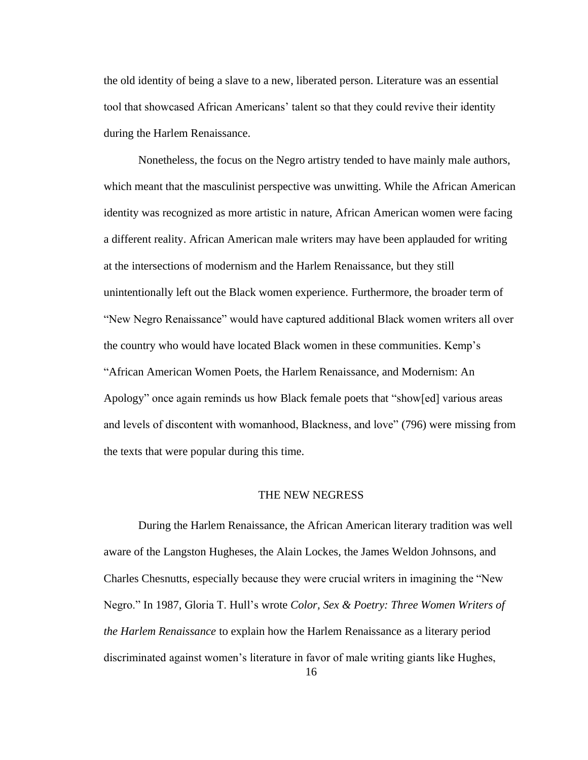the old identity of being a slave to a new, liberated person. Literature was an essential tool that showcased African Americans' talent so that they could revive their identity during the Harlem Renaissance.

Nonetheless, the focus on the Negro artistry tended to have mainly male authors, which meant that the masculinist perspective was unwitting. While the African American identity was recognized as more artistic in nature, African American women were facing a different reality. African American male writers may have been applauded for writing at the intersections of modernism and the Harlem Renaissance, but they still unintentionally left out the Black women experience. Furthermore, the broader term of "New Negro Renaissance" would have captured additional Black women writers all over the country who would have located Black women in these communities. Kemp's "African American Women Poets, the Harlem Renaissance, and Modernism: An Apology" once again reminds us how Black female poets that "show[ed] various areas and levels of discontent with womanhood, Blackness, and love" (796) were missing from the texts that were popular during this time.

#### THE NEW NEGRESS

During the Harlem Renaissance, the African American literary tradition was well aware of the Langston Hugheses, the Alain Lockes, the James Weldon Johnsons, and Charles Chesnutts, especially because they were crucial writers in imagining the "New Negro." In 1987, Gloria T. Hull's wrote *Color, Sex & Poetry: Three Women Writers of the Harlem Renaissance* to explain how the Harlem Renaissance as a literary period discriminated against women's literature in favor of male writing giants like Hughes,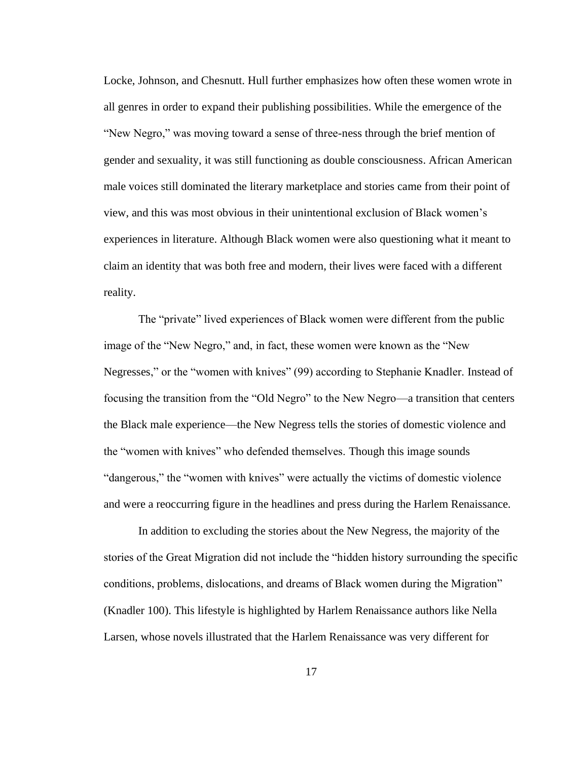Locke, Johnson, and Chesnutt. Hull further emphasizes how often these women wrote in all genres in order to expand their publishing possibilities. While the emergence of the "New Negro," was moving toward a sense of three-ness through the brief mention of gender and sexuality, it was still functioning as double consciousness. African American male voices still dominated the literary marketplace and stories came from their point of view, and this was most obvious in their unintentional exclusion of Black women's experiences in literature. Although Black women were also questioning what it meant to claim an identity that was both free and modern, their lives were faced with a different reality.

The "private" lived experiences of Black women were different from the public image of the "New Negro," and, in fact, these women were known as the "New Negresses," or the "women with knives" (99) according to Stephanie Knadler. Instead of focusing the transition from the "Old Negro" to the New Negro—a transition that centers the Black male experience—the New Negress tells the stories of domestic violence and the "women with knives" who defended themselves. Though this image sounds "dangerous," the "women with knives" were actually the victims of domestic violence and were a reoccurring figure in the headlines and press during the Harlem Renaissance.

In addition to excluding the stories about the New Negress, the majority of the stories of the Great Migration did not include the "hidden history surrounding the specific conditions, problems, dislocations, and dreams of Black women during the Migration" (Knadler 100). This lifestyle is highlighted by Harlem Renaissance authors like Nella Larsen, whose novels illustrated that the Harlem Renaissance was very different for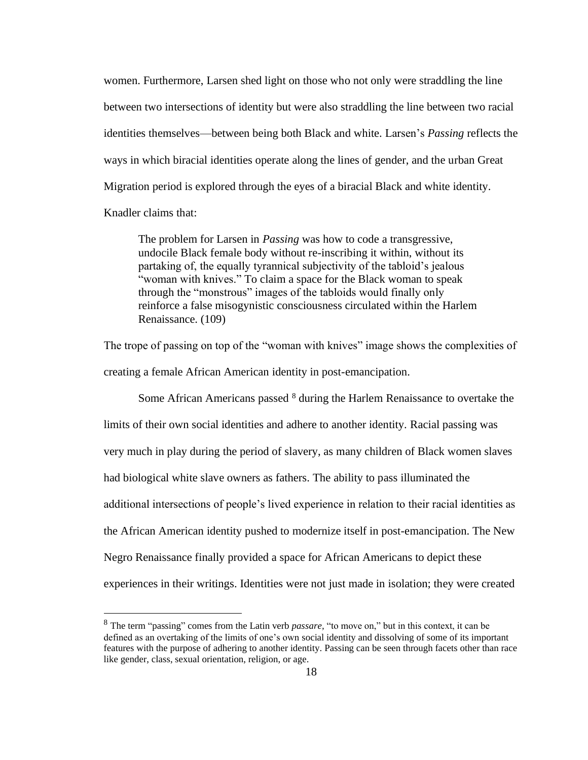women. Furthermore, Larsen shed light on those who not only were straddling the line between two intersections of identity but were also straddling the line between two racial identities themselves—between being both Black and white. Larsen's *Passing* reflects the ways in which biracial identities operate along the lines of gender, and the urban Great Migration period is explored through the eyes of a biracial Black and white identity. Knadler claims that:

The problem for Larsen in *Passing* was how to code a transgressive, undocile Black female body without re-inscribing it within, without its partaking of, the equally tyrannical subjectivity of the tabloid's jealous "woman with knives." To claim a space for the Black woman to speak through the "monstrous" images of the tabloids would finally only reinforce a false misogynistic consciousness circulated within the Harlem Renaissance. (109)

The trope of passing on top of the "woman with knives" image shows the complexities of creating a female African American identity in post-emancipation.

Some African Americans passed <sup>8</sup> during the Harlem Renaissance to overtake the limits of their own social identities and adhere to another identity. Racial passing was very much in play during the period of slavery, as many children of Black women slaves had biological white slave owners as fathers. The ability to pass illuminated the additional intersections of people's lived experience in relation to their racial identities as the African American identity pushed to modernize itself in post-emancipation. The New Negro Renaissance finally provided a space for African Americans to depict these experiences in their writings. Identities were not just made in isolation; they were created

<sup>8</sup> The term "passing" comes from the Latin verb *passare,* "to move on," but in this context, it can be defined as an overtaking of the limits of one's own social identity and dissolving of some of its important features with the purpose of adhering to another identity. Passing can be seen through facets other than race like gender, class, sexual orientation, religion, or age.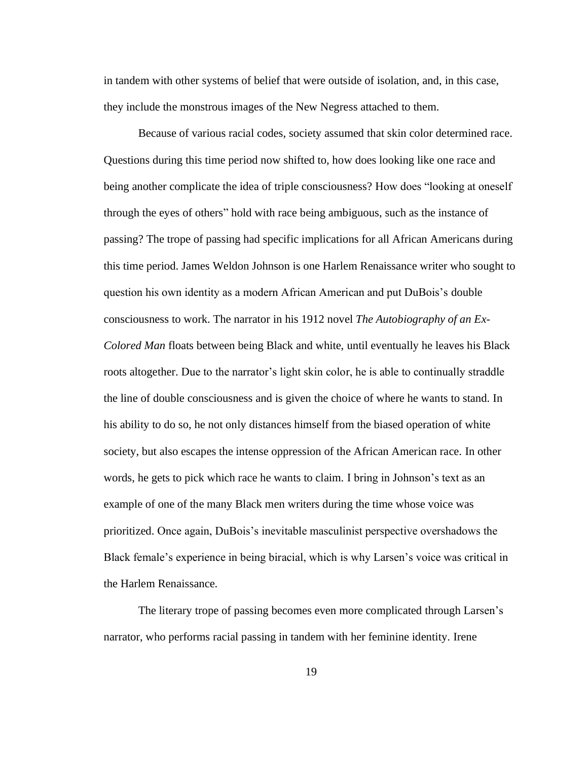in tandem with other systems of belief that were outside of isolation, and, in this case, they include the monstrous images of the New Negress attached to them.

Because of various racial codes, society assumed that skin color determined race. Questions during this time period now shifted to, how does looking like one race and being another complicate the idea of triple consciousness? How does "looking at oneself through the eyes of others" hold with race being ambiguous, such as the instance of passing? The trope of passing had specific implications for all African Americans during this time period. James Weldon Johnson is one Harlem Renaissance writer who sought to question his own identity as a modern African American and put DuBois's double consciousness to work. The narrator in his 1912 novel *The Autobiography of an Ex-Colored Man* floats between being Black and white, until eventually he leaves his Black roots altogether. Due to the narrator's light skin color, he is able to continually straddle the line of double consciousness and is given the choice of where he wants to stand. In his ability to do so, he not only distances himself from the biased operation of white society, but also escapes the intense oppression of the African American race. In other words, he gets to pick which race he wants to claim. I bring in Johnson's text as an example of one of the many Black men writers during the time whose voice was prioritized. Once again, DuBois's inevitable masculinist perspective overshadows the Black female's experience in being biracial, which is why Larsen's voice was critical in the Harlem Renaissance.

The literary trope of passing becomes even more complicated through Larsen's narrator, who performs racial passing in tandem with her feminine identity. Irene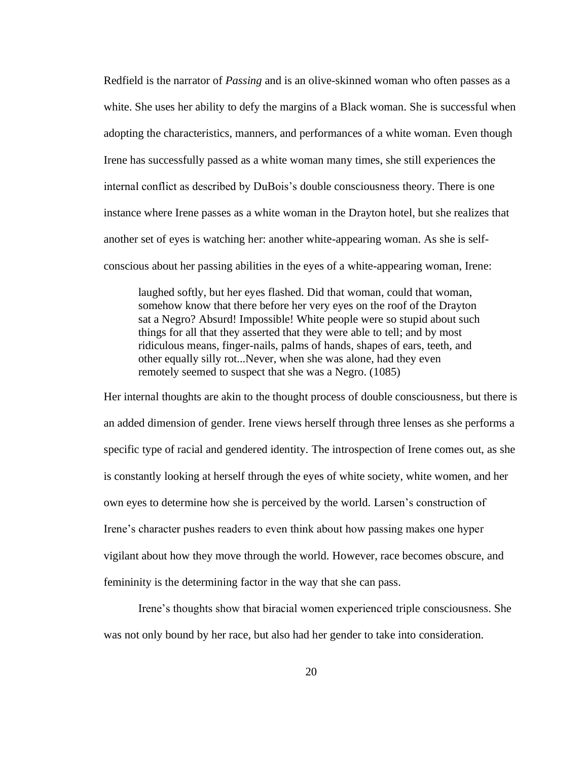Redfield is the narrator of *Passing* and is an olive-skinned woman who often passes as a white. She uses her ability to defy the margins of a Black woman. She is successful when adopting the characteristics, manners, and performances of a white woman. Even though Irene has successfully passed as a white woman many times, she still experiences the internal conflict as described by DuBois's double consciousness theory. There is one instance where Irene passes as a white woman in the Drayton hotel, but she realizes that another set of eyes is watching her: another white-appearing woman. As she is selfconscious about her passing abilities in the eyes of a white-appearing woman, Irene:

laughed softly, but her eyes flashed. Did that woman, could that woman, somehow know that there before her very eyes on the roof of the Drayton sat a Negro? Absurd! Impossible! White people were so stupid about such things for all that they asserted that they were able to tell; and by most ridiculous means, finger-nails, palms of hands, shapes of ears, teeth, and other equally silly rot...Never, when she was alone, had they even remotely seemed to suspect that she was a Negro. (1085)

Her internal thoughts are akin to the thought process of double consciousness, but there is an added dimension of gender. Irene views herself through three lenses as she performs a specific type of racial and gendered identity. The introspection of Irene comes out, as she is constantly looking at herself through the eyes of white society, white women, and her own eyes to determine how she is perceived by the world. Larsen's construction of Irene's character pushes readers to even think about how passing makes one hyper vigilant about how they move through the world. However, race becomes obscure, and femininity is the determining factor in the way that she can pass.

Irene's thoughts show that biracial women experienced triple consciousness. She was not only bound by her race, but also had her gender to take into consideration.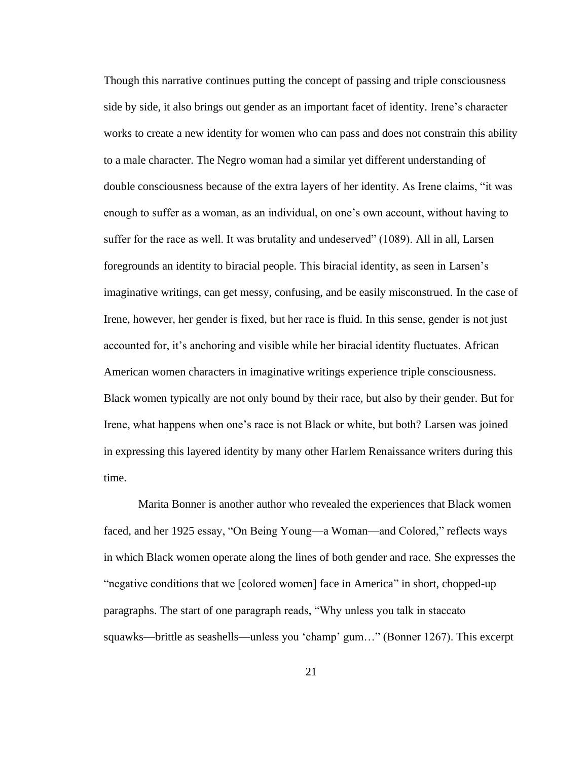Though this narrative continues putting the concept of passing and triple consciousness side by side, it also brings out gender as an important facet of identity. Irene's character works to create a new identity for women who can pass and does not constrain this ability to a male character. The Negro woman had a similar yet different understanding of double consciousness because of the extra layers of her identity. As Irene claims, "it was enough to suffer as a woman, as an individual, on one's own account, without having to suffer for the race as well. It was brutality and undeserved" (1089). All in all, Larsen foregrounds an identity to biracial people. This biracial identity, as seen in Larsen's imaginative writings, can get messy, confusing, and be easily misconstrued. In the case of Irene, however, her gender is fixed, but her race is fluid. In this sense, gender is not just accounted for, it's anchoring and visible while her biracial identity fluctuates. African American women characters in imaginative writings experience triple consciousness. Black women typically are not only bound by their race, but also by their gender. But for Irene, what happens when one's race is not Black or white, but both? Larsen was joined in expressing this layered identity by many other Harlem Renaissance writers during this time.

Marita Bonner is another author who revealed the experiences that Black women faced, and her 1925 essay, "On Being Young—a Woman—and Colored," reflects ways in which Black women operate along the lines of both gender and race. She expresses the "negative conditions that we [colored women] face in America" in short, chopped-up paragraphs. The start of one paragraph reads, "Why unless you talk in staccato squawks—brittle as seashells—unless you 'champ' gum…" (Bonner 1267). This excerpt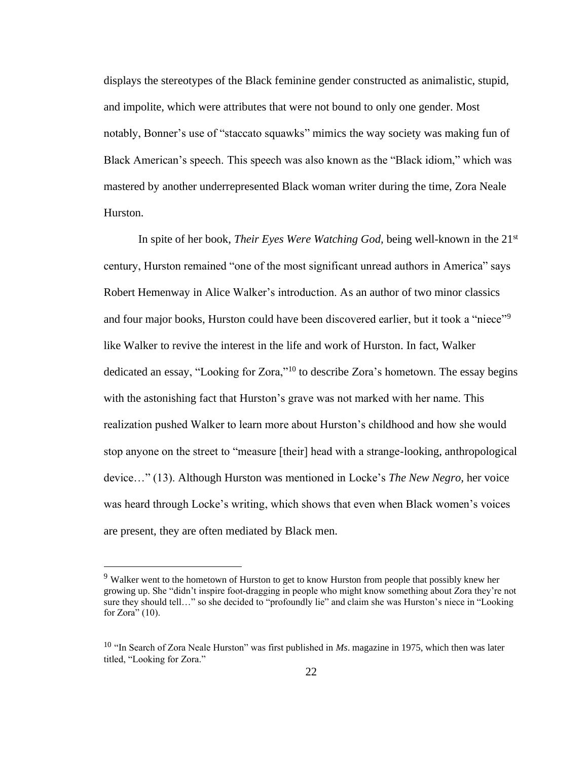displays the stereotypes of the Black feminine gender constructed as animalistic, stupid, and impolite, which were attributes that were not bound to only one gender. Most notably, Bonner's use of "staccato squawks" mimics the way society was making fun of Black American's speech. This speech was also known as the "Black idiom," which was mastered by another underrepresented Black woman writer during the time, Zora Neale Hurston.

In spite of her book, *Their Eyes Were Watching God,* being well-known in the 21st century, Hurston remained "one of the most significant unread authors in America" says Robert Hemenway in Alice Walker's introduction. As an author of two minor classics and four major books, Hurston could have been discovered earlier, but it took a "niece"<sup>9</sup> like Walker to revive the interest in the life and work of Hurston. In fact, Walker dedicated an essay, "Looking for Zora,"<sup>10</sup> to describe Zora's hometown. The essay begins with the astonishing fact that Hurston's grave was not marked with her name. This realization pushed Walker to learn more about Hurston's childhood and how she would stop anyone on the street to "measure [their] head with a strange-looking, anthropological device…" (13). Although Hurston was mentioned in Locke's *The New Negro,* her voice was heard through Locke's writing, which shows that even when Black women's voices are present, they are often mediated by Black men.

<sup>&</sup>lt;sup>9</sup> Walker went to the hometown of Hurston to get to know Hurston from people that possibly knew her growing up. She "didn't inspire foot-dragging in people who might know something about Zora they're not sure they should tell…" so she decided to "profoundly lie" and claim she was Hurston's niece in "Looking for Zora"  $(10)$ .

<sup>10</sup> "In Search of Zora Neale Hurston" was first published in *Ms*. magazine in 1975, which then was later titled, "Looking for Zora."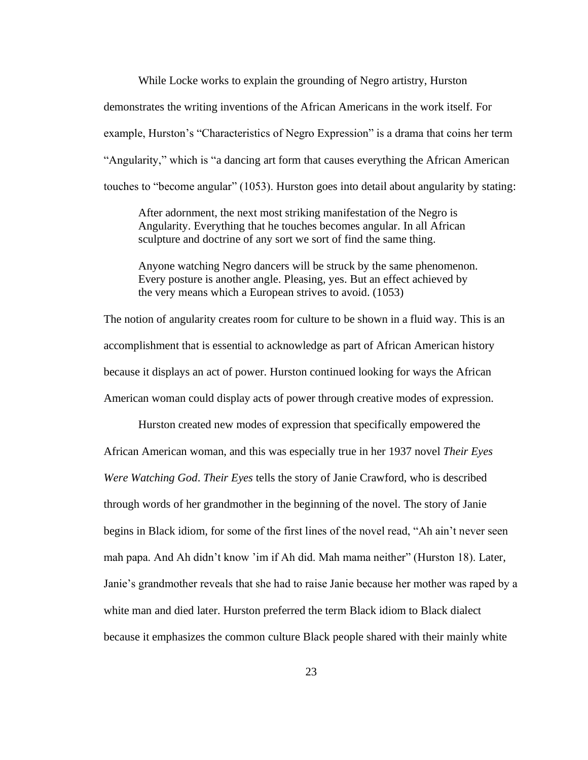While Locke works to explain the grounding of Negro artistry, Hurston demonstrates the writing inventions of the African Americans in the work itself. For example, Hurston's "Characteristics of Negro Expression" is a drama that coins her term "Angularity," which is "a dancing art form that causes everything the African American touches to "become angular" (1053). Hurston goes into detail about angularity by stating:

After adornment, the next most striking manifestation of the Negro is Angularity. Everything that he touches becomes angular. In all African sculpture and doctrine of any sort we sort of find the same thing.

Anyone watching Negro dancers will be struck by the same phenomenon. Every posture is another angle. Pleasing, yes. But an effect achieved by the very means which a European strives to avoid. (1053)

The notion of angularity creates room for culture to be shown in a fluid way. This is an accomplishment that is essential to acknowledge as part of African American history because it displays an act of power. Hurston continued looking for ways the African American woman could display acts of power through creative modes of expression.

Hurston created new modes of expression that specifically empowered the African American woman, and this was especially true in her 1937 novel *Their Eyes Were Watching God*. *Their Eyes* tells the story of Janie Crawford, who is described through words of her grandmother in the beginning of the novel. The story of Janie begins in Black idiom, for some of the first lines of the novel read, "Ah ain't never seen mah papa. And Ah didn't know 'im if Ah did. Mah mama neither" (Hurston 18). Later, Janie's grandmother reveals that she had to raise Janie because her mother was raped by a white man and died later. Hurston preferred the term Black idiom to Black dialect because it emphasizes the common culture Black people shared with their mainly white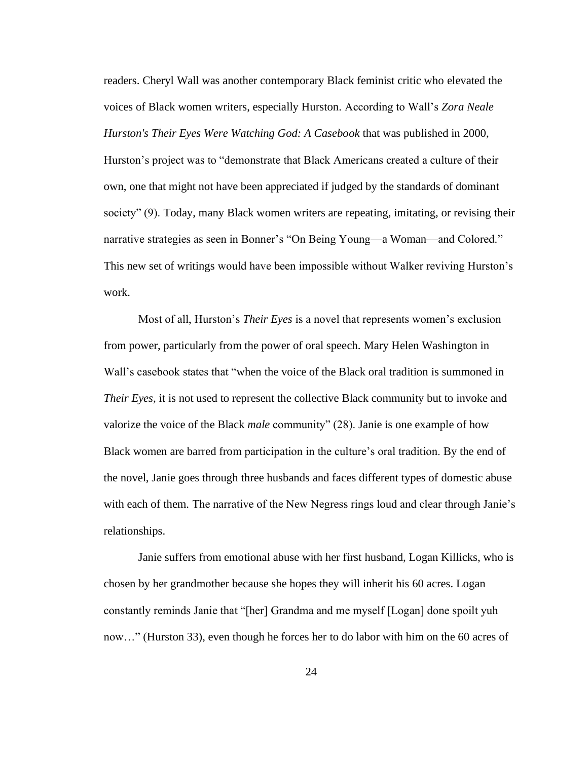readers. Cheryl Wall was another contemporary Black feminist critic who elevated the voices of Black women writers, especially Hurston. According to Wall's *Zora Neale Hurston's Their Eyes Were Watching God: A Casebook* that was published in 2000, Hurston's project was to "demonstrate that Black Americans created a culture of their own, one that might not have been appreciated if judged by the standards of dominant society" (9). Today, many Black women writers are repeating, imitating, or revising their narrative strategies as seen in Bonner's "On Being Young—a Woman—and Colored." This new set of writings would have been impossible without Walker reviving Hurston's work.

Most of all, Hurston's *Their Eyes* is a novel that represents women's exclusion from power, particularly from the power of oral speech. Mary Helen Washington in Wall's casebook states that "when the voice of the Black oral tradition is summoned in *Their Eyes,* it is not used to represent the collective Black community but to invoke and valorize the voice of the Black *male* community" (28). Janie is one example of how Black women are barred from participation in the culture's oral tradition. By the end of the novel, Janie goes through three husbands and faces different types of domestic abuse with each of them. The narrative of the New Negress rings loud and clear through Janie's relationships.

Janie suffers from emotional abuse with her first husband, Logan Killicks, who is chosen by her grandmother because she hopes they will inherit his 60 acres. Logan constantly reminds Janie that "[her] Grandma and me myself [Logan] done spoilt yuh now…" (Hurston 33), even though he forces her to do labor with him on the 60 acres of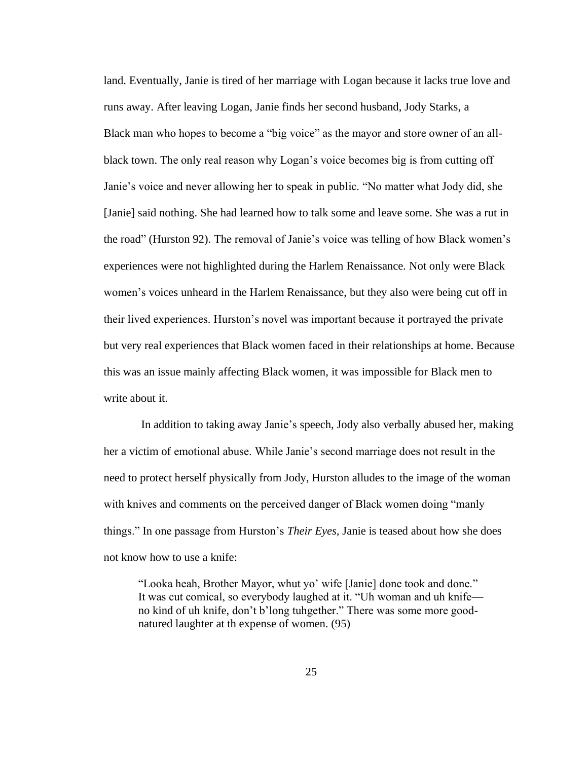land. Eventually, Janie is tired of her marriage with Logan because it lacks true love and runs away. After leaving Logan, Janie finds her second husband, Jody Starks, a Black man who hopes to become a "big voice" as the mayor and store owner of an allblack town. The only real reason why Logan's voice becomes big is from cutting off Janie's voice and never allowing her to speak in public. "No matter what Jody did, she [Janie] said nothing. She had learned how to talk some and leave some. She was a rut in the road" (Hurston 92). The removal of Janie's voice was telling of how Black women's experiences were not highlighted during the Harlem Renaissance. Not only were Black women's voices unheard in the Harlem Renaissance, but they also were being cut off in their lived experiences. Hurston's novel was important because it portrayed the private but very real experiences that Black women faced in their relationships at home. Because this was an issue mainly affecting Black women, it was impossible for Black men to write about it.

In addition to taking away Janie's speech, Jody also verbally abused her, making her a victim of emotional abuse. While Janie's second marriage does not result in the need to protect herself physically from Jody, Hurston alludes to the image of the woman with knives and comments on the perceived danger of Black women doing "manly things." In one passage from Hurston's *Their Eyes,* Janie is teased about how she does not know how to use a knife:

"Looka heah, Brother Mayor, whut yo' wife [Janie] done took and done." It was cut comical, so everybody laughed at it. "Uh woman and uh knife no kind of uh knife, don't b'long tuhgether." There was some more goodnatured laughter at th expense of women. (95)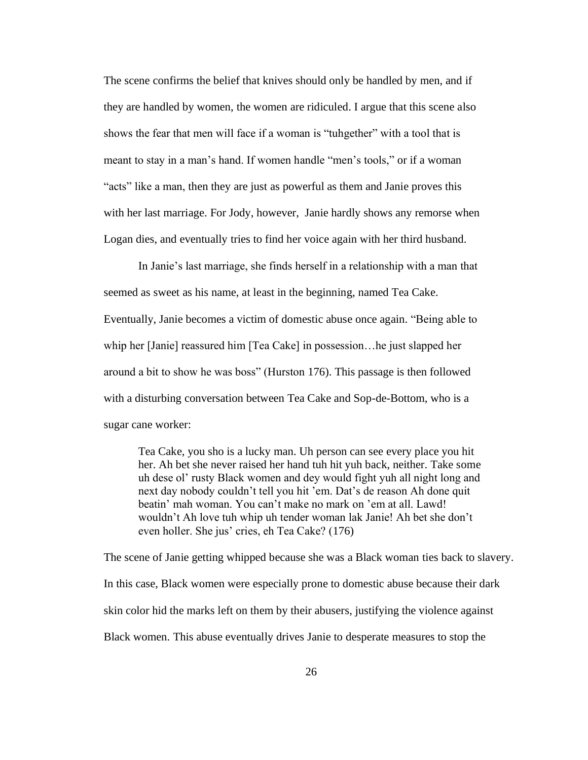The scene confirms the belief that knives should only be handled by men, and if they are handled by women, the women are ridiculed. I argue that this scene also shows the fear that men will face if a woman is "tuhgether" with a tool that is meant to stay in a man's hand. If women handle "men's tools," or if a woman "acts" like a man, then they are just as powerful as them and Janie proves this with her last marriage. For Jody, however, Janie hardly shows any remorse when Logan dies, and eventually tries to find her voice again with her third husband.

In Janie's last marriage, she finds herself in a relationship with a man that seemed as sweet as his name, at least in the beginning, named Tea Cake. Eventually, Janie becomes a victim of domestic abuse once again. "Being able to whip her [Janie] reassured him [Tea Cake] in possession…he just slapped her around a bit to show he was boss" (Hurston 176). This passage is then followed with a disturbing conversation between Tea Cake and Sop-de-Bottom, who is a sugar cane worker:

Tea Cake, you sho is a lucky man. Uh person can see every place you hit her. Ah bet she never raised her hand tuh hit yuh back, neither. Take some uh dese ol' rusty Black women and dey would fight yuh all night long and next day nobody couldn't tell you hit 'em. Dat's de reason Ah done quit beatin' mah woman. You can't make no mark on 'em at all. Lawd! wouldn't Ah love tuh whip uh tender woman lak Janie! Ah bet she don't even holler. She jus' cries, eh Tea Cake? (176)

The scene of Janie getting whipped because she was a Black woman ties back to slavery. In this case, Black women were especially prone to domestic abuse because their dark skin color hid the marks left on them by their abusers, justifying the violence against Black women. This abuse eventually drives Janie to desperate measures to stop the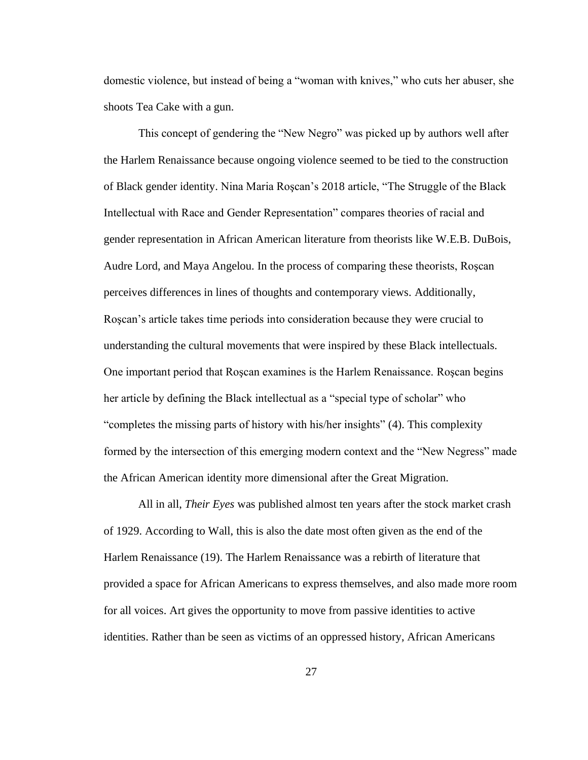domestic violence, but instead of being a "woman with knives," who cuts her abuser, she shoots Tea Cake with a gun.

This concept of gendering the "New Negro" was picked up by authors well after the Harlem Renaissance because ongoing violence seemed to be tied to the construction of Black gender identity. Nina Maria Roşcan's 2018 article, "The Struggle of the Black Intellectual with Race and Gender Representation" compares theories of racial and gender representation in African American literature from theorists like W.E.B. DuBois, Audre Lord, and Maya Angelou. In the process of comparing these theorists, Roşcan perceives differences in lines of thoughts and contemporary views. Additionally, Roşcan's article takes time periods into consideration because they were crucial to understanding the cultural movements that were inspired by these Black intellectuals. One important period that Roşcan examines is the Harlem Renaissance. Roşcan begins her article by defining the Black intellectual as a "special type of scholar" who "completes the missing parts of history with his/her insights" (4). This complexity formed by the intersection of this emerging modern context and the "New Negress" made the African American identity more dimensional after the Great Migration.

All in all, *Their Eyes* was published almost ten years after the stock market crash of 1929. According to Wall, this is also the date most often given as the end of the Harlem Renaissance (19). The Harlem Renaissance was a rebirth of literature that provided a space for African Americans to express themselves, and also made more room for all voices. Art gives the opportunity to move from passive identities to active identities. Rather than be seen as victims of an oppressed history, African Americans

27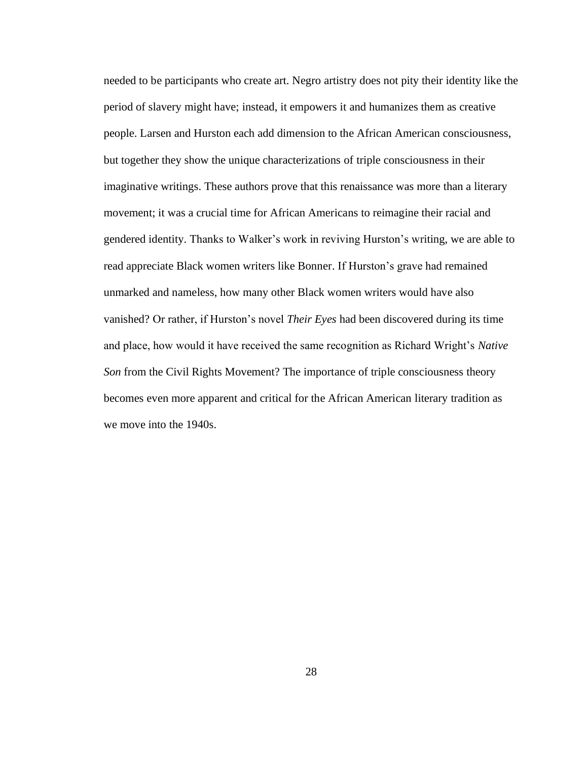needed to be participants who create art. Negro artistry does not pity their identity like the period of slavery might have; instead, it empowers it and humanizes them as creative people. Larsen and Hurston each add dimension to the African American consciousness, but together they show the unique characterizations of triple consciousness in their imaginative writings. These authors prove that this renaissance was more than a literary movement; it was a crucial time for African Americans to reimagine their racial and gendered identity. Thanks to Walker's work in reviving Hurston's writing, we are able to read appreciate Black women writers like Bonner. If Hurston's grave had remained unmarked and nameless, how many other Black women writers would have also vanished? Or rather, if Hurston's novel *Their Eyes* had been discovered during its time and place, how would it have received the same recognition as Richard Wright's *Native Son* from the Civil Rights Movement? The importance of triple consciousness theory becomes even more apparent and critical for the African American literary tradition as we move into the 1940s.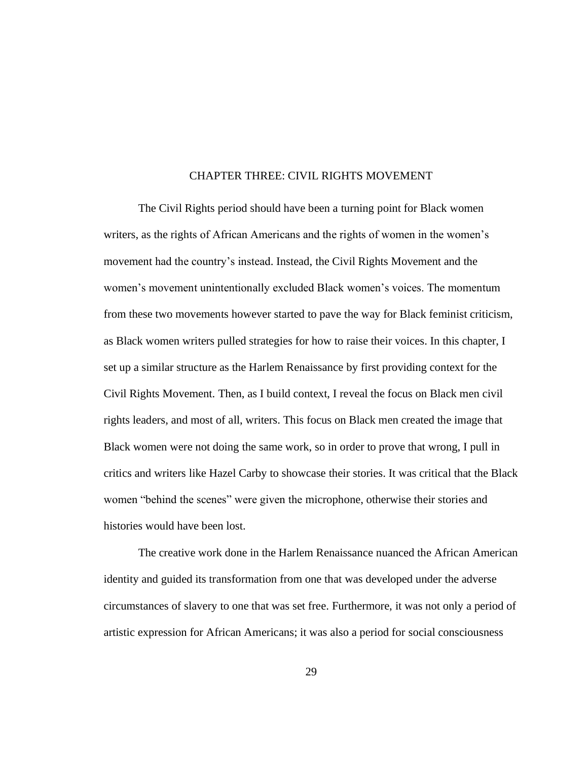#### CHAPTER THREE: CIVIL RIGHTS MOVEMENT

The Civil Rights period should have been a turning point for Black women writers, as the rights of African Americans and the rights of women in the women's movement had the country's instead. Instead, the Civil Rights Movement and the women's movement unintentionally excluded Black women's voices. The momentum from these two movements however started to pave the way for Black feminist criticism, as Black women writers pulled strategies for how to raise their voices. In this chapter, I set up a similar structure as the Harlem Renaissance by first providing context for the Civil Rights Movement. Then, as I build context, I reveal the focus on Black men civil rights leaders, and most of all, writers. This focus on Black men created the image that Black women were not doing the same work, so in order to prove that wrong, I pull in critics and writers like Hazel Carby to showcase their stories. It was critical that the Black women "behind the scenes" were given the microphone, otherwise their stories and histories would have been lost.

The creative work done in the Harlem Renaissance nuanced the African American identity and guided its transformation from one that was developed under the adverse circumstances of slavery to one that was set free. Furthermore, it was not only a period of artistic expression for African Americans; it was also a period for social consciousness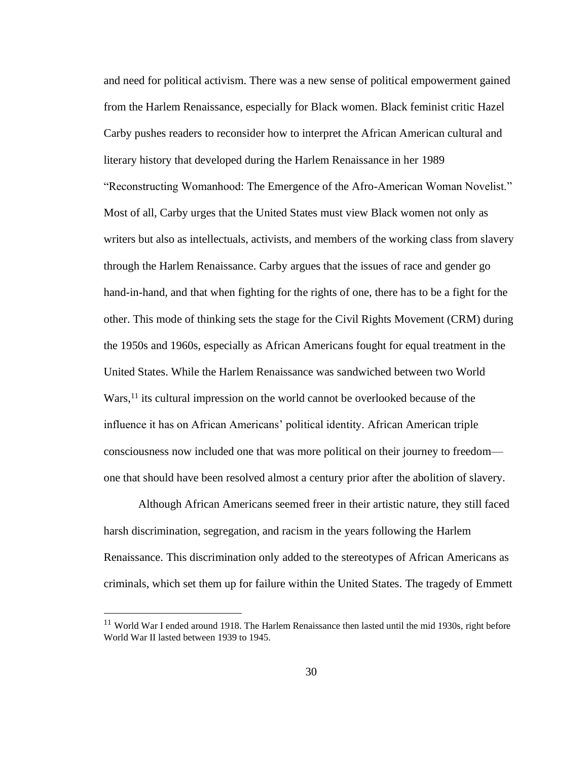and need for political activism. There was a new sense of political empowerment gained from the Harlem Renaissance, especially for Black women. Black feminist critic Hazel Carby pushes readers to reconsider how to interpret the African American cultural and literary history that developed during the Harlem Renaissance in her 1989 "Reconstructing Womanhood: The Emergence of the Afro-American Woman Novelist." Most of all, Carby urges that the United States must view Black women not only as writers but also as intellectuals, activists, and members of the working class from slavery through the Harlem Renaissance. Carby argues that the issues of race and gender go hand-in-hand, and that when fighting for the rights of one, there has to be a fight for the other. This mode of thinking sets the stage for the Civil Rights Movement (CRM) during the 1950s and 1960s, especially as African Americans fought for equal treatment in the United States. While the Harlem Renaissance was sandwiched between two World Wars,<sup>11</sup> its cultural impression on the world cannot be overlooked because of the influence it has on African Americans' political identity. African American triple consciousness now included one that was more political on their journey to freedom one that should have been resolved almost a century prior after the abolition of slavery.

Although African Americans seemed freer in their artistic nature, they still faced harsh discrimination, segregation, and racism in the years following the Harlem Renaissance. This discrimination only added to the stereotypes of African Americans as criminals, which set them up for failure within the United States. The tragedy of Emmett

 $11$  World War I ended around 1918. The Harlem Renaissance then lasted until the mid 1930s, right before World War II lasted between 1939 to 1945.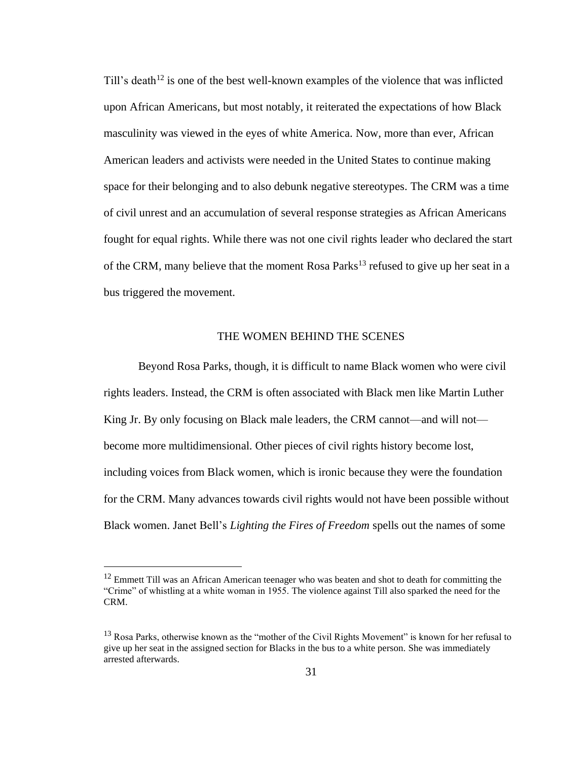Till's death<sup>12</sup> is one of the best well-known examples of the violence that was inflicted upon African Americans, but most notably, it reiterated the expectations of how Black masculinity was viewed in the eyes of white America. Now, more than ever, African American leaders and activists were needed in the United States to continue making space for their belonging and to also debunk negative stereotypes. The CRM was a time of civil unrest and an accumulation of several response strategies as African Americans fought for equal rights. While there was not one civil rights leader who declared the start of the CRM, many believe that the moment Rosa Parks<sup>13</sup> refused to give up her seat in a bus triggered the movement.

#### THE WOMEN BEHIND THE SCENES

Beyond Rosa Parks, though, it is difficult to name Black women who were civil rights leaders. Instead, the CRM is often associated with Black men like Martin Luther King Jr. By only focusing on Black male leaders, the CRM cannot—and will not become more multidimensional. Other pieces of civil rights history become lost, including voices from Black women, which is ironic because they were the foundation for the CRM. Many advances towards civil rights would not have been possible without Black women. Janet Bell's *Lighting the Fires of Freedom* spells out the names of some

<sup>&</sup>lt;sup>12</sup> Emmett Till was an African American teenager who was beaten and shot to death for committing the "Crime" of whistling at a white woman in 1955. The violence against Till also sparked the need for the CRM.

<sup>&</sup>lt;sup>13</sup> Rosa Parks, otherwise known as the "mother of the Civil Rights Movement" is known for her refusal to give up her seat in the assigned section for Blacks in the bus to a white person. She was immediately arrested afterwards.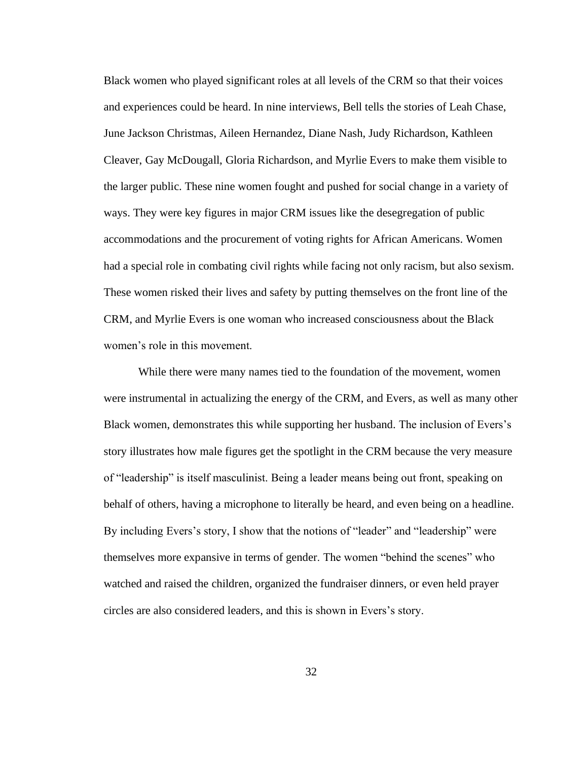Black women who played significant roles at all levels of the CRM so that their voices and experiences could be heard. In nine interviews, Bell tells the stories of Leah Chase, June Jackson Christmas, Aileen Hernandez, Diane Nash, Judy Richardson, Kathleen Cleaver, Gay McDougall, Gloria Richardson, and Myrlie Evers to make them visible to the larger public. These nine women fought and pushed for social change in a variety of ways. They were key figures in major CRM issues like the desegregation of public accommodations and the procurement of voting rights for African Americans. Women had a special role in combating civil rights while facing not only racism, but also sexism. These women risked their lives and safety by putting themselves on the front line of the CRM, and Myrlie Evers is one woman who increased consciousness about the Black women's role in this movement.

While there were many names tied to the foundation of the movement, women were instrumental in actualizing the energy of the CRM, and Evers, as well as many other Black women, demonstrates this while supporting her husband. The inclusion of Evers's story illustrates how male figures get the spotlight in the CRM because the very measure of "leadership" is itself masculinist. Being a leader means being out front, speaking on behalf of others, having a microphone to literally be heard, and even being on a headline. By including Evers's story, I show that the notions of "leader" and "leadership" were themselves more expansive in terms of gender. The women "behind the scenes" who watched and raised the children, organized the fundraiser dinners, or even held prayer circles are also considered leaders, and this is shown in Evers's story.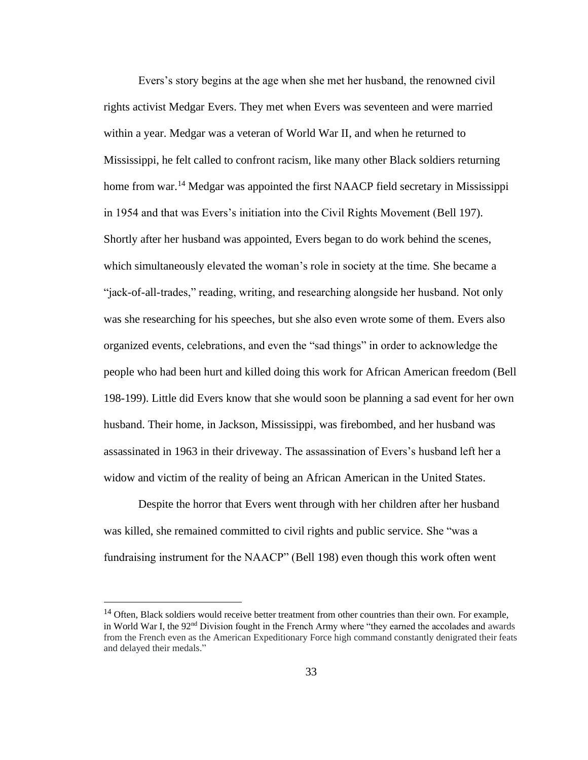Evers's story begins at the age when she met her husband, the renowned civil rights activist Medgar Evers. They met when Evers was seventeen and were married within a year. Medgar was a veteran of World War II, and when he returned to Mississippi, he felt called to confront racism, like many other Black soldiers returning home from war.<sup>14</sup> Medgar was appointed the first NAACP field secretary in Mississippi in 1954 and that was Evers's initiation into the Civil Rights Movement (Bell 197). Shortly after her husband was appointed, Evers began to do work behind the scenes, which simultaneously elevated the woman's role in society at the time. She became a "jack-of-all-trades," reading, writing, and researching alongside her husband. Not only was she researching for his speeches, but she also even wrote some of them. Evers also organized events, celebrations, and even the "sad things" in order to acknowledge the people who had been hurt and killed doing this work for African American freedom (Bell 198-199). Little did Evers know that she would soon be planning a sad event for her own husband. Their home, in Jackson, Mississippi, was firebombed, and her husband was assassinated in 1963 in their driveway. The assassination of Evers's husband left her a widow and victim of the reality of being an African American in the United States.

Despite the horror that Evers went through with her children after her husband was killed, she remained committed to civil rights and public service. She "was a fundraising instrument for the NAACP" (Bell 198) even though this work often went

<sup>&</sup>lt;sup>14</sup> Often, Black soldiers would receive better treatment from other countries than their own. For example, in World War I, the 92<sup>nd</sup> Division fought in the French Army where "they earned the accolades and awards" from the French even as the American Expeditionary Force high command constantly denigrated their feats and delayed their medals."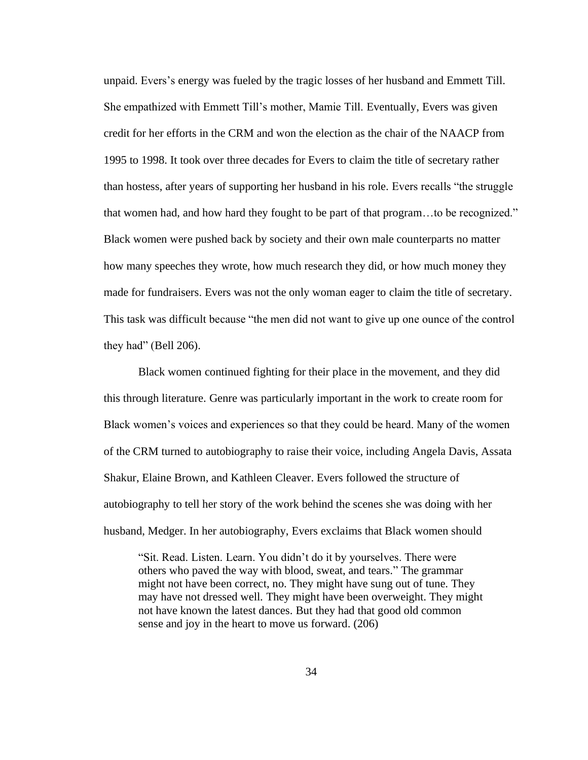unpaid. Evers's energy was fueled by the tragic losses of her husband and Emmett Till. She empathized with Emmett Till's mother, Mamie Till. Eventually, Evers was given credit for her efforts in the CRM and won the election as the chair of the NAACP from 1995 to 1998. It took over three decades for Evers to claim the title of secretary rather than hostess, after years of supporting her husband in his role. Evers recalls "the struggle that women had, and how hard they fought to be part of that program…to be recognized." Black women were pushed back by society and their own male counterparts no matter how many speeches they wrote, how much research they did, or how much money they made for fundraisers. Evers was not the only woman eager to claim the title of secretary. This task was difficult because "the men did not want to give up one ounce of the control they had" (Bell 206).

Black women continued fighting for their place in the movement, and they did this through literature. Genre was particularly important in the work to create room for Black women's voices and experiences so that they could be heard. Many of the women of the CRM turned to autobiography to raise their voice, including Angela Davis, Assata Shakur, Elaine Brown, and Kathleen Cleaver. Evers followed the structure of autobiography to tell her story of the work behind the scenes she was doing with her husband, Medger. In her autobiography, Evers exclaims that Black women should

"Sit. Read. Listen. Learn. You didn't do it by yourselves. There were others who paved the way with blood, sweat, and tears." The grammar might not have been correct, no. They might have sung out of tune. They may have not dressed well. They might have been overweight. They might not have known the latest dances. But they had that good old common sense and joy in the heart to move us forward. (206)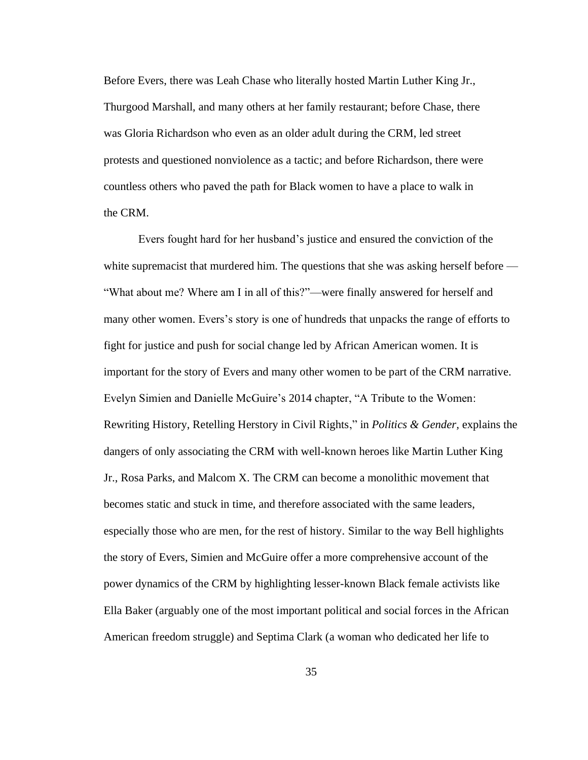Before Evers, there was Leah Chase who literally hosted Martin Luther King Jr., Thurgood Marshall, and many others at her family restaurant; before Chase, there was Gloria Richardson who even as an older adult during the CRM, led street protests and questioned nonviolence as a tactic; and before Richardson, there were countless others who paved the path for Black women to have a place to walk in the CRM.

Evers fought hard for her husband's justice and ensured the conviction of the white supremacist that murdered him. The questions that she was asking herself before — "What about me? Where am I in all of this?"—were finally answered for herself and many other women. Evers's story is one of hundreds that unpacks the range of efforts to fight for justice and push for social change led by African American women. It is important for the story of Evers and many other women to be part of the CRM narrative. Evelyn Simien and Danielle McGuire's 2014 chapter, "A Tribute to the Women: Rewriting History, Retelling Herstory in Civil Rights," in *Politics & Gender,* explains the dangers of only associating the CRM with well-known heroes like Martin Luther King Jr., Rosa Parks, and Malcom X. The CRM can become a monolithic movement that becomes static and stuck in time, and therefore associated with the same leaders, especially those who are men, for the rest of history. Similar to the way Bell highlights the story of Evers, Simien and McGuire offer a more comprehensive account of the power dynamics of the CRM by highlighting lesser-known Black female activists like Ella Baker (arguably one of the most important political and social forces in the African American freedom struggle) and Septima Clark (a woman who dedicated her life to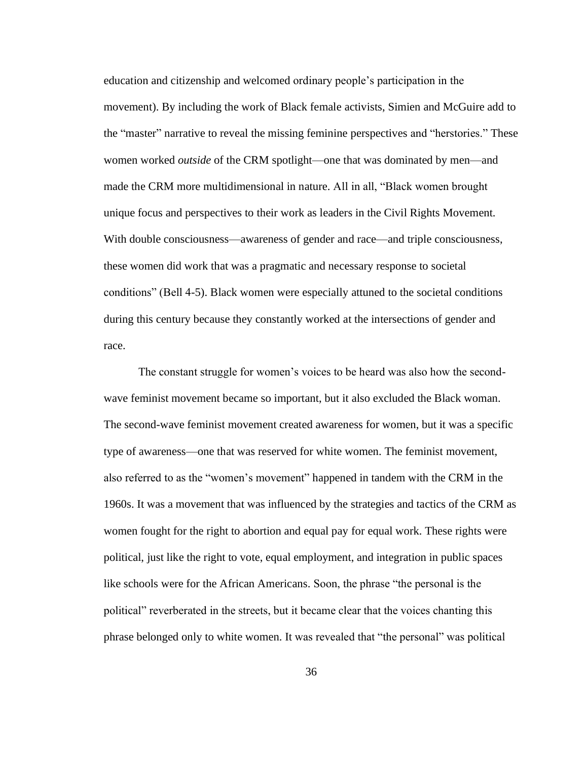education and citizenship and welcomed ordinary people's participation in the movement). By including the work of Black female activists, Simien and McGuire add to the "master" narrative to reveal the missing feminine perspectives and "herstories." These women worked *outside* of the CRM spotlight—one that was dominated by men—and made the CRM more multidimensional in nature. All in all, "Black women brought unique focus and perspectives to their work as leaders in the Civil Rights Movement. With double consciousness—awareness of gender and race—and triple consciousness, these women did work that was a pragmatic and necessary response to societal conditions" (Bell 4-5). Black women were especially attuned to the societal conditions during this century because they constantly worked at the intersections of gender and race.

The constant struggle for women's voices to be heard was also how the secondwave feminist movement became so important, but it also excluded the Black woman. The second-wave feminist movement created awareness for women, but it was a specific type of awareness—one that was reserved for white women. The feminist movement, also referred to as the "women's movement" happened in tandem with the CRM in the 1960s. It was a movement that was influenced by the strategies and tactics of the CRM as women fought for the right to abortion and equal pay for equal work. These rights were political, just like the right to vote, equal employment, and integration in public spaces like schools were for the African Americans. Soon, the phrase "the personal is the political" reverberated in the streets, but it became clear that the voices chanting this phrase belonged only to white women. It was revealed that "the personal" was political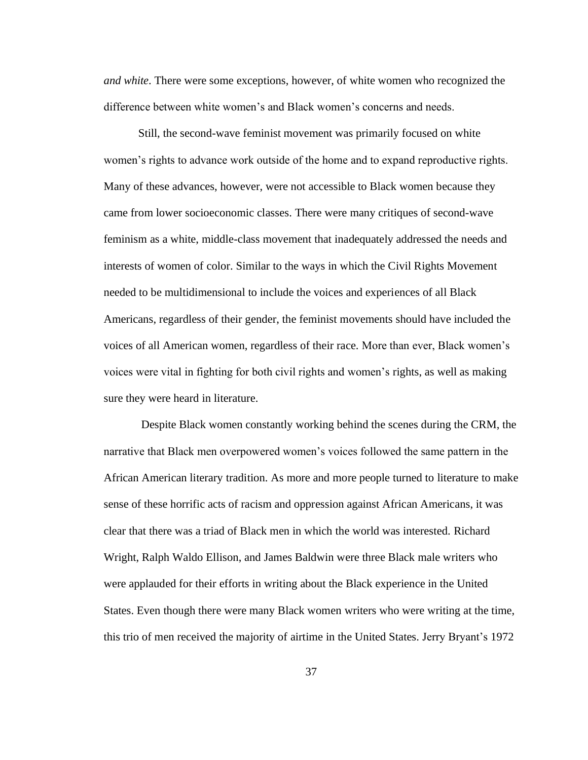*and white*. There were some exceptions, however, of white women who recognized the difference between white women's and Black women's concerns and needs.

Still, the second-wave feminist movement was primarily focused on white women's rights to advance work outside of the home and to expand reproductive rights. Many of these advances, however, were not accessible to Black women because they came from lower socioeconomic classes. There were many critiques of second-wave feminism as a white, middle-class movement that inadequately addressed the needs and interests of women of color. Similar to the ways in which the Civil Rights Movement needed to be multidimensional to include the voices and experiences of all Black Americans, regardless of their gender, the feminist movements should have included the voices of all American women, regardless of their race. More than ever, Black women's voices were vital in fighting for both civil rights and women's rights, as well as making sure they were heard in literature.

Despite Black women constantly working behind the scenes during the CRM, the narrative that Black men overpowered women's voices followed the same pattern in the African American literary tradition. As more and more people turned to literature to make sense of these horrific acts of racism and oppression against African Americans, it was clear that there was a triad of Black men in which the world was interested. Richard Wright, Ralph Waldo Ellison, and James Baldwin were three Black male writers who were applauded for their efforts in writing about the Black experience in the United States. Even though there were many Black women writers who were writing at the time, this trio of men received the majority of airtime in the United States. Jerry Bryant's 1972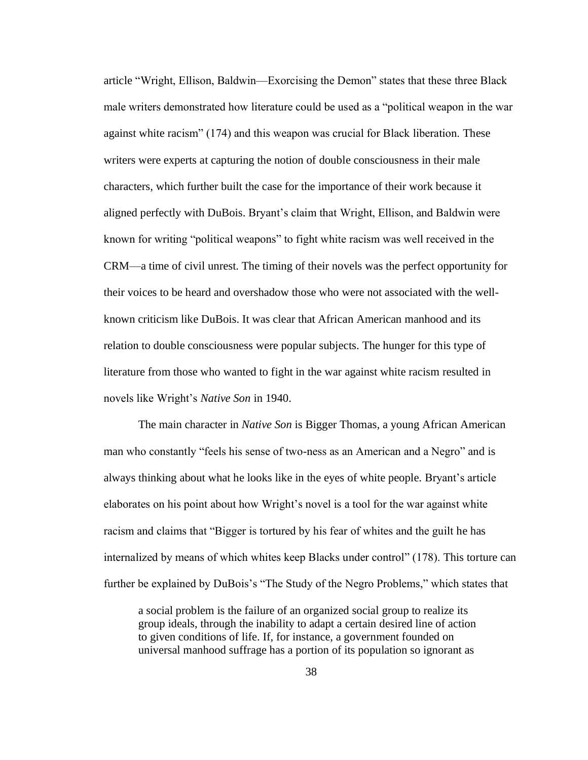article "Wright, Ellison, Baldwin—Exorcising the Demon" states that these three Black male writers demonstrated how literature could be used as a "political weapon in the war against white racism" (174) and this weapon was crucial for Black liberation. These writers were experts at capturing the notion of double consciousness in their male characters, which further built the case for the importance of their work because it aligned perfectly with DuBois. Bryant's claim that Wright, Ellison, and Baldwin were known for writing "political weapons" to fight white racism was well received in the CRM—a time of civil unrest. The timing of their novels was the perfect opportunity for their voices to be heard and overshadow those who were not associated with the wellknown criticism like DuBois. It was clear that African American manhood and its relation to double consciousness were popular subjects. The hunger for this type of literature from those who wanted to fight in the war against white racism resulted in novels like Wright's *Native Son* in 1940.

The main character in *Native Son* is Bigger Thomas*,* a young African American man who constantly "feels his sense of two-ness as an American and a Negro" and is always thinking about what he looks like in the eyes of white people. Bryant's article elaborates on his point about how Wright's novel is a tool for the war against white racism and claims that "Bigger is tortured by his fear of whites and the guilt he has internalized by means of which whites keep Blacks under control" (178). This torture can further be explained by DuBois's "The Study of the Negro Problems," which states that

a social problem is the failure of an organized social group to realize its group ideals, through the inability to adapt a certain desired line of action to given conditions of life. If, for instance, a government founded on universal manhood suffrage has a portion of its population so ignorant as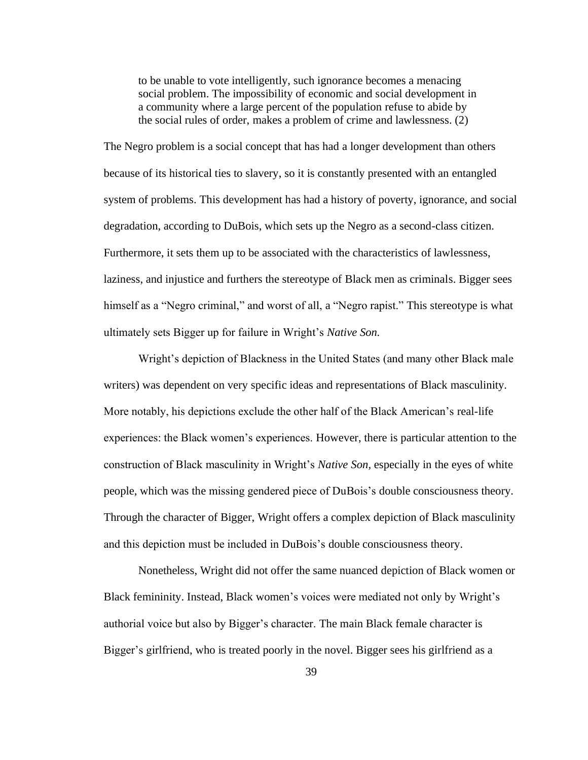to be unable to vote intelligently, such ignorance becomes a menacing social problem. The impossibility of economic and social development in a community where a large percent of the population refuse to abide by the social rules of order, makes a problem of crime and lawlessness. (2)

The Negro problem is a social concept that has had a longer development than others because of its historical ties to slavery, so it is constantly presented with an entangled system of problems. This development has had a history of poverty, ignorance, and social degradation, according to DuBois, which sets up the Negro as a second-class citizen. Furthermore, it sets them up to be associated with the characteristics of lawlessness, laziness, and injustice and furthers the stereotype of Black men as criminals. Bigger sees himself as a "Negro criminal," and worst of all, a "Negro rapist." This stereotype is what ultimately sets Bigger up for failure in Wright's *Native Son.* 

Wright's depiction of Blackness in the United States (and many other Black male writers) was dependent on very specific ideas and representations of Black masculinity. More notably, his depictions exclude the other half of the Black American's real-life experiences: the Black women's experiences. However, there is particular attention to the construction of Black masculinity in Wright's *Native Son,* especially in the eyes of white people, which was the missing gendered piece of DuBois's double consciousness theory. Through the character of Bigger, Wright offers a complex depiction of Black masculinity and this depiction must be included in DuBois's double consciousness theory.

Nonetheless, Wright did not offer the same nuanced depiction of Black women or Black femininity. Instead, Black women's voices were mediated not only by Wright's authorial voice but also by Bigger's character. The main Black female character is Bigger's girlfriend, who is treated poorly in the novel. Bigger sees his girlfriend as a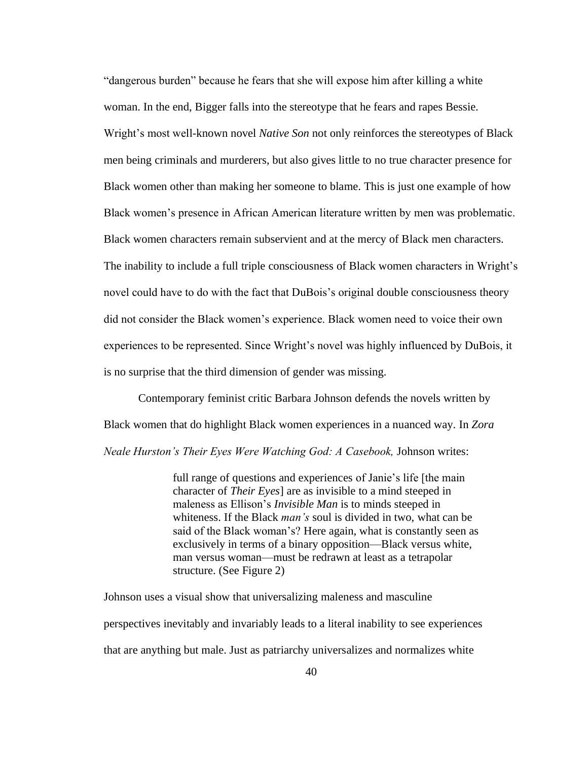"dangerous burden" because he fears that she will expose him after killing a white woman. In the end, Bigger falls into the stereotype that he fears and rapes Bessie. Wright's most well-known novel *Native Son* not only reinforces the stereotypes of Black men being criminals and murderers, but also gives little to no true character presence for Black women other than making her someone to blame. This is just one example of how Black women's presence in African American literature written by men was problematic. Black women characters remain subservient and at the mercy of Black men characters. The inability to include a full triple consciousness of Black women characters in Wright's novel could have to do with the fact that DuBois's original double consciousness theory did not consider the Black women's experience. Black women need to voice their own experiences to be represented. Since Wright's novel was highly influenced by DuBois, it is no surprise that the third dimension of gender was missing.

Contemporary feminist critic Barbara Johnson defends the novels written by Black women that do highlight Black women experiences in a nuanced way. In *Zora Neale Hurston's Their Eyes Were Watching God: A Casebook,* Johnson writes:

> full range of questions and experiences of Janie's life [the main character of *Their Eyes*] are as invisible to a mind steeped in maleness as Ellison's *Invisible Man* is to minds steeped in whiteness. If the Black *man's* soul is divided in two, what can be said of the Black woman's? Here again, what is constantly seen as exclusively in terms of a binary opposition—Black versus white, man versus woman—must be redrawn at least as a tetrapolar structure. (See Figure 2)

Johnson uses a visual show that universalizing maleness and masculine perspectives inevitably and invariably leads to a literal inability to see experiences that are anything but male. Just as patriarchy universalizes and normalizes white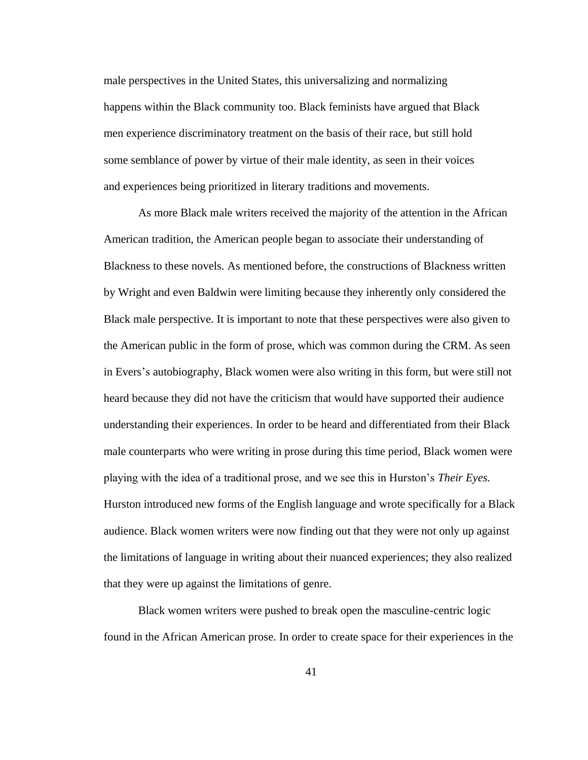male perspectives in the United States, this universalizing and normalizing happens within the Black community too. Black feminists have argued that Black men experience discriminatory treatment on the basis of their race, but still hold some semblance of power by virtue of their male identity, as seen in their voices and experiences being prioritized in literary traditions and movements.

As more Black male writers received the majority of the attention in the African American tradition, the American people began to associate their understanding of Blackness to these novels. As mentioned before, the constructions of Blackness written by Wright and even Baldwin were limiting because they inherently only considered the Black male perspective. It is important to note that these perspectives were also given to the American public in the form of prose, which was common during the CRM. As seen in Evers's autobiography, Black women were also writing in this form, but were still not heard because they did not have the criticism that would have supported their audience understanding their experiences. In order to be heard and differentiated from their Black male counterparts who were writing in prose during this time period, Black women were playing with the idea of a traditional prose, and we see this in Hurston's *Their Eyes.* Hurston introduced new forms of the English language and wrote specifically for a Black audience. Black women writers were now finding out that they were not only up against the limitations of language in writing about their nuanced experiences; they also realized that they were up against the limitations of genre.

Black women writers were pushed to break open the masculine-centric logic found in the African American prose. In order to create space for their experiences in the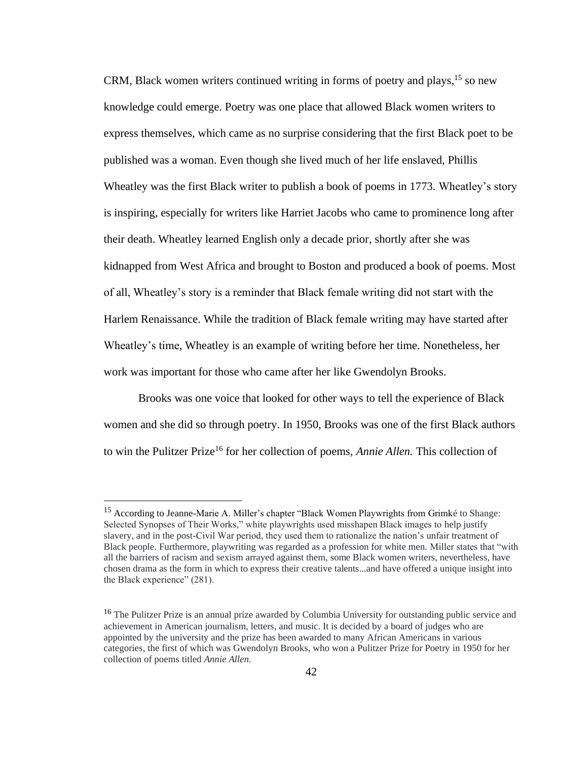CRM, Black women writers continued writing in forms of poetry and plays,  $15$  so new knowledge could emerge. Poetry was one place that allowed Black women writers to express themselves, which came as no surprise considering that the first Black poet to be published was a woman. Even though she lived much of her life enslaved, Phillis Wheatley was the first Black writer to publish a book of poems in 1773. Wheatley's story is inspiring, especially for writers like Harriet Jacobs who came to prominence long after their death. Wheatley learned English only a decade prior, shortly after she was kidnapped from West Africa and brought to Boston and produced a book of poems. Most of all, Wheatley's story is a reminder that Black female writing did not start with the Harlem Renaissance. While the tradition of Black female writing may have started after Wheatley's time, Wheatley is an example of writing before her time. Nonetheless, her work was important for those who came after her like Gwendolyn Brooks.

Brooks was one voice that looked for other ways to tell the experience of Black women and she did so through poetry. In 1950, Brooks was one of the first Black authors to win the Pulitzer Prize<sup>16</sup> for her collection of poems, *Annie Allen*. This collection of

<sup>&</sup>lt;sup>15</sup> According to Jeanne-Marie A. Miller's chapter "Black Women Playwrights from Grimké to Shange: Selected Synopses of Their Works," white playwrights used misshapen Black images to help justify slavery, and in the post-Civil War period, they used them to rationalize the nation's unfair treatment of Black people. Furthermore, playwriting was regarded as a profession for white men. Miller states that "with all the barriers of racism and sexism arrayed against them, some Black women writers, nevertheless, have chosen drama as the form in which to express their creative talents...and have offered a unique insight into the Black experience" (281).

<sup>&</sup>lt;sup>16</sup> The Pulitzer Prize is an annual prize awarded by Columbia University for outstanding public service and achievement in American journalism, letters, and music. It is decided by a board of judges who are appointed by the university and the prize has been awarded to many African Americans in various categories, the first of which was Gwendolyn Brooks, who won a Pulitzer Prize for Poetry in 1950 for her collection of poems titled *Annie Allen.*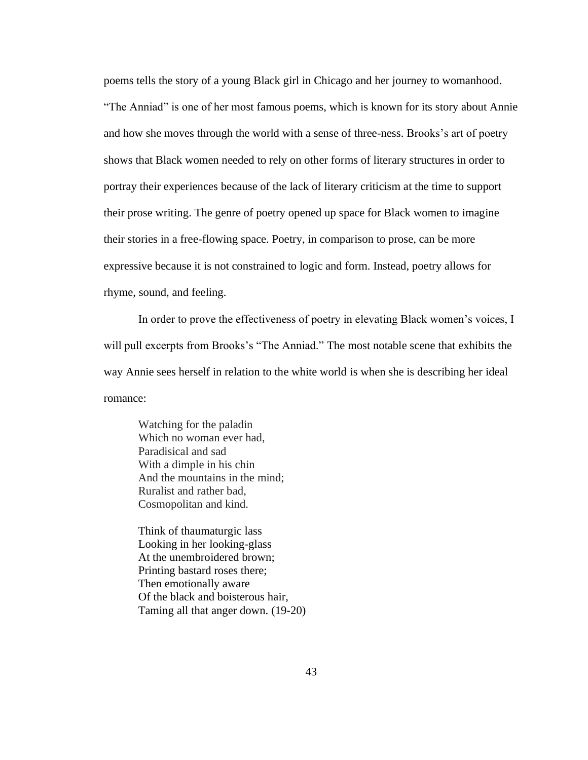poems tells the story of a young Black girl in Chicago and her journey to womanhood. "The Anniad" is one of her most famous poems, which is known for its story about Annie and how she moves through the world with a sense of three-ness. Brooks's art of poetry shows that Black women needed to rely on other forms of literary structures in order to portray their experiences because of the lack of literary criticism at the time to support their prose writing. The genre of poetry opened up space for Black women to imagine their stories in a free-flowing space. Poetry, in comparison to prose, can be more expressive because it is not constrained to logic and form. Instead, poetry allows for rhyme, sound, and feeling.

In order to prove the effectiveness of poetry in elevating Black women's voices, I will pull excerpts from Brooks's "The Anniad." The most notable scene that exhibits the way Annie sees herself in relation to the white world is when she is describing her ideal romance:

Watching for the paladin Which no woman ever had, Paradisical and sad With a dimple in his chin And the mountains in the mind; Ruralist and rather bad, Cosmopolitan and kind.

Think of thaumaturgic lass Looking in her looking-glass At the unembroidered brown; Printing bastard roses there; Then emotionally aware Of the black and boisterous hair, Taming all that anger down. (19-20)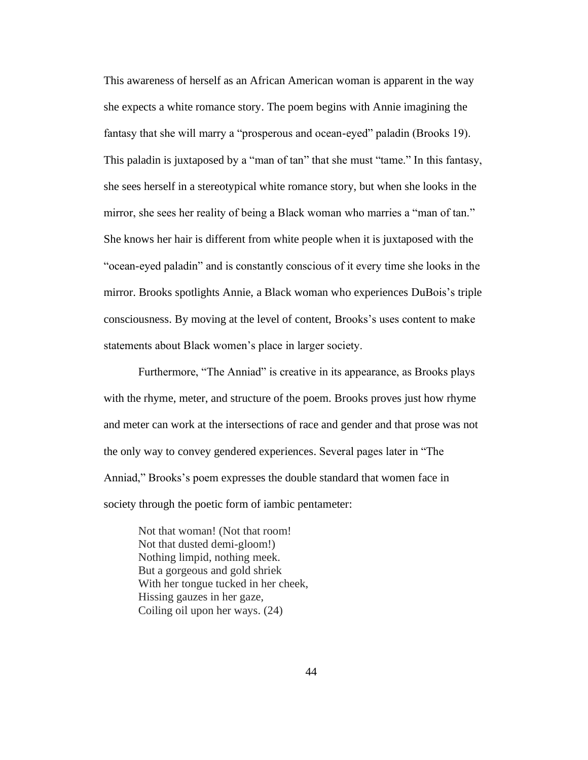This awareness of herself as an African American woman is apparent in the way she expects a white romance story. The poem begins with Annie imagining the fantasy that she will marry a "prosperous and ocean-eyed" paladin (Brooks 19). This paladin is juxtaposed by a "man of tan" that she must "tame." In this fantasy, she sees herself in a stereotypical white romance story, but when she looks in the mirror, she sees her reality of being a Black woman who marries a "man of tan." She knows her hair is different from white people when it is juxtaposed with the "ocean-eyed paladin" and is constantly conscious of it every time she looks in the mirror. Brooks spotlights Annie, a Black woman who experiences DuBois's triple consciousness. By moving at the level of content, Brooks's uses content to make statements about Black women's place in larger society.

Furthermore, "The Anniad" is creative in its appearance, as Brooks plays with the rhyme, meter, and structure of the poem. Brooks proves just how rhyme and meter can work at the intersections of race and gender and that prose was not the only way to convey gendered experiences. Several pages later in "The Anniad," Brooks's poem expresses the double standard that women face in society through the poetic form of iambic pentameter:

Not that woman! (Not that room! Not that dusted demi-gloom!) Nothing limpid, nothing meek. But a gorgeous and gold shriek With her tongue tucked in her cheek, Hissing gauzes in her gaze, Coiling oil upon her ways. (24)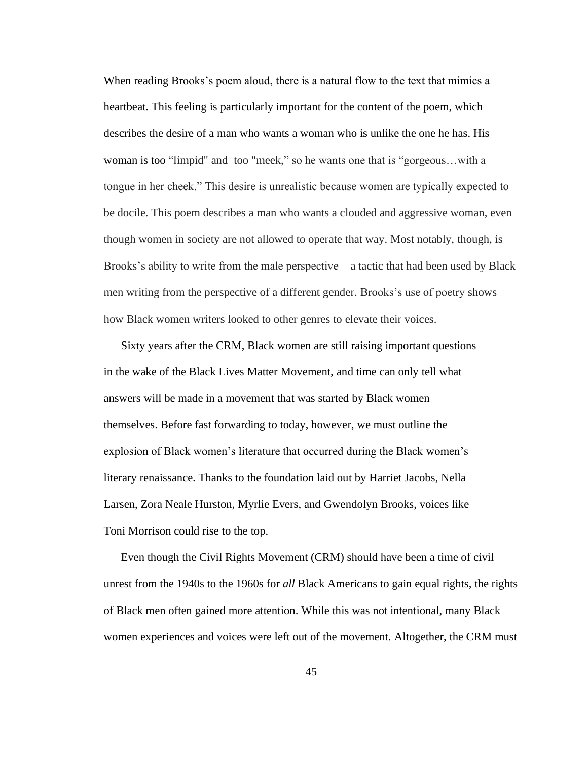When reading Brooks's poem aloud, there is a natural flow to the text that mimics a heartbeat. This feeling is particularly important for the content of the poem, which describes the desire of a man who wants a woman who is unlike the one he has. His woman is too "limpid" and too "meek," so he wants one that is "gorgeous…with a tongue in her cheek." This desire is unrealistic because women are typically expected to be docile. This poem describes a man who wants a clouded and aggressive woman, even though women in society are not allowed to operate that way. Most notably, though, is Brooks's ability to write from the male perspective—a tactic that had been used by Black men writing from the perspective of a different gender. Brooks's use of poetry shows how Black women writers looked to other genres to elevate their voices.

Sixty years after the CRM, Black women are still raising important questions in the wake of the Black Lives Matter Movement, and time can only tell what answers will be made in a movement that was started by Black women themselves. Before fast forwarding to today, however, we must outline the explosion of Black women's literature that occurred during the Black women's literary renaissance. Thanks to the foundation laid out by Harriet Jacobs, Nella Larsen, Zora Neale Hurston, Myrlie Evers, and Gwendolyn Brooks, voices like Toni Morrison could rise to the top.

Even though the Civil Rights Movement (CRM) should have been a time of civil unrest from the 1940s to the 1960s for *all* Black Americans to gain equal rights, the rights of Black men often gained more attention. While this was not intentional, many Black women experiences and voices were left out of the movement. Altogether, the CRM must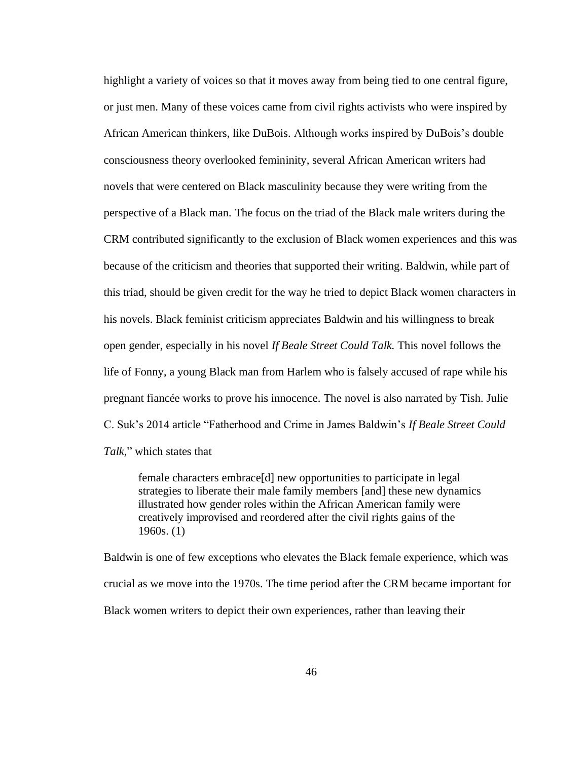highlight a variety of voices so that it moves away from being tied to one central figure, or just men. Many of these voices came from civil rights activists who were inspired by African American thinkers, like DuBois. Although works inspired by DuBois's double consciousness theory overlooked femininity, several African American writers had novels that were centered on Black masculinity because they were writing from the perspective of a Black man. The focus on the triad of the Black male writers during the CRM contributed significantly to the exclusion of Black women experiences and this was because of the criticism and theories that supported their writing. Baldwin, while part of this triad, should be given credit for the way he tried to depict Black women characters in his novels. Black feminist criticism appreciates Baldwin and his willingness to break open gender, especially in his novel *If Beale Street Could Talk.* This novel follows the life of Fonny, a young Black man from Harlem who is falsely accused of rape while his pregnant fiancée works to prove his innocence. The novel is also narrated by Tish. Julie C. Suk's 2014 article "Fatherhood and Crime in James Baldwin's *If Beale Street Could Talk,*" which states that

female characters embrace[d] new opportunities to participate in legal strategies to liberate their male family members [and] these new dynamics illustrated how gender roles within the African American family were creatively improvised and reordered after the civil rights gains of the 1960s. (1)

Baldwin is one of few exceptions who elevates the Black female experience, which was crucial as we move into the 1970s. The time period after the CRM became important for Black women writers to depict their own experiences, rather than leaving their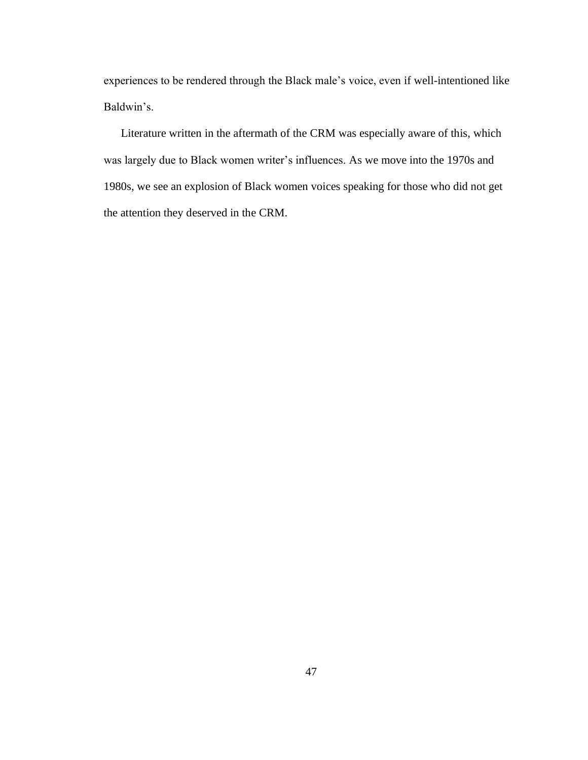experiences to be rendered through the Black male's voice, even if well-intentioned like Baldwin's.

Literature written in the aftermath of the CRM was especially aware of this, which was largely due to Black women writer's influences. As we move into the 1970s and 1980s, we see an explosion of Black women voices speaking for those who did not get the attention they deserved in the CRM.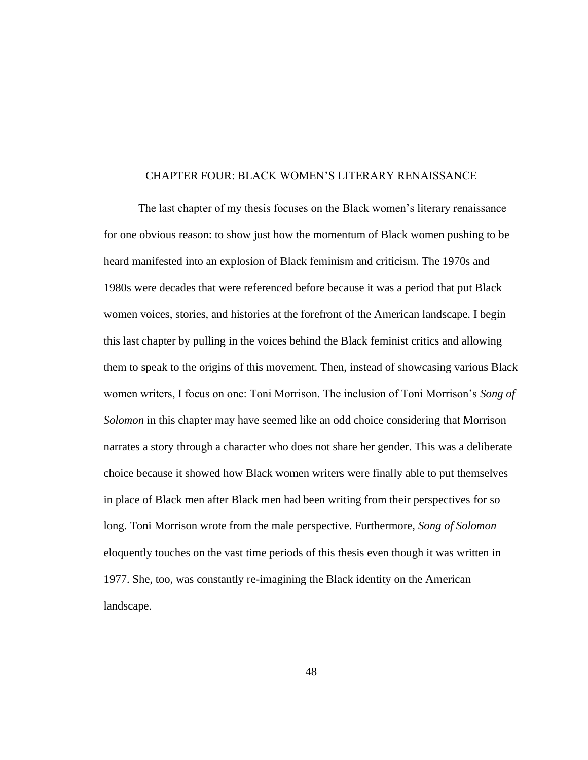## CHAPTER FOUR: BLACK WOMEN'S LITERARY RENAISSANCE

The last chapter of my thesis focuses on the Black women's literary renaissance for one obvious reason: to show just how the momentum of Black women pushing to be heard manifested into an explosion of Black feminism and criticism. The 1970s and 1980s were decades that were referenced before because it was a period that put Black women voices, stories, and histories at the forefront of the American landscape. I begin this last chapter by pulling in the voices behind the Black feminist critics and allowing them to speak to the origins of this movement. Then, instead of showcasing various Black women writers, I focus on one: Toni Morrison. The inclusion of Toni Morrison's *Song of Solomon* in this chapter may have seemed like an odd choice considering that Morrison narrates a story through a character who does not share her gender. This was a deliberate choice because it showed how Black women writers were finally able to put themselves in place of Black men after Black men had been writing from their perspectives for so long. Toni Morrison wrote from the male perspective. Furthermore, *Song of Solomon*  eloquently touches on the vast time periods of this thesis even though it was written in 1977. She, too, was constantly re-imagining the Black identity on the American landscape.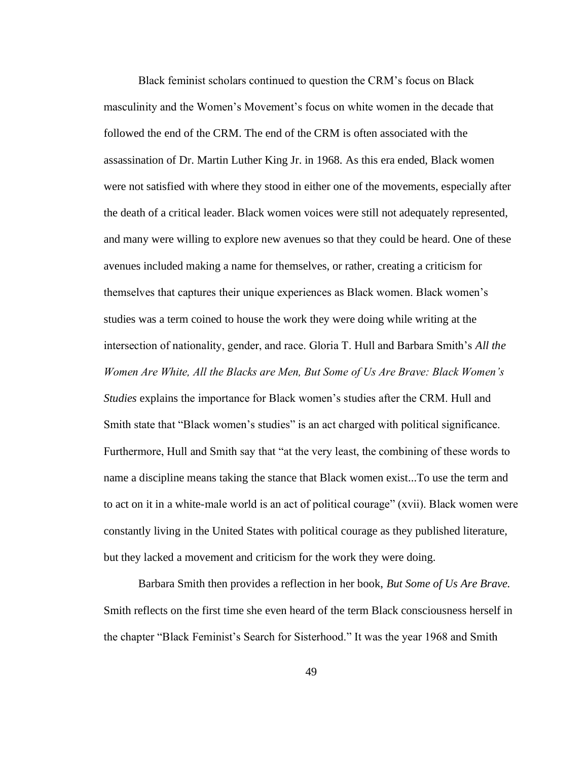Black feminist scholars continued to question the CRM's focus on Black masculinity and the Women's Movement's focus on white women in the decade that followed the end of the CRM. The end of the CRM is often associated with the assassination of Dr. Martin Luther King Jr. in 1968. As this era ended, Black women were not satisfied with where they stood in either one of the movements, especially after the death of a critical leader. Black women voices were still not adequately represented, and many were willing to explore new avenues so that they could be heard. One of these avenues included making a name for themselves, or rather, creating a criticism for themselves that captures their unique experiences as Black women. Black women's studies was a term coined to house the work they were doing while writing at the intersection of nationality, gender, and race. Gloria T. Hull and Barbara Smith's *All the Women Are White, All the Blacks are Men, But Some of Us Are Brave: Black Women's Studies* explains the importance for Black women's studies after the CRM. Hull and Smith state that "Black women's studies" is an act charged with political significance. Furthermore, Hull and Smith say that "at the very least, the combining of these words to name a discipline means taking the stance that Black women exist...To use the term and to act on it in a white-male world is an act of political courage" (xvii). Black women were constantly living in the United States with political courage as they published literature, but they lacked a movement and criticism for the work they were doing.

Barbara Smith then provides a reflection in her book, *But Some of Us Are Brave.*  Smith reflects on the first time she even heard of the term Black consciousness herself in the chapter "Black Feminist's Search for Sisterhood." It was the year 1968 and Smith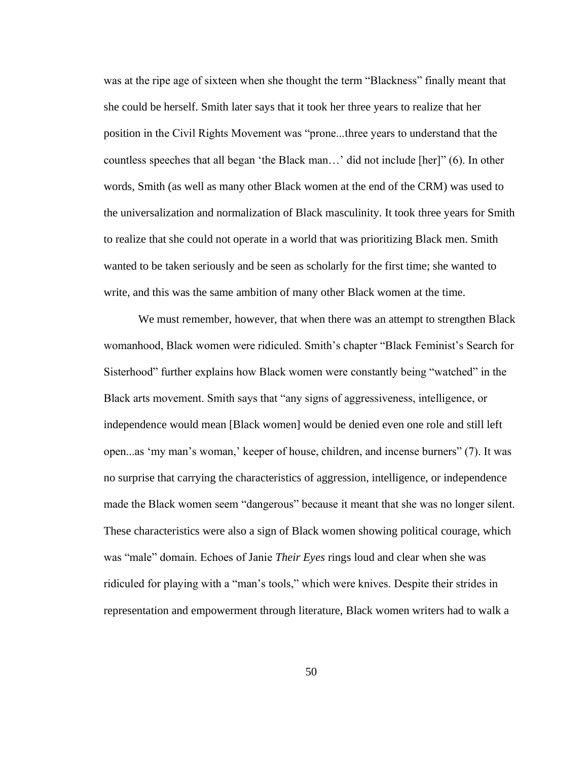was at the ripe age of sixteen when she thought the term "Blackness" finally meant that she could be herself. Smith later says that it took her three years to realize that her position in the Civil Rights Movement was "prone...three years to understand that the countless speeches that all began 'the Black man…' did not include [her]" (6). In other words, Smith (as well as many other Black women at the end of the CRM) was used to the universalization and normalization of Black masculinity. It took three years for Smith to realize that she could not operate in a world that was prioritizing Black men. Smith wanted to be taken seriously and be seen as scholarly for the first time; she wanted to write, and this was the same ambition of many other Black women at the time.

We must remember, however, that when there was an attempt to strengthen Black womanhood, Black women were ridiculed. Smith's chapter "Black Feminist's Search for Sisterhood" further explains how Black women were constantly being "watched" in the Black arts movement. Smith says that "any signs of aggressiveness, intelligence, or independence would mean [Black women] would be denied even one role and still left open...as 'my man's woman,' keeper of house, children, and incense burners" (7). It was no surprise that carrying the characteristics of aggression, intelligence, or independence made the Black women seem "dangerous" because it meant that she was no longer silent. These characteristics were also a sign of Black women showing political courage, which was "male" domain. Echoes of Janie *Their Eyes* rings loud and clear when she was ridiculed for playing with a "man's tools," which were knives. Despite their strides in representation and empowerment through literature, Black women writers had to walk a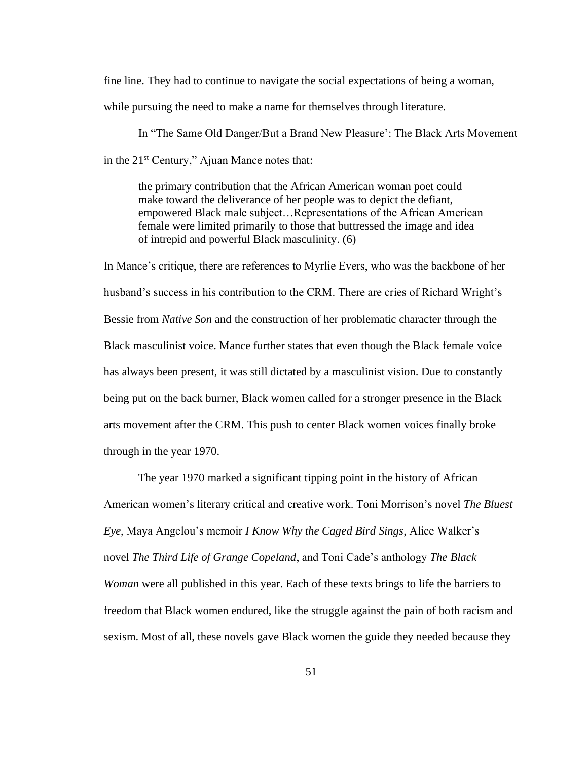fine line. They had to continue to navigate the social expectations of being a woman, while pursuing the need to make a name for themselves through literature.

In "The Same Old Danger/But a Brand New Pleasure': The Black Arts Movement in the 21st Century," Ajuan Mance notes that:

the primary contribution that the African American woman poet could make toward the deliverance of her people was to depict the defiant, empowered Black male subject…Representations of the African American female were limited primarily to those that buttressed the image and idea of intrepid and powerful Black masculinity. (6)

In Mance's critique, there are references to Myrlie Evers, who was the backbone of her husband's success in his contribution to the CRM. There are cries of Richard Wright's Bessie from *Native Son* and the construction of her problematic character through the Black masculinist voice. Mance further states that even though the Black female voice has always been present, it was still dictated by a masculinist vision. Due to constantly being put on the back burner, Black women called for a stronger presence in the Black arts movement after the CRM. This push to center Black women voices finally broke through in the year 1970.

The year 1970 marked a significant tipping point in the history of African American women's literary critical and creative work. Toni Morrison's novel *The Bluest Eye*, Maya Angelou's memoir *I Know Why the Caged Bird Sings*, Alice Walker's novel *The Third Life of Grange Copeland*, and Toni Cade's anthology *The Black Woman* were all published in this year. Each of these texts brings to life the barriers to freedom that Black women endured, like the struggle against the pain of both racism and sexism. Most of all, these novels gave Black women the guide they needed because they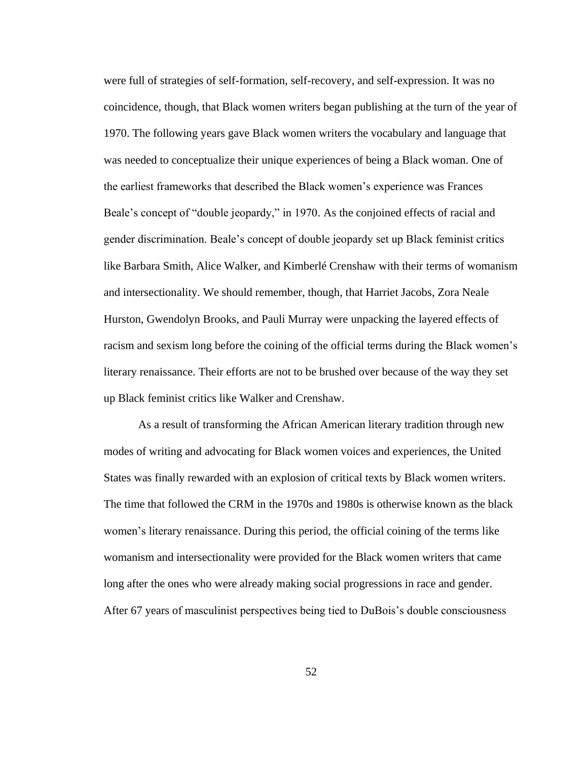were full of strategies of self-formation, self-recovery, and self-expression. It was no coincidence, though, that Black women writers began publishing at the turn of the year of 1970. The following years gave Black women writers the vocabulary and language that was needed to conceptualize their unique experiences of being a Black woman. One of the earliest frameworks that described the Black women's experience was Frances Beale's concept of "double jeopardy," in 1970. As the conjoined effects of racial and gender discrimination. Beale's concept of double jeopardy set up Black feminist critics like Barbara Smith, Alice Walker, and Kimberlé Crenshaw with their terms of womanism and intersectionality. We should remember, though, that Harriet Jacobs, Zora Neale Hurston, Gwendolyn Brooks, and Pauli Murray were unpacking the layered effects of racism and sexism long before the coining of the official terms during the Black women's literary renaissance. Their efforts are not to be brushed over because of the way they set up Black feminist critics like Walker and Crenshaw.

As a result of transforming the African American literary tradition through new modes of writing and advocating for Black women voices and experiences, the United States was finally rewarded with an explosion of critical texts by Black women writers. The time that followed the CRM in the 1970s and 1980s is otherwise known as the black women's literary renaissance. During this period, the official coining of the terms like womanism and intersectionality were provided for the Black women writers that came long after the ones who were already making social progressions in race and gender. After 67 years of masculinist perspectives being tied to DuBois's double consciousness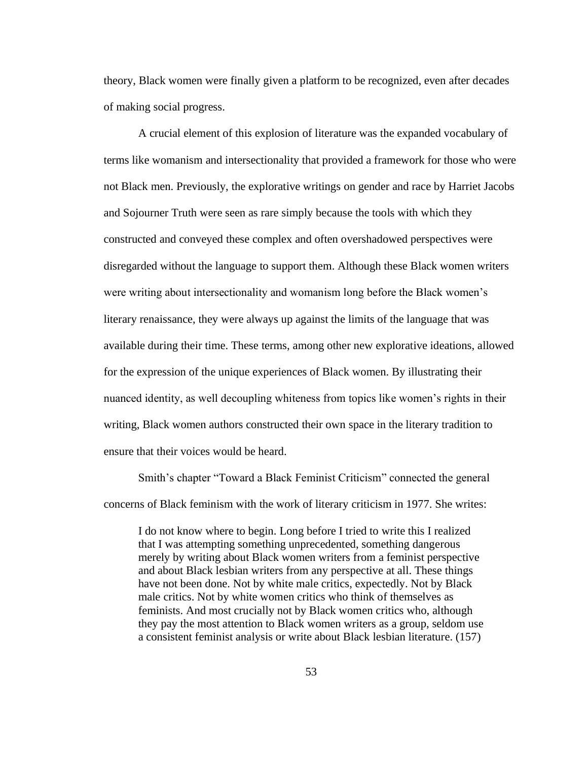theory, Black women were finally given a platform to be recognized, even after decades of making social progress.

A crucial element of this explosion of literature was the expanded vocabulary of terms like womanism and intersectionality that provided a framework for those who were not Black men. Previously, the explorative writings on gender and race by Harriet Jacobs and Sojourner Truth were seen as rare simply because the tools with which they constructed and conveyed these complex and often overshadowed perspectives were disregarded without the language to support them. Although these Black women writers were writing about intersectionality and womanism long before the Black women's literary renaissance, they were always up against the limits of the language that was available during their time. These terms, among other new explorative ideations, allowed for the expression of the unique experiences of Black women. By illustrating their nuanced identity, as well decoupling whiteness from topics like women's rights in their writing, Black women authors constructed their own space in the literary tradition to ensure that their voices would be heard.

Smith's chapter "Toward a Black Feminist Criticism" connected the general concerns of Black feminism with the work of literary criticism in 1977. She writes:

I do not know where to begin. Long before I tried to write this I realized that I was attempting something unprecedented, something dangerous merely by writing about Black women writers from a feminist perspective and about Black lesbian writers from any perspective at all. These things have not been done. Not by white male critics, expectedly. Not by Black male critics. Not by white women critics who think of themselves as feminists. And most crucially not by Black women critics who, although they pay the most attention to Black women writers as a group, seldom use a consistent feminist analysis or write about Black lesbian literature. (157)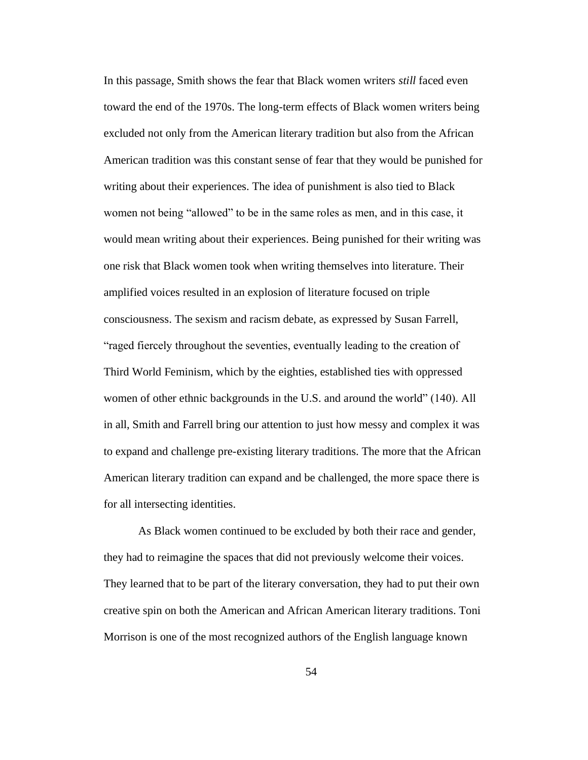In this passage, Smith shows the fear that Black women writers *still* faced even toward the end of the 1970s. The long-term effects of Black women writers being excluded not only from the American literary tradition but also from the African American tradition was this constant sense of fear that they would be punished for writing about their experiences. The idea of punishment is also tied to Black women not being "allowed" to be in the same roles as men, and in this case, it would mean writing about their experiences. Being punished for their writing was one risk that Black women took when writing themselves into literature. Their amplified voices resulted in an explosion of literature focused on triple consciousness. The sexism and racism debate, as expressed by Susan Farrell, "raged fiercely throughout the seventies, eventually leading to the creation of Third World Feminism, which by the eighties, established ties with oppressed women of other ethnic backgrounds in the U.S. and around the world" (140). All in all, Smith and Farrell bring our attention to just how messy and complex it was to expand and challenge pre-existing literary traditions. The more that the African American literary tradition can expand and be challenged, the more space there is for all intersecting identities.

As Black women continued to be excluded by both their race and gender, they had to reimagine the spaces that did not previously welcome their voices. They learned that to be part of the literary conversation, they had to put their own creative spin on both the American and African American literary traditions. Toni Morrison is one of the most recognized authors of the English language known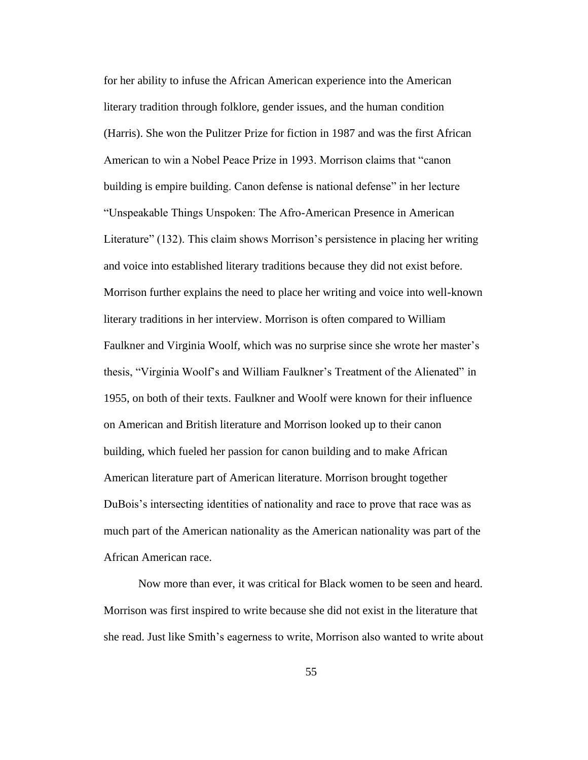for her ability to infuse the African American experience into the American literary tradition through folklore, gender issues, and the human condition (Harris). She won the Pulitzer Prize for fiction in 1987 and was the first African American to win a Nobel Peace Prize in 1993. Morrison claims that "canon building is empire building. Canon defense is national defense" in her lecture "Unspeakable Things Unspoken: The Afro-American Presence in American Literature" (132). This claim shows Morrison's persistence in placing her writing and voice into established literary traditions because they did not exist before. Morrison further explains the need to place her writing and voice into well-known literary traditions in her interview. Morrison is often compared to William Faulkner and Virginia Woolf, which was no surprise since she wrote her master's thesis, "Virginia Woolf's and William Faulkner's Treatment of the Alienated" in 1955, on both of their texts. Faulkner and Woolf were known for their influence on American and British literature and Morrison looked up to their canon building, which fueled her passion for canon building and to make African American literature part of American literature. Morrison brought together DuBois's intersecting identities of nationality and race to prove that race was as much part of the American nationality as the American nationality was part of the African American race.

Now more than ever, it was critical for Black women to be seen and heard. Morrison was first inspired to write because she did not exist in the literature that she read. Just like Smith's eagerness to write, Morrison also wanted to write about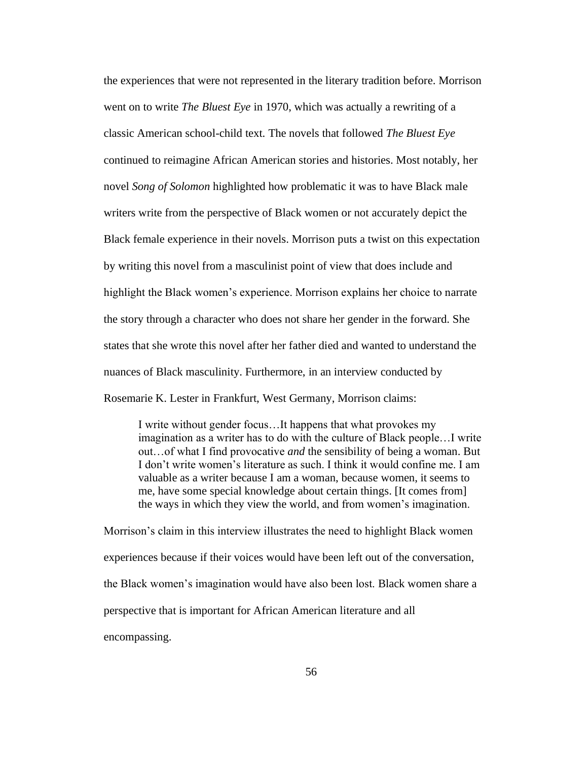the experiences that were not represented in the literary tradition before. Morrison went on to write *The Bluest Eye* in 1970, which was actually a rewriting of a classic American school-child text. The novels that followed *The Bluest Eye*  continued to reimagine African American stories and histories. Most notably, her novel *Song of Solomon* highlighted how problematic it was to have Black male writers write from the perspective of Black women or not accurately depict the Black female experience in their novels. Morrison puts a twist on this expectation by writing this novel from a masculinist point of view that does include and highlight the Black women's experience. Morrison explains her choice to narrate the story through a character who does not share her gender in the forward. She states that she wrote this novel after her father died and wanted to understand the nuances of Black masculinity. Furthermore, in an interview conducted by Rosemarie K. Lester in Frankfurt, West Germany, Morrison claims:

I write without gender focus…It happens that what provokes my imagination as a writer has to do with the culture of Black people…I write out…of what I find provocative *and* the sensibility of being a woman. But I don't write women's literature as such. I think it would confine me. I am valuable as a writer because I am a woman, because women, it seems to me, have some special knowledge about certain things. [It comes from] the ways in which they view the world, and from women's imagination.

Morrison's claim in this interview illustrates the need to highlight Black women experiences because if their voices would have been left out of the conversation, the Black women's imagination would have also been lost. Black women share a perspective that is important for African American literature and all encompassing.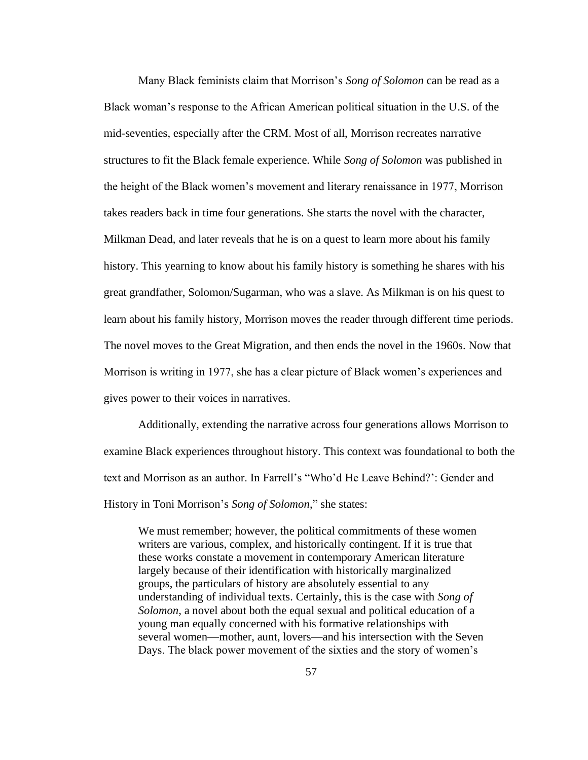Many Black feminists claim that Morrison's *Song of Solomon* can be read as a Black woman's response to the African American political situation in the U.S. of the mid-seventies, especially after the CRM. Most of all, Morrison recreates narrative structures to fit the Black female experience. While *Song of Solomon* was published in the height of the Black women's movement and literary renaissance in 1977, Morrison takes readers back in time four generations. She starts the novel with the character, Milkman Dead, and later reveals that he is on a quest to learn more about his family history. This yearning to know about his family history is something he shares with his great grandfather, Solomon/Sugarman, who was a slave. As Milkman is on his quest to learn about his family history, Morrison moves the reader through different time periods. The novel moves to the Great Migration, and then ends the novel in the 1960s. Now that Morrison is writing in 1977, she has a clear picture of Black women's experiences and gives power to their voices in narratives.

Additionally, extending the narrative across four generations allows Morrison to examine Black experiences throughout history. This context was foundational to both the text and Morrison as an author. In Farrell's "Who'd He Leave Behind?': Gender and History in Toni Morrison's *Song of Solomon*," she states:

We must remember; however, the political commitments of these women writers are various, complex, and historically contingent. If it is true that these works constate a movement in contemporary American literature largely because of their identification with historically marginalized groups, the particulars of history are absolutely essential to any understanding of individual texts. Certainly, this is the case with *Song of Solomon*, a novel about both the equal sexual and political education of a young man equally concerned with his formative relationships with several women—mother, aunt, lovers—and his intersection with the Seven Days. The black power movement of the sixties and the story of women's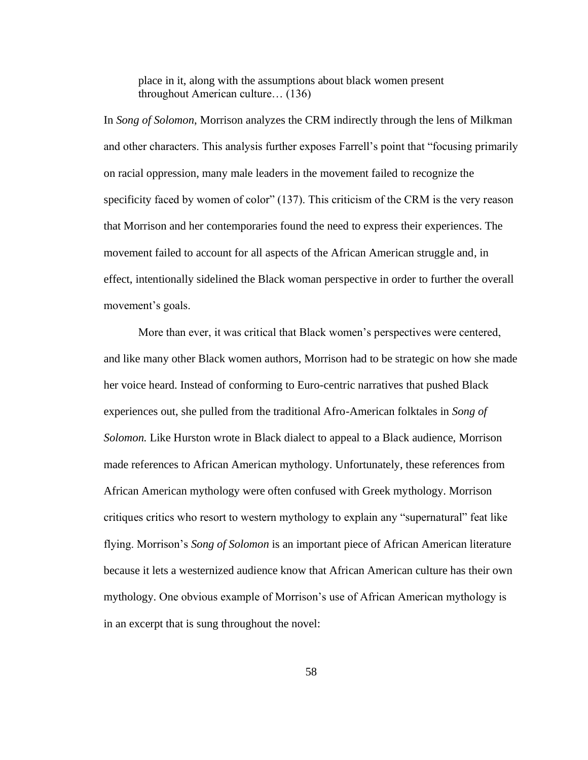place in it, along with the assumptions about black women present throughout American culture… (136)

In *Song of Solomon*, Morrison analyzes the CRM indirectly through the lens of Milkman and other characters. This analysis further exposes Farrell's point that "focusing primarily on racial oppression, many male leaders in the movement failed to recognize the specificity faced by women of color" (137). This criticism of the CRM is the very reason that Morrison and her contemporaries found the need to express their experiences. The movement failed to account for all aspects of the African American struggle and, in effect, intentionally sidelined the Black woman perspective in order to further the overall movement's goals.

More than ever, it was critical that Black women's perspectives were centered, and like many other Black women authors, Morrison had to be strategic on how she made her voice heard. Instead of conforming to Euro-centric narratives that pushed Black experiences out, she pulled from the traditional Afro-American folktales in *Song of Solomon.* Like Hurston wrote in Black dialect to appeal to a Black audience, Morrison made references to African American mythology. Unfortunately, these references from African American mythology were often confused with Greek mythology. Morrison critiques critics who resort to western mythology to explain any "supernatural" feat like flying. Morrison's *Song of Solomon* is an important piece of African American literature because it lets a westernized audience know that African American culture has their own mythology. One obvious example of Morrison's use of African American mythology is in an excerpt that is sung throughout the novel: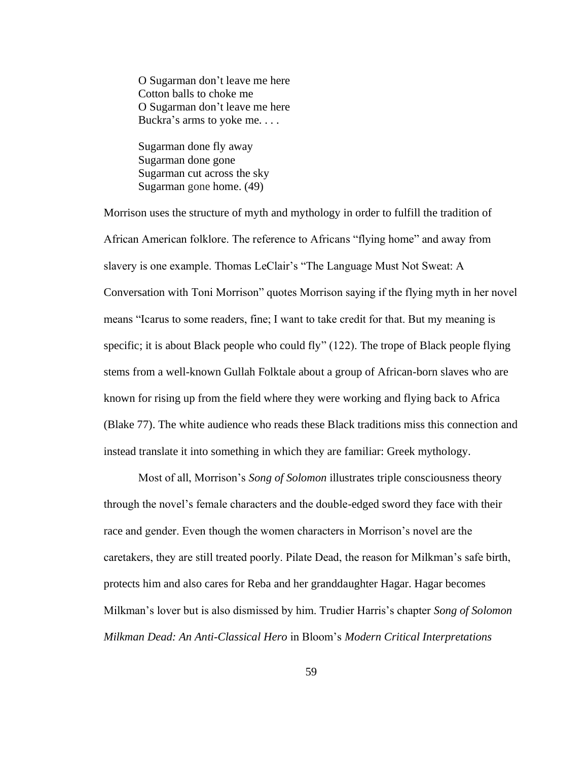O Sugarman don't leave me here Cotton balls to choke me O Sugarman don't leave me here Buckra's arms to yoke me. . . .

Sugarman done fly away Sugarman done gone Sugarman cut across the sky Sugarman gone home. (49)

Morrison uses the structure of myth and mythology in order to fulfill the tradition of African American folklore. The reference to Africans "flying home" and away from slavery is one example. Thomas LeClair's "The Language Must Not Sweat: A Conversation with Toni Morrison" quotes Morrison saying if the flying myth in her novel means "Icarus to some readers, fine; I want to take credit for that. But my meaning is specific; it is about Black people who could fly" (122). The trope of Black people flying stems from a well-known Gullah Folktale about a group of African-born slaves who are known for rising up from the field where they were working and flying back to Africa (Blake 77). The white audience who reads these Black traditions miss this connection and instead translate it into something in which they are familiar: Greek mythology.

Most of all, Morrison's *Song of Solomon* illustrates triple consciousness theory through the novel's female characters and the double-edged sword they face with their race and gender. Even though the women characters in Morrison's novel are the caretakers, they are still treated poorly. Pilate Dead, the reason for Milkman's safe birth, protects him and also cares for Reba and her granddaughter Hagar. Hagar becomes Milkman's lover but is also dismissed by him. Trudier Harris's chapter *Song of Solomon Milkman Dead: An Anti-Classical Hero* in Bloom's *Modern Critical Interpretations*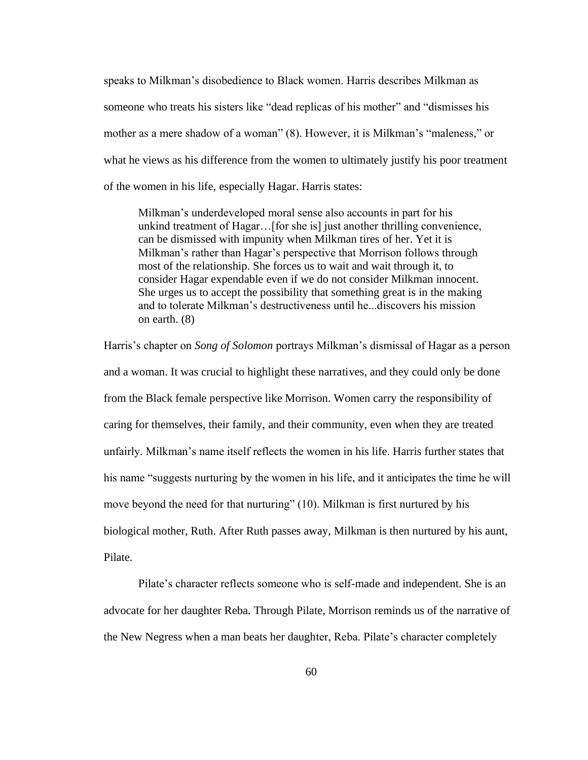speaks to Milkman's disobedience to Black women. Harris describes Milkman as someone who treats his sisters like "dead replicas of his mother" and "dismisses his mother as a mere shadow of a woman" (8). However, it is Milkman's "maleness," or what he views as his difference from the women to ultimately justify his poor treatment of the women in his life, especially Hagar. Harris states:

Milkman's underdeveloped moral sense also accounts in part for his unkind treatment of Hagar…[for she is] just another thrilling convenience, can be dismissed with impunity when Milkman tires of her. Yet it is Milkman's rather than Hagar's perspective that Morrison follows through most of the relationship. She forces us to wait and wait through it, to consider Hagar expendable even if we do not consider Milkman innocent. She urges us to accept the possibility that something great is in the making and to tolerate Milkman's destructiveness until he...discovers his mission on earth. (8)

Harris's chapter on *Song of Solomon* portrays Milkman's dismissal of Hagar as a person and a woman. It was crucial to highlight these narratives, and they could only be done from the Black female perspective like Morrison. Women carry the responsibility of caring for themselves, their family, and their community, even when they are treated unfairly. Milkman's name itself reflects the women in his life. Harris further states that his name "suggests nurturing by the women in his life, and it anticipates the time he will move beyond the need for that nurturing" (10). Milkman is first nurtured by his biological mother, Ruth. After Ruth passes away, Milkman is then nurtured by his aunt, Pilate.

Pilate's character reflects someone who is self-made and independent. She is an advocate for her daughter Reba. Through Pilate, Morrison reminds us of the narrative of the New Negress when a man beats her daughter, Reba. Pilate's character completely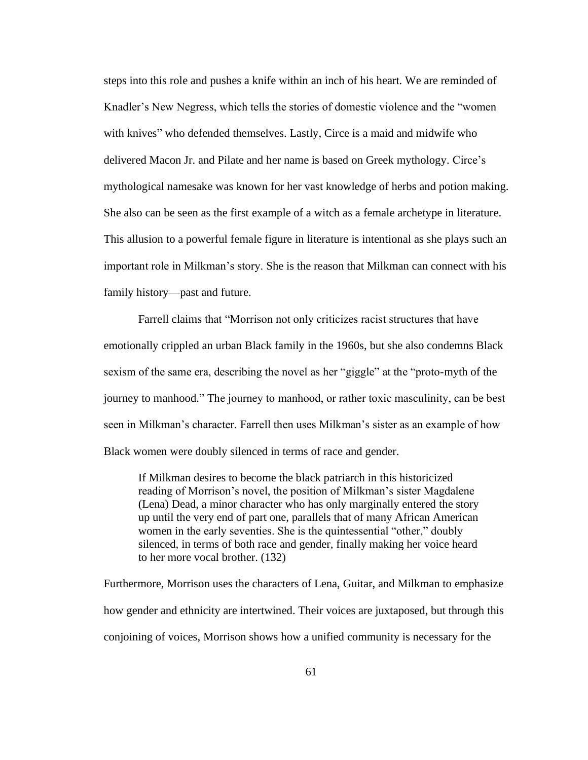steps into this role and pushes a knife within an inch of his heart. We are reminded of Knadler's New Negress, which tells the stories of domestic violence and the "women with knives" who defended themselves. Lastly, Circe is a maid and midwife who delivered Macon Jr. and Pilate and her name is based on Greek mythology*.* Circe's mythological namesake was known for her vast knowledge of herbs and potion making. She also can be seen as the first example of a witch as a female archetype in literature. This allusion to a powerful female figure in literature is intentional as she plays such an important role in Milkman's story. She is the reason that Milkman can connect with his family history—past and future.

Farrell claims that "Morrison not only criticizes racist structures that have emotionally crippled an urban Black family in the 1960s, but she also condemns Black sexism of the same era, describing the novel as her "giggle" at the "proto-myth of the journey to manhood." The journey to manhood, or rather toxic masculinity, can be best seen in Milkman's character. Farrell then uses Milkman's sister as an example of how Black women were doubly silenced in terms of race and gender.

If Milkman desires to become the black patriarch in this historicized reading of Morrison's novel, the position of Milkman's sister Magdalene (Lena) Dead, a minor character who has only marginally entered the story up until the very end of part one, parallels that of many African American women in the early seventies. She is the quintessential "other," doubly silenced, in terms of both race and gender, finally making her voice heard to her more vocal brother. (132)

Furthermore, Morrison uses the characters of Lena, Guitar, and Milkman to emphasize how gender and ethnicity are intertwined. Their voices are juxtaposed, but through this conjoining of voices, Morrison shows how a unified community is necessary for the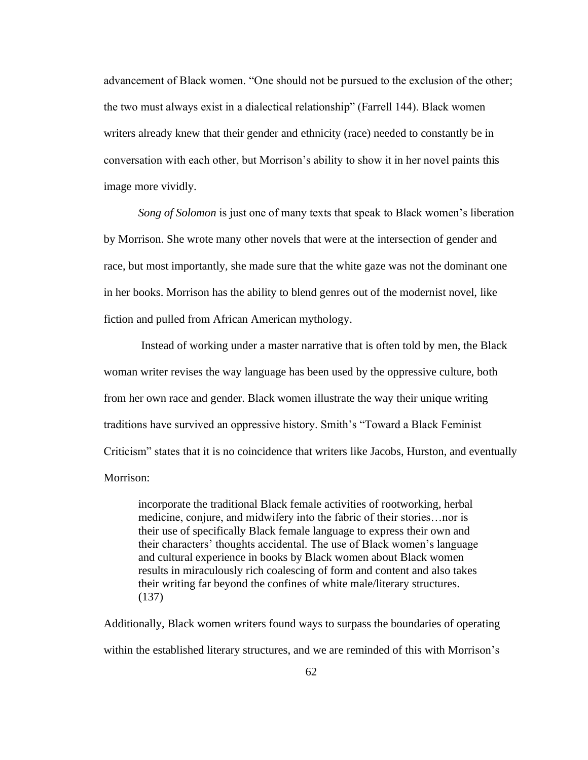advancement of Black women. "One should not be pursued to the exclusion of the other; the two must always exist in a dialectical relationship" (Farrell 144). Black women writers already knew that their gender and ethnicity (race) needed to constantly be in conversation with each other, but Morrison's ability to show it in her novel paints this image more vividly.

*Song of Solomon* is just one of many texts that speak to Black women's liberation by Morrison. She wrote many other novels that were at the intersection of gender and race, but most importantly, she made sure that the white gaze was not the dominant one in her books. Morrison has the ability to blend genres out of the modernist novel, like fiction and pulled from African American mythology.

Instead of working under a master narrative that is often told by men, the Black woman writer revises the way language has been used by the oppressive culture, both from her own race and gender. Black women illustrate the way their unique writing traditions have survived an oppressive history. Smith's "Toward a Black Feminist Criticism" states that it is no coincidence that writers like Jacobs, Hurston, and eventually Morrison:

incorporate the traditional Black female activities of rootworking, herbal medicine, conjure, and midwifery into the fabric of their stories…nor is their use of specifically Black female language to express their own and their characters' thoughts accidental. The use of Black women's language and cultural experience in books by Black women about Black women results in miraculously rich coalescing of form and content and also takes their writing far beyond the confines of white male/literary structures. (137)

Additionally, Black women writers found ways to surpass the boundaries of operating within the established literary structures, and we are reminded of this with Morrison's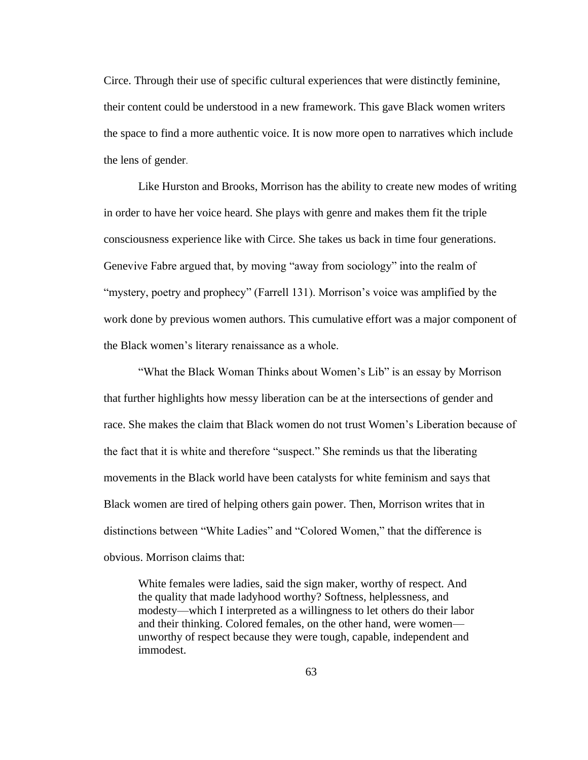Circe. Through their use of specific cultural experiences that were distinctly feminine, their content could be understood in a new framework. This gave Black women writers the space to find a more authentic voice. It is now more open to narratives which include the lens of gender.

Like Hurston and Brooks, Morrison has the ability to create new modes of writing in order to have her voice heard. She plays with genre and makes them fit the triple consciousness experience like with Circe. She takes us back in time four generations. Genevive Fabre argued that, by moving "away from sociology" into the realm of "mystery, poetry and prophecy" (Farrell 131). Morrison's voice was amplified by the work done by previous women authors. This cumulative effort was a major component of the Black women's literary renaissance as a whole.

"What the Black Woman Thinks about Women's Lib" is an essay by Morrison that further highlights how messy liberation can be at the intersections of gender and race. She makes the claim that Black women do not trust Women's Liberation because of the fact that it is white and therefore "suspect." She reminds us that the liberating movements in the Black world have been catalysts for white feminism and says that Black women are tired of helping others gain power. Then, Morrison writes that in distinctions between "White Ladies" and "Colored Women," that the difference is obvious. Morrison claims that:

White females were ladies, said the sign maker, worthy of respect. And the quality that made ladyhood worthy? Softness, helplessness, and modesty—which I interpreted as a willingness to let others do their labor and their thinking. Colored females, on the other hand, were women unworthy of respect because they were tough, capable, independent and immodest.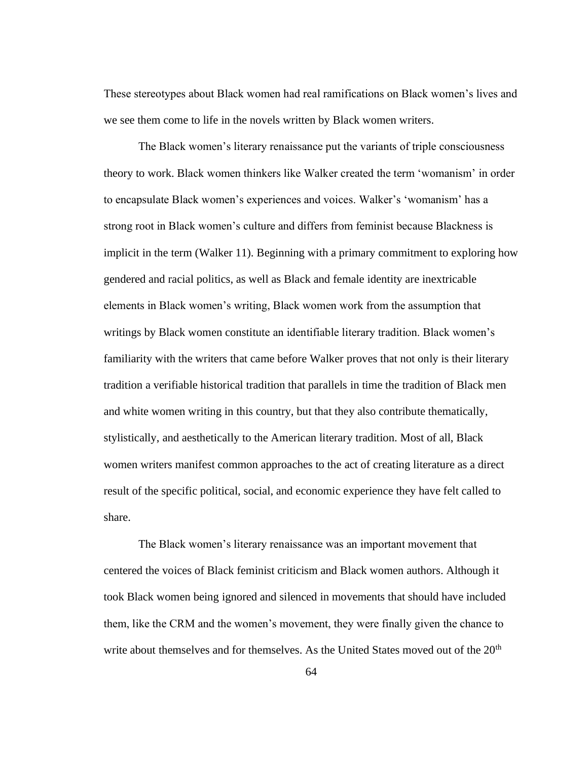These stereotypes about Black women had real ramifications on Black women's lives and we see them come to life in the novels written by Black women writers.

The Black women's literary renaissance put the variants of triple consciousness theory to work. Black women thinkers like Walker created the term 'womanism' in order to encapsulate Black women's experiences and voices. Walker's 'womanism' has a strong root in Black women's culture and differs from feminist because Blackness is implicit in the term (Walker 11). Beginning with a primary commitment to exploring how gendered and racial politics, as well as Black and female identity are inextricable elements in Black women's writing, Black women work from the assumption that writings by Black women constitute an identifiable literary tradition. Black women's familiarity with the writers that came before Walker proves that not only is their literary tradition a verifiable historical tradition that parallels in time the tradition of Black men and white women writing in this country, but that they also contribute thematically, stylistically, and aesthetically to the American literary tradition. Most of all, Black women writers manifest common approaches to the act of creating literature as a direct result of the specific political, social, and economic experience they have felt called to share.

The Black women's literary renaissance was an important movement that centered the voices of Black feminist criticism and Black women authors. Although it took Black women being ignored and silenced in movements that should have included them, like the CRM and the women's movement, they were finally given the chance to write about themselves and for themselves. As the United States moved out of the 20<sup>th</sup>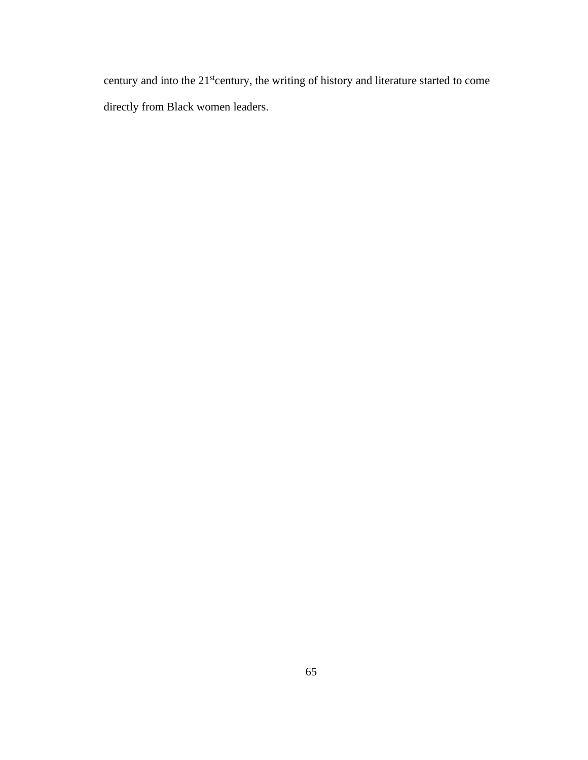century and into the 21<sup>st</sup>century, the writing of history and literature started to come directly from Black women leaders.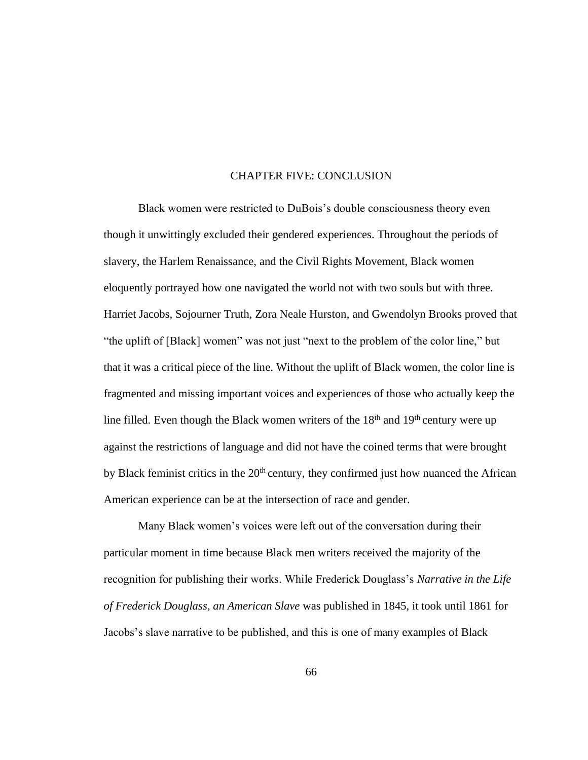## CHAPTER FIVE: CONCLUSION

Black women were restricted to DuBois's double consciousness theory even though it unwittingly excluded their gendered experiences. Throughout the periods of slavery, the Harlem Renaissance, and the Civil Rights Movement, Black women eloquently portrayed how one navigated the world not with two souls but with three. Harriet Jacobs, Sojourner Truth, Zora Neale Hurston, and Gwendolyn Brooks proved that "the uplift of [Black] women" was not just "next to the problem of the color line," but that it was a critical piece of the line. Without the uplift of Black women, the color line is fragmented and missing important voices and experiences of those who actually keep the line filled. Even though the Black women writers of the  $18<sup>th</sup>$  and  $19<sup>th</sup>$  century were up against the restrictions of language and did not have the coined terms that were brought by Black feminist critics in the  $20<sup>th</sup>$  century, they confirmed just how nuanced the African American experience can be at the intersection of race and gender.

Many Black women's voices were left out of the conversation during their particular moment in time because Black men writers received the majority of the recognition for publishing their works. While Frederick Douglass's *Narrative in the Life of Frederick Douglass, an American Slave* was published in 1845, it took until 1861 for Jacobs's slave narrative to be published, and this is one of many examples of Black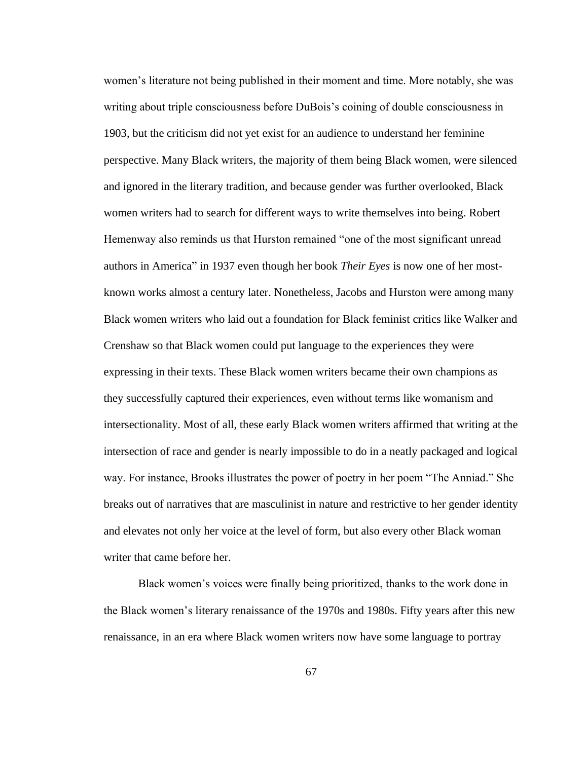women's literature not being published in their moment and time. More notably, she was writing about triple consciousness before DuBois's coining of double consciousness in 1903, but the criticism did not yet exist for an audience to understand her feminine perspective. Many Black writers, the majority of them being Black women, were silenced and ignored in the literary tradition, and because gender was further overlooked, Black women writers had to search for different ways to write themselves into being. Robert Hemenway also reminds us that Hurston remained "one of the most significant unread authors in America" in 1937 even though her book *Their Eyes* is now one of her mostknown works almost a century later. Nonetheless, Jacobs and Hurston were among many Black women writers who laid out a foundation for Black feminist critics like Walker and Crenshaw so that Black women could put language to the experiences they were expressing in their texts. These Black women writers became their own champions as they successfully captured their experiences, even without terms like womanism and intersectionality. Most of all, these early Black women writers affirmed that writing at the intersection of race and gender is nearly impossible to do in a neatly packaged and logical way. For instance, Brooks illustrates the power of poetry in her poem "The Anniad." She breaks out of narratives that are masculinist in nature and restrictive to her gender identity and elevates not only her voice at the level of form, but also every other Black woman writer that came before her.

Black women's voices were finally being prioritized, thanks to the work done in the Black women's literary renaissance of the 1970s and 1980s. Fifty years after this new renaissance, in an era where Black women writers now have some language to portray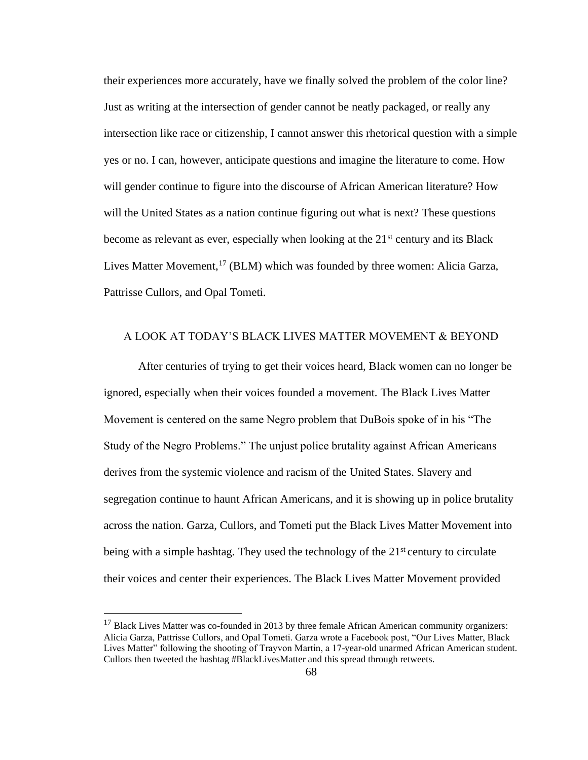their experiences more accurately, have we finally solved the problem of the color line? Just as writing at the intersection of gender cannot be neatly packaged, or really any intersection like race or citizenship, I cannot answer this rhetorical question with a simple yes or no. I can, however, anticipate questions and imagine the literature to come. How will gender continue to figure into the discourse of African American literature? How will the United States as a nation continue figuring out what is next? These questions become as relevant as ever, especially when looking at the  $21<sup>st</sup>$  century and its Black Lives Matter Movement,<sup>17</sup> (BLM) which was founded by three women: Alicia Garza, Pattrisse Cullors, and Opal Tometi.

## A LOOK AT TODAY'S BLACK LIVES MATTER MOVEMENT & BEYOND

After centuries of trying to get their voices heard, Black women can no longer be ignored, especially when their voices founded a movement. The Black Lives Matter Movement is centered on the same Negro problem that DuBois spoke of in his "The Study of the Negro Problems." The unjust police brutality against African Americans derives from the systemic violence and racism of the United States. Slavery and segregation continue to haunt African Americans, and it is showing up in police brutality across the nation. Garza, Cullors, and Tometi put the Black Lives Matter Movement into being with a simple hashtag. They used the technology of the  $21<sup>st</sup>$  century to circulate their voices and center their experiences. The Black Lives Matter Movement provided

 $17$  Black Lives Matter was co-founded in 2013 by three female African American community organizers: Alicia Garza, Pattrisse Cullors, and Opal Tometi. Garza wrote a Facebook post, "Our Lives Matter, Black Lives Matter" following the shooting of Trayvon Martin, a 17-year-old unarmed African American student. Cullors then tweeted the hashtag #BlackLivesMatter and this spread through retweets.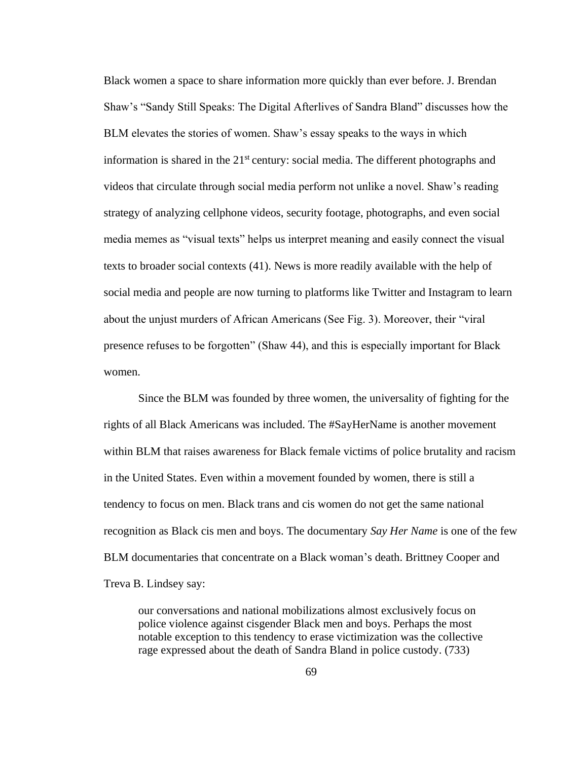Black women a space to share information more quickly than ever before. J. Brendan Shaw's "Sandy Still Speaks: The Digital Afterlives of Sandra Bland" discusses how the BLM elevates the stories of women. Shaw's essay speaks to the ways in which information is shared in the  $21<sup>st</sup>$  century: social media. The different photographs and videos that circulate through social media perform not unlike a novel. Shaw's reading strategy of analyzing cellphone videos, security footage, photographs, and even social media memes as "visual texts" helps us interpret meaning and easily connect the visual texts to broader social contexts (41). News is more readily available with the help of social media and people are now turning to platforms like Twitter and Instagram to learn about the unjust murders of African Americans (See Fig. 3). Moreover, their "viral presence refuses to be forgotten" (Shaw 44), and this is especially important for Black women.

Since the BLM was founded by three women, the universality of fighting for the rights of all Black Americans was included. The #SayHerName is another movement within BLM that raises awareness for Black female victims of police brutality and racism in the United States. Even within a movement founded by women, there is still a tendency to focus on men. Black trans and cis women do not get the same national recognition as Black cis men and boys. The documentary *Say Her Name* is one of the few BLM documentaries that concentrate on a Black woman's death. Brittney Cooper and Treva B. Lindsey say:

our conversations and national mobilizations almost exclusively focus on police violence against cisgender Black men and boys. Perhaps the most notable exception to this tendency to erase victimization was the collective rage expressed about the death of Sandra Bland in police custody. (733)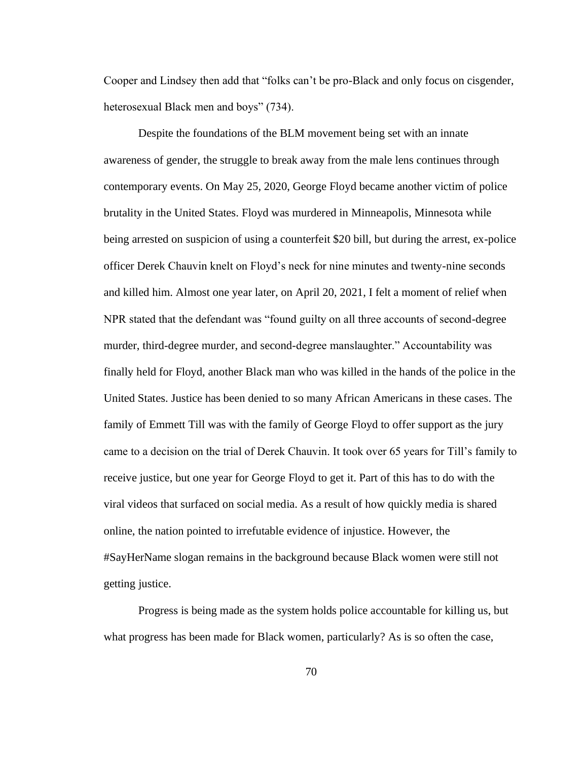Cooper and Lindsey then add that "folks can't be pro-Black and only focus on cisgender, heterosexual Black men and boys" (734).

Despite the foundations of the BLM movement being set with an innate awareness of gender, the struggle to break away from the male lens continues through contemporary events. On May 25, 2020, George Floyd became another victim of police brutality in the United States. Floyd was murdered in Minneapolis, Minnesota while being arrested on suspicion of using a counterfeit \$20 bill, but during the arrest, ex-police officer Derek Chauvin knelt on Floyd's neck for nine minutes and twenty-nine seconds and killed him. Almost one year later, on April 20, 2021, I felt a moment of relief when NPR stated that the defendant was "found guilty on all three accounts of second-degree murder, third-degree murder, and second-degree manslaughter." Accountability was finally held for Floyd, another Black man who was killed in the hands of the police in the United States. Justice has been denied to so many African Americans in these cases. The family of Emmett Till was with the family of George Floyd to offer support as the jury came to a decision on the trial of Derek Chauvin. It took over 65 years for Till's family to receive justice, but one year for George Floyd to get it. Part of this has to do with the viral videos that surfaced on social media. As a result of how quickly media is shared online, the nation pointed to irrefutable evidence of injustice. However, the #SayHerName slogan remains in the background because Black women were still not getting justice.

Progress is being made as the system holds police accountable for killing us, but what progress has been made for Black women, particularly? As is so often the case,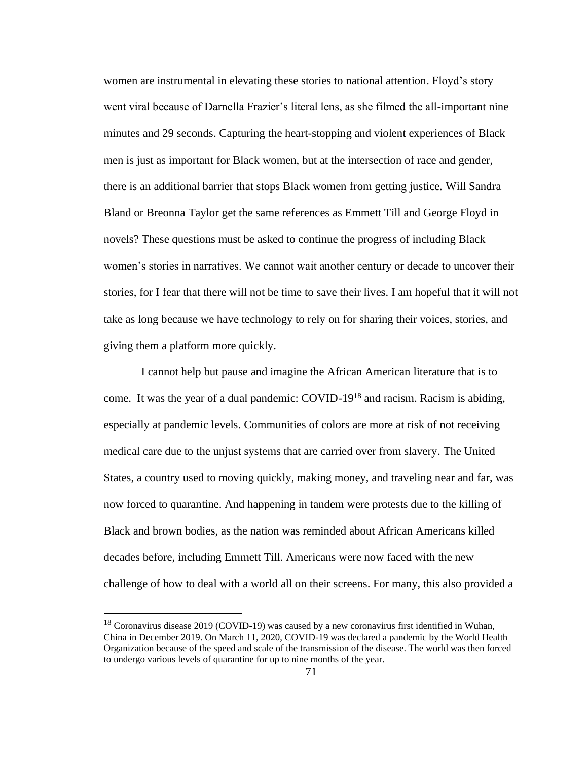women are instrumental in elevating these stories to national attention. Floyd's story went viral because of Darnella Frazier's literal lens, as she filmed the all-important nine minutes and 29 seconds. Capturing the heart-stopping and violent experiences of Black men is just as important for Black women, but at the intersection of race and gender, there is an additional barrier that stops Black women from getting justice. Will Sandra Bland or Breonna Taylor get the same references as Emmett Till and George Floyd in novels? These questions must be asked to continue the progress of including Black women's stories in narratives. We cannot wait another century or decade to uncover their stories, for I fear that there will not be time to save their lives. I am hopeful that it will not take as long because we have technology to rely on for sharing their voices, stories, and giving them a platform more quickly.

I cannot help but pause and imagine the African American literature that is to come. It was the year of a dual pandemic: COVID-19<sup>18</sup> and racism. Racism is abiding, especially at pandemic levels. Communities of colors are more at risk of not receiving medical care due to the unjust systems that are carried over from slavery. The United States, a country used to moving quickly, making money, and traveling near and far, was now forced to quarantine. And happening in tandem were protests due to the killing of Black and brown bodies, as the nation was reminded about African Americans killed decades before, including Emmett Till. Americans were now faced with the new challenge of how to deal with a world all on their screens. For many, this also provided a

<sup>&</sup>lt;sup>18</sup> Coronavirus disease 2019 (COVID-19) was caused by a new coronavirus first identified in Wuhan, China in December 2019. On March 11, 2020, COVID-19 was declared a pandemic by the World Health Organization because of the speed and scale of the transmission of the disease. The world was then forced to undergo various levels of quarantine for up to nine months of the year.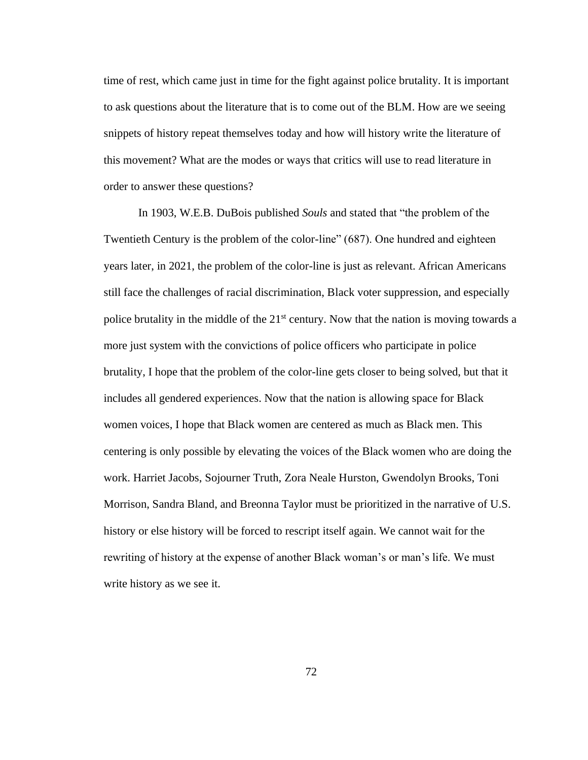time of rest, which came just in time for the fight against police brutality. It is important to ask questions about the literature that is to come out of the BLM. How are we seeing snippets of history repeat themselves today and how will history write the literature of this movement? What are the modes or ways that critics will use to read literature in order to answer these questions?

In 1903, W.E.B. DuBois published *Souls* and stated that "the problem of the Twentieth Century is the problem of the color-line" (687). One hundred and eighteen years later, in 2021, the problem of the color-line is just as relevant. African Americans still face the challenges of racial discrimination, Black voter suppression, and especially police brutality in the middle of the  $21<sup>st</sup>$  century. Now that the nation is moving towards a more just system with the convictions of police officers who participate in police brutality, I hope that the problem of the color-line gets closer to being solved, but that it includes all gendered experiences. Now that the nation is allowing space for Black women voices, I hope that Black women are centered as much as Black men. This centering is only possible by elevating the voices of the Black women who are doing the work. Harriet Jacobs, Sojourner Truth, Zora Neale Hurston, Gwendolyn Brooks, Toni Morrison, Sandra Bland, and Breonna Taylor must be prioritized in the narrative of U.S. history or else history will be forced to rescript itself again. We cannot wait for the rewriting of history at the expense of another Black woman's or man's life. We must write history as we see it.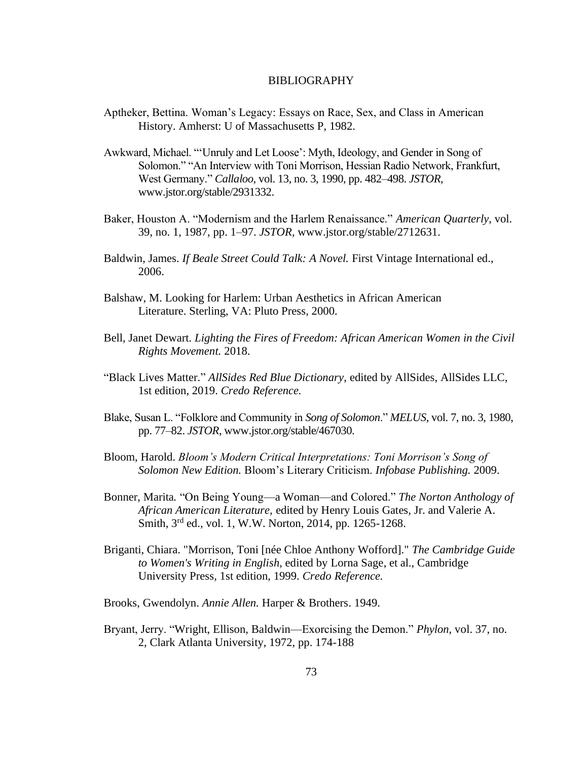#### BIBLIOGRAPHY

- Aptheker, Bettina. Woman's Legacy: Essays on Race, Sex, and Class in American History. Amherst: U of Massachusetts P, 1982.
- Awkward, Michael. "'Unruly and Let Loose': Myth, Ideology, and Gender in Song of Solomon." "An Interview with Toni Morrison, Hessian Radio Network, Frankfurt, West Germany." *Callaloo*, vol. 13, no. 3, 1990, pp. 482–498. *JSTOR*, www.jstor.org/stable/2931332.
- Baker, Houston A. "Modernism and the Harlem Renaissance." *American Quarterly*, vol. 39, no. 1, 1987, pp. 1–97. *JSTOR*, www.jstor.org/stable/2712631.
- Baldwin, James. *If Beale Street Could Talk: A Novel.* First Vintage International ed., 2006.
- Balshaw, M. Looking for Harlem: Urban Aesthetics in African American Literature. Sterling, VA: Pluto Press, 2000.
- Bell, Janet Dewart. *Lighting the Fires of Freedom: African American Women in the Civil Rights Movement.* 2018.
- "Black Lives Matter." *AllSides Red Blue Dictionary*, edited by AllSides, AllSides LLC, 1st edition, 2019. *Credo Reference.*
- Blake, Susan L. "Folklore and Community in *Song of Solomon*." *MELUS*, vol. 7, no. 3, 1980, pp. 77–82. *JSTOR*, www.jstor.org/stable/467030.
- Bloom, Harold. *Bloom's Modern Critical Interpretations: Toni Morrison's Song of Solomon New Edition.* Bloom's Literary Criticism. *Infobase Publishing.* 2009.
- Bonner, Marita*.* "On Being Young—a Woman—and Colored." *The Norton Anthology of African American Literature,* edited by Henry Louis Gates, Jr. and Valerie A. Smith, 3rd ed., vol. 1, W.W. Norton, 2014, pp. 1265-1268.
- Briganti, Chiara. "Morrison, Toni [née Chloe Anthony Wofford]." *The Cambridge Guide to Women's Writing in English*, edited by Lorna Sage, et al., Cambridge University Press, 1st edition, 1999. *Credo Reference.*

Brooks, Gwendolyn. *Annie Allen.* Harper & Brothers. 1949.

Bryant, Jerry. "Wright, Ellison, Baldwin—Exorcising the Demon." *Phylon,* vol. 37, no. 2, Clark Atlanta University, 1972, pp. 174-188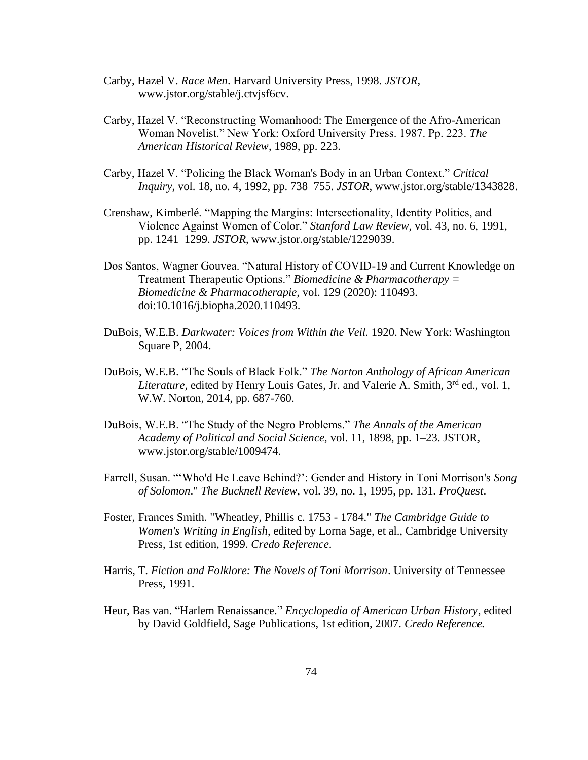- Carby, Hazel V. *Race Men*. Harvard University Press, 1998. *JSTOR*, www.jstor.org/stable/j.ctvjsf6cv.
- Carby, Hazel V. "Reconstructing Womanhood: The Emergence of the Afro-American Woman Novelist." New York: Oxford University Press. 1987. Pp. 223. *The American Historical Review*, 1989, pp. 223.
- Carby, Hazel V. "Policing the Black Woman's Body in an Urban Context." *Critical Inquiry*, vol. 18, no. 4, 1992, pp. 738–755. *JSTOR*, www.jstor.org/stable/1343828.
- Crenshaw, Kimberlé. "Mapping the Margins: Intersectionality, Identity Politics, and Violence Against Women of Color." *Stanford Law Review*, vol. 43, no. 6, 1991, pp. 1241–1299. *JSTOR*, www.jstor.org/stable/1229039.
- Dos Santos, Wagner Gouvea. "Natural History of COVID-19 and Current Knowledge on Treatment Therapeutic Options." *Biomedicine & Pharmacotherapy = Biomedicine & Pharmacotherapie,* vol. 129 (2020): 110493. doi:10.1016/j.biopha.2020.110493.
- DuBois, W.E.B. *Darkwater: Voices from Within the Veil.* 1920. New York: Washington Square P, 2004.
- DuBois, W.E.B. "The Souls of Black Folk." *The Norton Anthology of African American Literature,* edited by Henry Louis Gates, Jr. and Valerie A. Smith, 3<sup>rd</sup> ed., vol. 1, W.W. Norton, 2014, pp. 687-760.
- DuBois, W.E.B. "The Study of the Negro Problems." *The Annals of the American Academy of Political and Social Science,* vol. 11, 1898, pp. 1–23. JSTOR, www.jstor.org/stable/1009474.
- Farrell, Susan. "'Who'd He Leave Behind?': Gender and History in Toni Morrison's *Song of Solomon*." *The Bucknell Review*, vol. 39, no. 1, 1995, pp. 131*. ProQuest*.
- Foster, Frances Smith. "Wheatley, Phillis c. 1753 1784." *The Cambridge Guide to Women's Writing in English*, edited by Lorna Sage, et al., Cambridge University Press, 1st edition, 1999. *Credo Reference*.
- Harris, T. *Fiction and Folklore: The Novels of Toni Morrison*. University of Tennessee Press, 1991.
- Heur, Bas van. "Harlem Renaissance." *Encyclopedia of American Urban History*, edited by David Goldfield, Sage Publications, 1st edition, 2007. *Credo Reference.*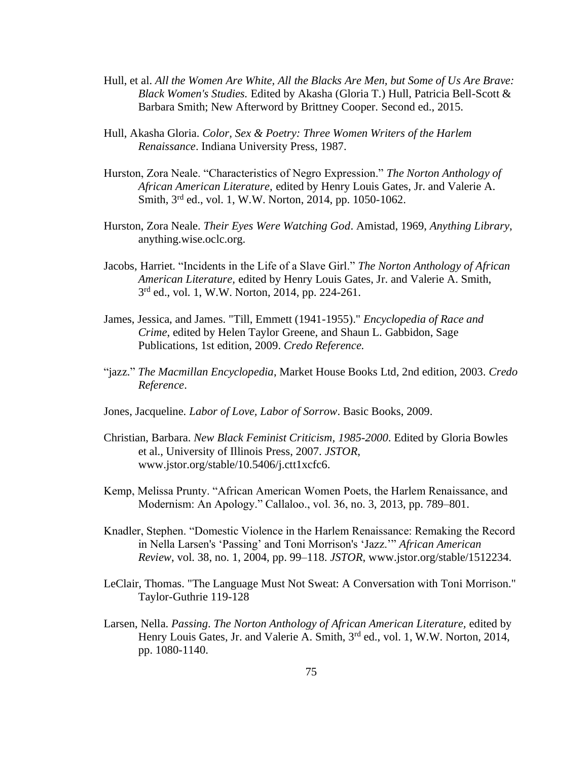- Hull, et al. *All the Women Are White, All the Blacks Are Men, but Some of Us Are Brave: Black Women's Studies.* Edited by Akasha (Gloria T.) Hull, Patricia Bell-Scott & Barbara Smith; New Afterword by Brittney Cooper. Second ed., 2015.
- Hull, Akasha Gloria. *Color, Sex & Poetry: Three Women Writers of the Harlem Renaissance*. Indiana University Press, 1987.
- Hurston, Zora Neale. "Characteristics of Negro Expression." *The Norton Anthology of African American Literature,* edited by Henry Louis Gates, Jr. and Valerie A. Smith, 3rd ed., vol. 1, W.W. Norton, 2014, pp. 1050-1062.
- Hurston, Zora Neale. *Their Eyes Were Watching God*. Amistad, 1969, *Anything Library*, anything.wise.oclc.org.
- Jacobs, Harriet. "Incidents in the Life of a Slave Girl." *The Norton Anthology of African American Literature,* edited by Henry Louis Gates, Jr. and Valerie A. Smith, 3 rd ed., vol. 1, W.W. Norton, 2014, pp. 224-261.
- James, Jessica, and James. "Till, Emmett (1941-1955)." *Encyclopedia of Race and Crime*, edited by Helen Taylor Greene, and Shaun L. Gabbidon, Sage Publications, 1st edition, 2009. *Credo Reference.*
- "jazz." *The Macmillan Encyclopedia*, Market House Books Ltd, 2nd edition, 2003. *Credo Reference*.
- Jones, Jacqueline. *Labor of Love, Labor of Sorrow*. Basic Books, 2009.
- Christian, Barbara. *New Black Feminist Criticism, 1985-2000*. Edited by Gloria Bowles et al., University of Illinois Press, 2007. *JSTOR*, www.jstor.org/stable/10.5406/j.ctt1xcfc6.
- Kemp, Melissa Prunty. "African American Women Poets, the Harlem Renaissance, and Modernism: An Apology." Callaloo., vol. 36, no. 3, 2013, pp. 789–801.
- Knadler, Stephen. "Domestic Violence in the Harlem Renaissance: Remaking the Record in Nella Larsen's 'Passing' and Toni Morrison's 'Jazz.'" *African American Review*, vol. 38, no. 1, 2004, pp. 99–118. *JSTOR*, www.jstor.org/stable/1512234.
- LeClair, Thomas. "The Language Must Not Sweat: A Conversation with Toni Morrison." Taylor-Guthrie 119-128
- Larsen, Nella. *Passing*. *The Norton Anthology of African American Literature,* edited by Henry Louis Gates, Jr. and Valerie A. Smith, 3<sup>rd</sup> ed., vol. 1, W.W. Norton, 2014, pp. 1080-1140.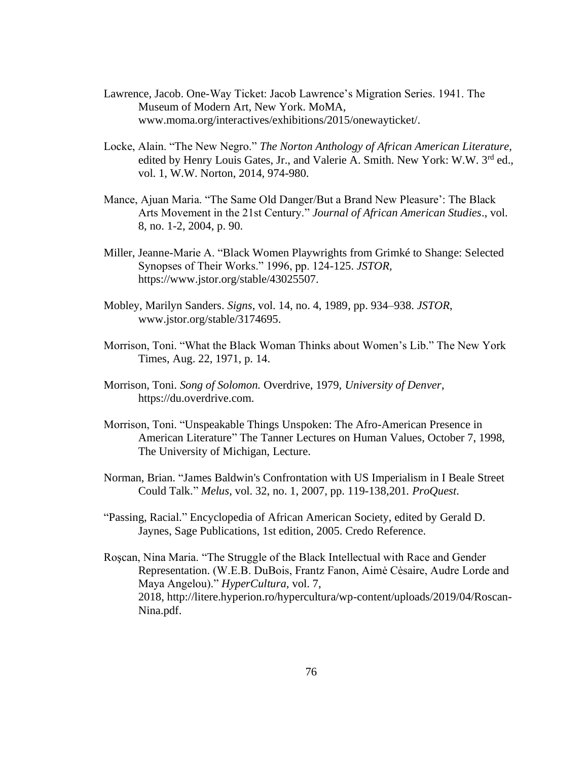- Lawrence, Jacob. One-Way Ticket: Jacob Lawrence's Migration Series. 1941. The Museum of Modern Art, New York. MoMA, www.moma.org/interactives/exhibitions/2015/onewayticket/.
- Locke, Alain. "The New Negro." *The Norton Anthology of African American Literature,* edited by Henry Louis Gates, Jr., and Valerie A. Smith. New York: W.W. 3rd ed., vol. 1, W.W. Norton, 2014, 974-980.
- Mance, Ajuan Maria. "The Same Old Danger/But a Brand New Pleasure': The Black Arts Movement in the 21st Century." *Journal of African American Studies*., vol. 8, no. 1-2, 2004, p. 90.
- Miller, Jeanne-Marie A. "Black Women Playwrights from Grimké to Shange: Selected Synopses of Their Works." 1996, pp. 124-125. *JSTOR,*  https://www.jstor.org/stable/43025507.
- Mobley, Marilyn Sanders. *Signs*, vol. 14, no. 4, 1989, pp. 934–938. *JSTOR*, www.jstor.org/stable/3174695.
- Morrison, Toni. "What the Black Woman Thinks about Women's Lib." The New York Times, Aug. 22, 1971, p. 14.
- Morrison, Toni. *Song of Solomon.* Overdrive, 1979, *University of Denver*, https://du.overdrive.com.
- Morrison, Toni. "Unspeakable Things Unspoken: The Afro-American Presence in American Literature" The Tanner Lectures on Human Values, October 7, 1998, The University of Michigan, Lecture.
- Norman, Brian. "James Baldwin's Confrontation with US Imperialism in I Beale Street Could Talk." *Melus*, vol. 32, no. 1, 2007, pp. 119-138,201*. ProQuest*.
- "Passing, Racial." Encyclopedia of African American Society, edited by Gerald D. Jaynes, Sage Publications, 1st edition, 2005. Credo Reference.
- Roşcan, Nina Maria. "The Struggle of the Black Intellectual with Race and Gender Representation. (W.E.B. DuBois, Frantz Fanon, Aimė Cėsaire, Audre Lorde and Maya Angelou)." *HyperCultura,* vol. 7, 2018, http://litere.hyperion.ro/hypercultura/wp-content/uploads/2019/04/Roscan-Nina.pdf.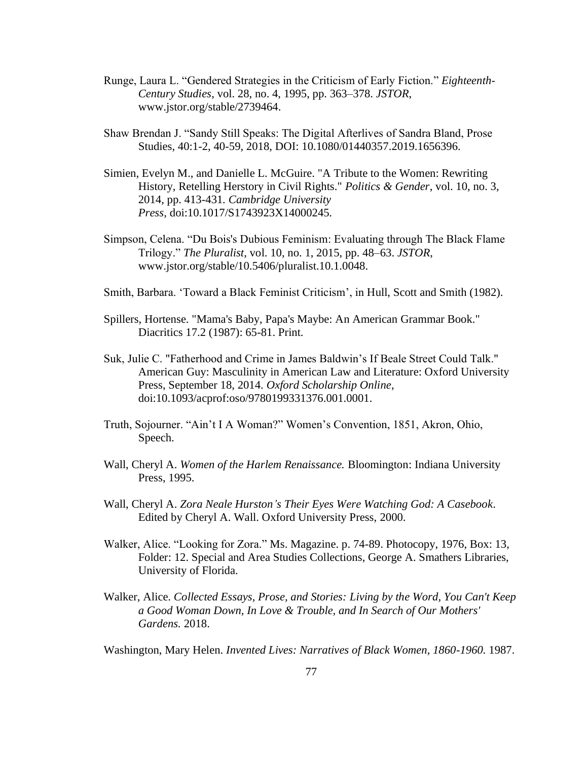- Runge, Laura L. "Gendered Strategies in the Criticism of Early Fiction." *Eighteenth-Century Studies*, vol. 28, no. 4, 1995, pp. 363–378. *JSTOR*, www.jstor.org/stable/2739464.
- Shaw Brendan J. "Sandy Still Speaks: The Digital Afterlives of Sandra Bland, Prose Studies, 40:1-2, 40-59, 2018, DOI: 10.1080/01440357.2019.1656396.
- Simien, Evelyn M., and Danielle L. McGuire. "A Tribute to the Women: Rewriting History, Retelling Herstory in Civil Rights." *Politics & Gender*, vol. 10, no. 3, 2014, pp. 413-431*. Cambridge University Press,* doi:10.1017/S1743923X14000245*.*
- Simpson, Celena. "Du Bois's Dubious Feminism: Evaluating through The Black Flame Trilogy." *The Pluralist*, vol. 10, no. 1, 2015, pp. 48–63. *JSTOR*, www.jstor.org/stable/10.5406/pluralist.10.1.0048.
- Smith, Barbara. 'Toward a Black Feminist Criticism', in Hull, Scott and Smith (1982).
- Spillers, Hortense. "Mama's Baby, Papa's Maybe: An American Grammar Book." Diacritics 17.2 (1987): 65-81. Print.
- Suk, Julie C. "Fatherhood and Crime in James Baldwin's If Beale Street Could Talk." American Guy: Masculinity in American Law and Literature: Oxford University Press, September 18, 2014. *Oxford Scholarship Online*, doi:10.1093/acprof:oso/9780199331376.001.0001.
- Truth, Sojourner. "Ain't I A Woman?" Women's Convention, 1851, Akron, Ohio, Speech.
- Wall, Cheryl A. *Women of the Harlem Renaissance.* Bloomington: Indiana University Press, 1995.
- Wall, Cheryl A. *Zora Neale Hurston's Their Eyes Were Watching God: A Casebook*. Edited by Cheryl A. Wall. Oxford University Press, 2000.
- Walker, Alice. "Looking for Zora." Ms. Magazine. p. 74-89. Photocopy, 1976, Box: 13, Folder: 12. Special and Area Studies Collections, George A. Smathers Libraries, University of Florida.
- Walker, Alice. *Collected Essays, Prose, and Stories: Living by the Word, You Can't Keep a Good Woman Down, In Love & Trouble, and In Search of Our Mothers' Gardens.* 2018.

Washington, Mary Helen. *Invented Lives: Narratives of Black Women, 1860-1960.* 1987.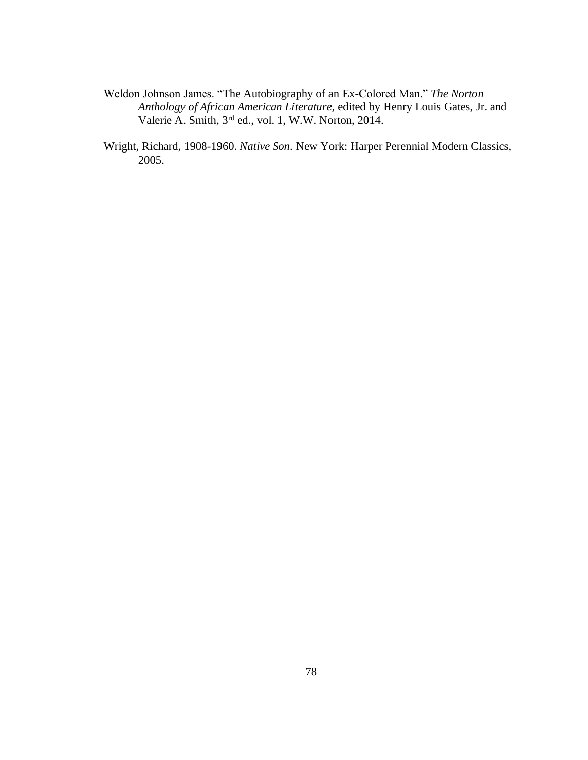- Weldon Johnson James. "The Autobiography of an Ex-Colored Man." *The Norton Anthology of African American Literature,* edited by Henry Louis Gates, Jr. and Valerie A. Smith, 3rd ed., vol. 1, W.W. Norton, 2014.
- Wright, Richard, 1908-1960. *Native Son*. New York: Harper Perennial Modern Classics, 2005.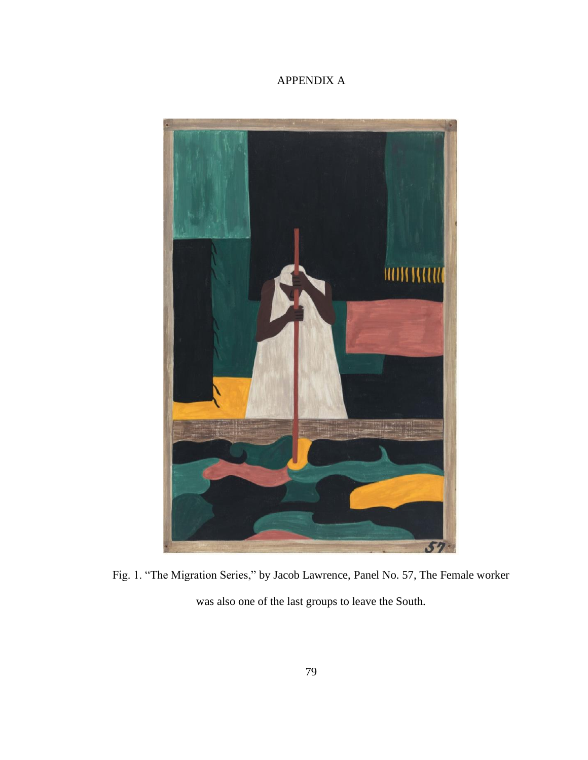# APPENDIX A



Fig. 1. "The Migration Series," by Jacob Lawrence, Panel No. 57, The Female worker was also one of the last groups to leave the South.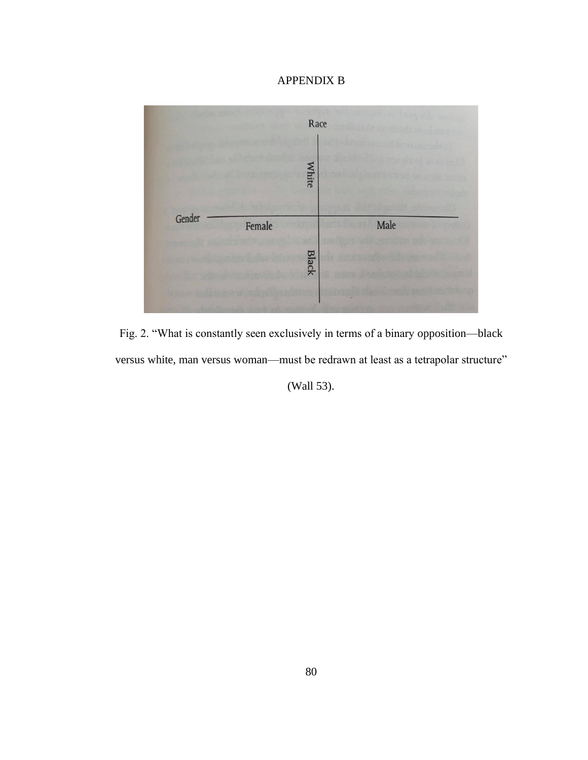# APPENDIX B



Fig. 2. "What is constantly seen exclusively in terms of a binary opposition—black versus white, man versus woman—must be redrawn at least as a tetrapolar structure"

(Wall 53).